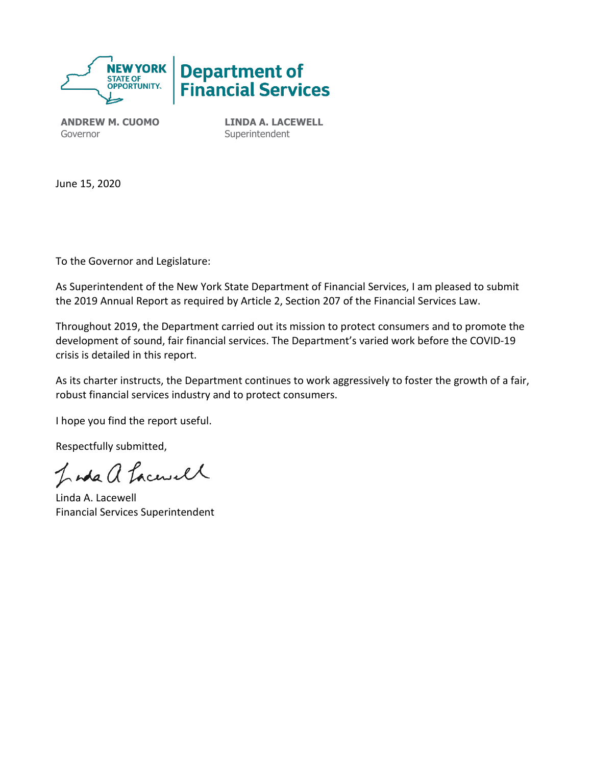

**ANDREW M. CUOMO** Governor

**LINDA A. LACEWELL Superintendent** 

June 15, 2020

To the Governor and Legislature:

As Superintendent of the New York State Department of Financial Services, I am pleased to submit the 2019 Annual Report as required by Article 2, Section 207 of the Financial Services Law.

Throughout 2019, the Department carried out its mission to protect consumers and to promote the development of sound, fair financial services. The Department's varied work before the COVID-19 crisis is detailed in this report.

As its charter instructs, the Department continues to work aggressively to foster the growth of a fair, robust financial services industry and to protect consumers.

I hope you find the report useful.

Respectfully submitted,

Inda a Lacusel

Linda A. Lacewell Financial Services Superintendent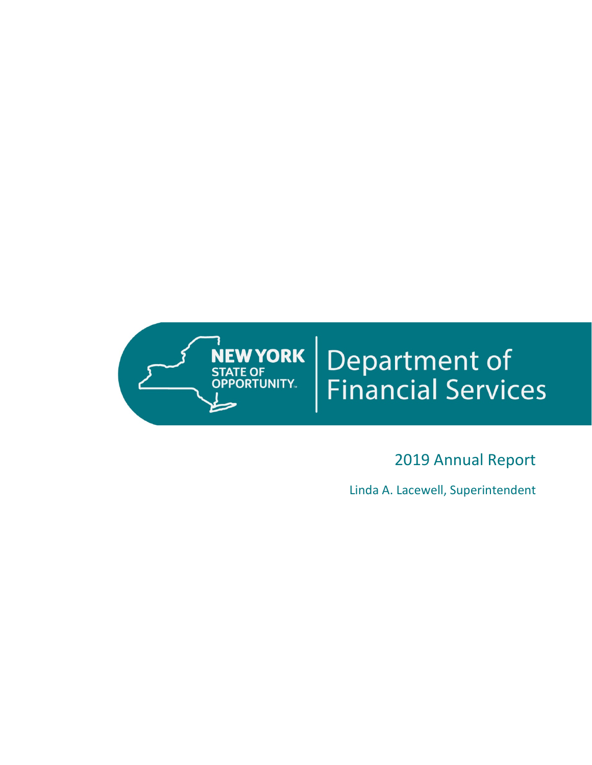

# **Department of<br>Financial Services**

# 2019 Annual Report

Linda A. Lacewell, Superintendent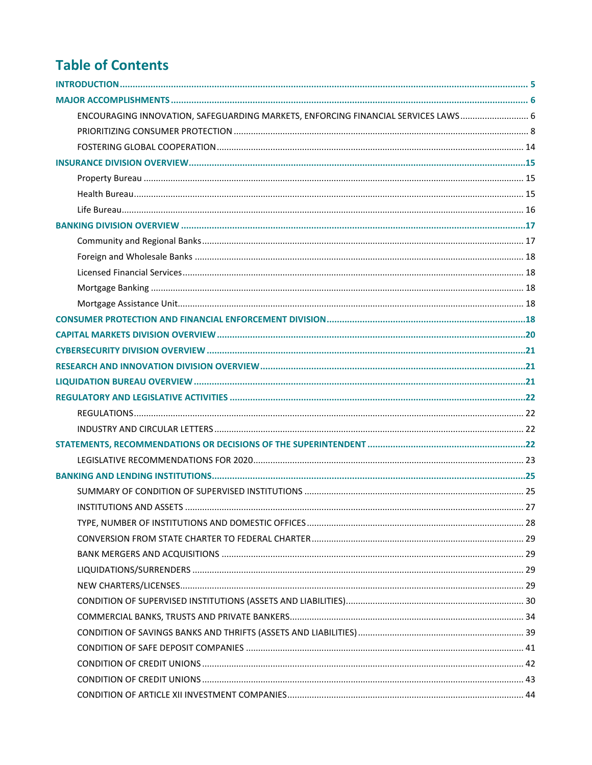# **Table of Contents**

| ENCOURAGING INNOVATION, SAFEGUARDING MARKETS, ENFORCING FINANCIAL SERVICES LAWS 6 |  |
|-----------------------------------------------------------------------------------|--|
|                                                                                   |  |
|                                                                                   |  |
|                                                                                   |  |
|                                                                                   |  |
|                                                                                   |  |
|                                                                                   |  |
|                                                                                   |  |
|                                                                                   |  |
|                                                                                   |  |
|                                                                                   |  |
|                                                                                   |  |
|                                                                                   |  |
|                                                                                   |  |
|                                                                                   |  |
|                                                                                   |  |
|                                                                                   |  |
|                                                                                   |  |
|                                                                                   |  |
|                                                                                   |  |
|                                                                                   |  |
|                                                                                   |  |
|                                                                                   |  |
|                                                                                   |  |
|                                                                                   |  |
|                                                                                   |  |
|                                                                                   |  |
|                                                                                   |  |
|                                                                                   |  |
|                                                                                   |  |
|                                                                                   |  |
|                                                                                   |  |
|                                                                                   |  |
|                                                                                   |  |
|                                                                                   |  |
|                                                                                   |  |
|                                                                                   |  |
|                                                                                   |  |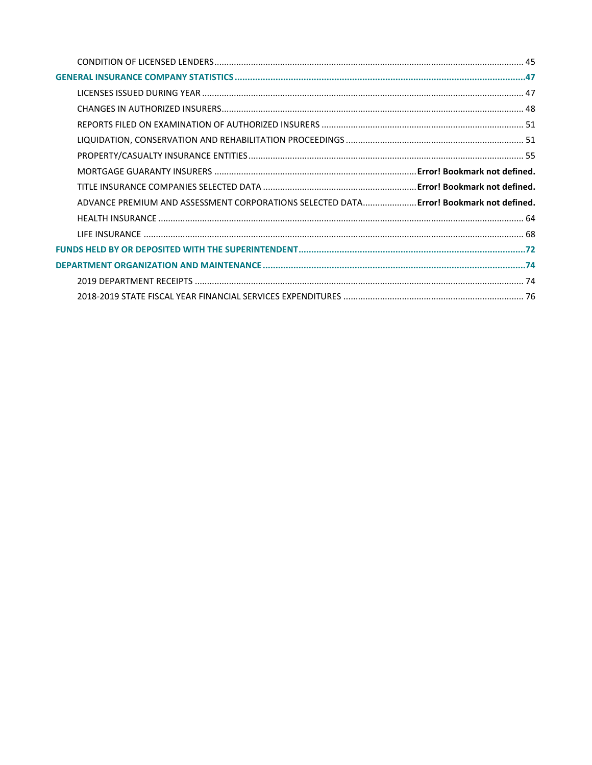| ADVANCE PREMIUM AND ASSESSMENT CORPORATIONS SELECTED DATA Error! Bookmark not defined. |
|----------------------------------------------------------------------------------------|
|                                                                                        |
|                                                                                        |
|                                                                                        |
|                                                                                        |
|                                                                                        |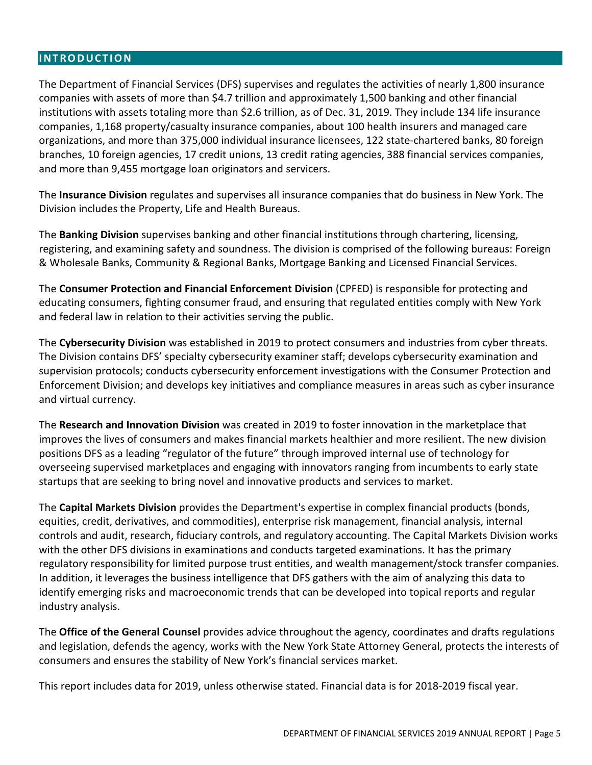#### <span id="page-4-0"></span>**INTRODUCTION**

The Department of Financial Services (DFS) supervises and regulates the activities of nearly 1,800 insurance companies with assets of more than \$4.7 trillion and approximately 1,500 banking and other financial institutions with assets totaling more than \$2.6 trillion, as of Dec. 31, 2019. They include 134 life insurance companies, 1,168 property/casualty insurance companies, about 100 health insurers and managed care organizations, and more than 375,000 individual insurance licensees, 122 state-chartered banks, 80 foreign branches, 10 foreign agencies, 17 credit unions, 13 credit rating agencies, 388 financial services companies, and more than 9,455 mortgage loan originators and servicers.

The **Insurance Division** regulates and supervises all insurance companies that do business in New York. The Division includes the Property, Life and Health Bureaus.

The **Banking Division** supervises banking and other financial institutions through chartering, licensing, registering, and examining safety and soundness. The division is comprised of the following bureaus: Foreign & Wholesale Banks, Community & Regional Banks, Mortgage Banking and Licensed Financial Services.

The **Consumer Protection and Financial Enforcement Division** (CPFED) is responsible for protecting and educating consumers, fighting consumer fraud, and ensuring that regulated entities comply with New York and federal law in relation to their activities serving the public.

The **Cybersecurity Division** was established in 2019 to protect consumers and industries from cyber threats. The Division contains DFS' specialty cybersecurity examiner staff; develops cybersecurity examination and supervision protocols; conducts cybersecurity enforcement investigations with the Consumer Protection and Enforcement Division; and develops key initiatives and compliance measures in areas such as cyber insurance and virtual currency.

The **Research and Innovation Division** was created in 2019 to foster innovation in the marketplace that improves the lives of consumers and makes financial markets healthier and more resilient. The new division positions DFS as a leading "regulator of the future" through improved internal use of technology for overseeing supervised marketplaces and engaging with innovators ranging from incumbents to early state startups that are seeking to bring novel and innovative products and services to market.

The **Capital Markets Division** provides the Department's expertise in complex financial products (bonds, equities, credit, derivatives, and commodities), enterprise risk management, financial analysis, internal controls and audit, research, fiduciary controls, and regulatory accounting. The Capital Markets Division works with the other DFS divisions in examinations and conducts targeted examinations. It has the primary regulatory responsibility for limited purpose trust entities, and wealth management/stock transfer companies. In addition, it leverages the business intelligence that DFS gathers with the aim of analyzing this data to identify emerging risks and macroeconomic trends that can be developed into topical reports and regular industry analysis.

The **Office of the General Counsel** provides advice throughout the agency, coordinates and drafts regulations and legislation, defends the agency, works with the New York State Attorney General, protects the interests of consumers and ensures the stability of New York's financial services market.

This report includes data for 2019, unless otherwise stated. Financial data is for 2018-2019 fiscal year.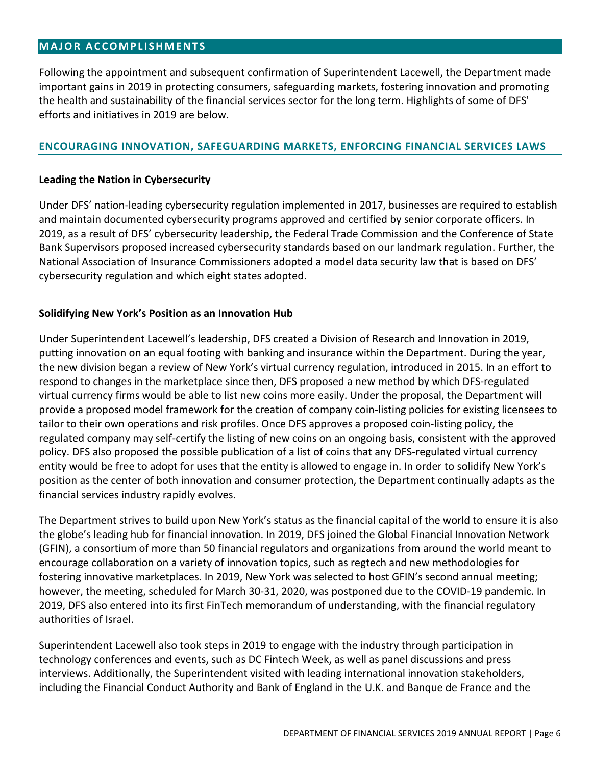#### <span id="page-5-0"></span>**MAJOR ACCOMPLISHMENTS**

Following the appointment and subsequent confirmation of Superintendent Lacewell, the Department made important gains in 2019 in protecting consumers, safeguarding markets, fostering innovation and promoting the health and sustainability of the financial services sector for the long term. Highlights of some of DFS' efforts and initiatives in 2019 are below.

#### <span id="page-5-1"></span>**ENCOURAGING INNOVATION, SAFEGUARDING MARKETS, ENFORCING FINANCIAL SERVICES LAWS**

#### **Leading the Nation in Cybersecurity**

Under DFS' nation-leading cybersecurity regulation implemented in 2017, businesses are required to establish and maintain documented cybersecurity programs approved and certified by senior corporate officers. In 2019, as a result of DFS' cybersecurity leadership, the Federal Trade Commission and the Conference of State Bank Supervisors proposed increased cybersecurity standards based on our landmark regulation. Further, the National Association of Insurance Commissioners adopted a model data security law that is based on DFS' cybersecurity regulation and which eight states adopted.

#### **Solidifying New York's Position as an Innovation Hub**

Under Superintendent Lacewell's leadership, DFS created a Division of Research and Innovation in 2019, putting innovation on an equal footing with banking and insurance within the Department. During the year, the new division began a review of New York's virtual currency regulation, introduced in 2015. In an effort to respond to changes in the marketplace since then, DFS proposed a new method by which DFS-regulated virtual currency firms would be able to list new coins more easily. Under the proposal, the Department will provide a proposed model framework for the creation of company coin-listing policies for existing licensees to tailor to their own operations and risk profiles. Once DFS approves a proposed coin-listing policy, the regulated company may self-certify the listing of new coins on an ongoing basis, consistent with the approved policy. DFS also proposed the possible publication of a list of coins that any DFS-regulated virtual currency entity would be free to adopt for uses that the entity is allowed to engage in. In order to solidify New York's position as the center of both innovation and consumer protection, the Department continually adapts as the financial services industry rapidly evolves.

The Department strives to build upon New York's status as the financial capital of the world to ensure it is also the globe's leading hub for financial innovation. In 2019, DFS joined the Global Financial Innovation Network (GFIN), a consortium of more than 50 financial regulators and organizations from around the world meant to encourage collaboration on a variety of innovation topics, such as regtech and new methodologies for fostering innovative marketplaces. In 2019, New York was selected to host GFIN's second annual meeting; however, the meeting, scheduled for March 30-31, 2020, was postponed due to the COVID-19 pandemic. In 2019, DFS also entered into its first FinTech memorandum of understanding, with the financial regulatory authorities of Israel.

Superintendent Lacewell also took steps in 2019 to engage with the industry through participation in technology conferences and events, such as DC Fintech Week, as well as panel discussions and press interviews. Additionally, the Superintendent visited with leading international innovation stakeholders, including the Financial Conduct Authority and Bank of England in the U.K. and Banque de France and the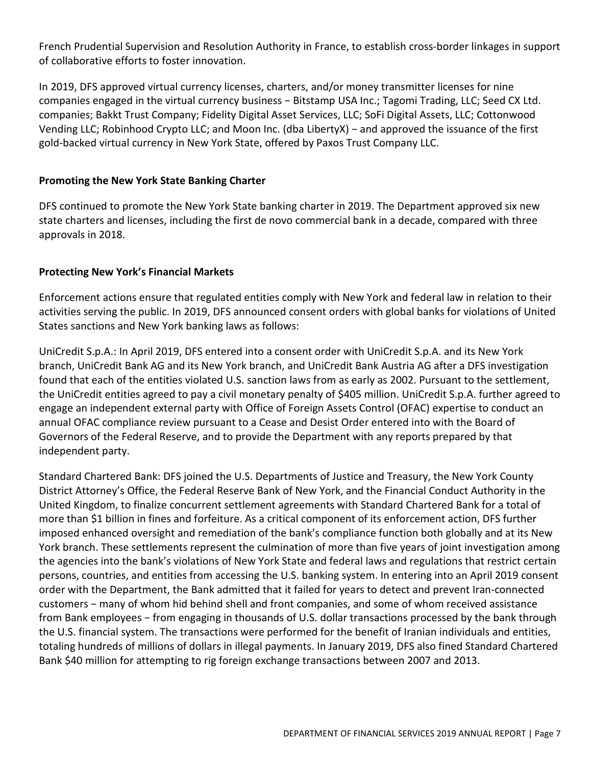French Prudential Supervision and Resolution Authority in France, to establish cross-border linkages in support of collaborative efforts to foster innovation.

In 2019, DFS approved virtual currency licenses, charters, and/or money transmitter licenses for nine companies engaged in the virtual currency business - Bitstamp USA Inc.; Tagomi Trading, LLC; Seed CX Ltd. companies; Bakkt Trust Company; Fidelity Digital Asset Services, LLC; SoFi Digital Assets, LLC; Cottonwood Vending LLC; Robinhood Crypto LLC; and Moon Inc. (dba LibertyX) − and approved the issuance of the first gold-backed virtual currency in New York State, offered by Paxos Trust Company LLC.

#### **Promoting the New York State Banking Charter**

DFS continued to promote the New York State banking charter in 2019. The Department approved six new state charters and licenses, including the first de novo commercial bank in a decade, compared with three approvals in 2018.

#### **Protecting New York's Financial Markets**

Enforcement actions ensure that regulated entities comply with New York and federal law in relation to their activities serving the public. In 2019, DFS announced consent orders with global banks for violations of United States sanctions and New York banking laws as follows:

UniCredit S.p.A.: In April 2019, DFS entered into a consent order with UniCredit S.p.A. and its New York branch, UniCredit Bank AG and its New York branch, and UniCredit Bank Austria AG after a DFS investigation found that each of the entities violated U.S. sanction laws from as early as 2002. Pursuant to the settlement, the UniCredit entities agreed to pay a civil monetary penalty of \$405 million. UniCredit S.p.A. further agreed to engage an independent external party with Office of Foreign Assets Control (OFAC) expertise to conduct an annual OFAC compliance review pursuant to a Cease and Desist Order entered into with the Board of Governors of the Federal Reserve, and to provide the Department with any reports prepared by that independent party.

Standard Chartered Bank: DFS joined the U.S. Departments of Justice and Treasury, the New York County District Attorney's Office, the Federal Reserve Bank of New York, and the Financial Conduct Authority in the United Kingdom, to finalize concurrent settlement agreements with Standard Chartered Bank for a total of more than \$1 billion in fines and forfeiture. As a critical component of its enforcement action, DFS further imposed enhanced oversight and remediation of the bank's compliance function both globally and at its New York branch. These settlements represent the culmination of more than five years of joint investigation among the agencies into the bank's violations of New York State and federal laws and regulations that restrict certain persons, countries, and entities from accessing the U.S. banking system. In entering into an April 2019 consent order with the Department, the Bank admitted that it failed for years to detect and prevent Iran-connected customers − many of whom hid behind shell and front companies, and some of whom received assistance from Bank employees – from engaging in thousands of U.S. dollar transactions processed by the bank through the U.S. financial system. The transactions were performed for the benefit of Iranian individuals and entities, totaling hundreds of millions of dollars in illegal payments. In January 2019, DFS also fined Standard Chartered Bank \$40 million for attempting to rig foreign exchange transactions between 2007 and 2013.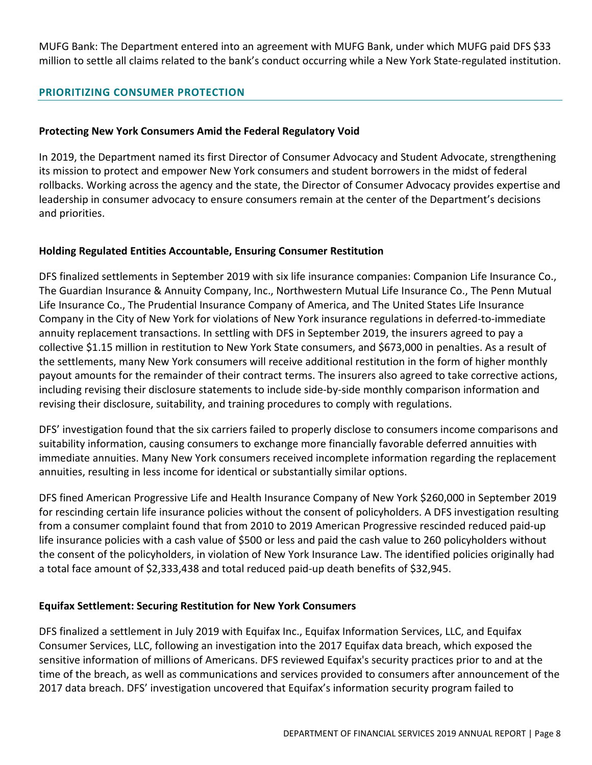MUFG Bank: The Department entered into an agreement with MUFG Bank, under which MUFG paid DFS \$33 million to settle all claims related to the bank's conduct occurring while a New York State-regulated institution.

#### <span id="page-7-0"></span>**PRIORITIZING CONSUMER PROTECTION**

#### **Protecting New York Consumers Amid the Federal Regulatory Void**

In 2019, the Department named its first Director of Consumer Advocacy and Student Advocate, strengthening its mission to protect and empower New York consumers and student borrowers in the midst of federal rollbacks. Working across the agency and the state, the Director of Consumer Advocacy provides expertise and leadership in consumer advocacy to ensure consumers remain at the center of the Department's decisions and priorities.

#### **Holding Regulated Entities Accountable, Ensuring Consumer Restitution**

DFS finalized settlements in September 2019 with six life insurance companies: Companion Life Insurance Co., The Guardian Insurance & Annuity Company, Inc., Northwestern Mutual Life Insurance Co., The Penn Mutual Life Insurance Co., The Prudential Insurance Company of America, and The United States Life Insurance Company in the City of New York for violations of New York insurance regulations in deferred-to-immediate annuity replacement transactions. In settling with DFS in September 2019, the insurers agreed to pay a collective \$1.15 million in restitution to New York State consumers, and \$673,000 in penalties. As a result of the settlements, many New York consumers will receive additional restitution in the form of higher monthly payout amounts for the remainder of their contract terms. The insurers also agreed to take corrective actions, including revising their disclosure statements to include side-by-side monthly comparison information and revising their disclosure, suitability, and training procedures to comply with regulations.

DFS' investigation found that the six carriers failed to properly disclose to consumers income comparisons and suitability information, causing consumers to exchange more financially favorable deferred annuities with immediate annuities. Many New York consumers received incomplete information regarding the replacement annuities, resulting in less income for identical or substantially similar options.

DFS fined American Progressive Life and Health Insurance Company of New York \$260,000 in September 2019 for rescinding certain life insurance policies without the consent of policyholders. A DFS investigation resulting from a consumer complaint found that from 2010 to 2019 American Progressive rescinded reduced paid-up life insurance policies with a cash value of \$500 or less and paid the cash value to 260 policyholders without the consent of the policyholders, in violation of New York Insurance Law. The identified policies originally had a total face amount of \$2,333,438 and total reduced paid-up death benefits of \$32,945.

#### **Equifax Settlement: Securing Restitution for New York Consumers**

DFS finalized a settlement in July 2019 with Equifax Inc., Equifax Information Services, LLC, and Equifax Consumer Services, LLC, following an investigation into the 2017 Equifax data breach, which exposed the sensitive information of millions of Americans. DFS reviewed Equifax's security practices prior to and at the time of the breach, as well as communications and services provided to consumers after announcement of the 2017 data breach. DFS' investigation uncovered that Equifax's information security program failed to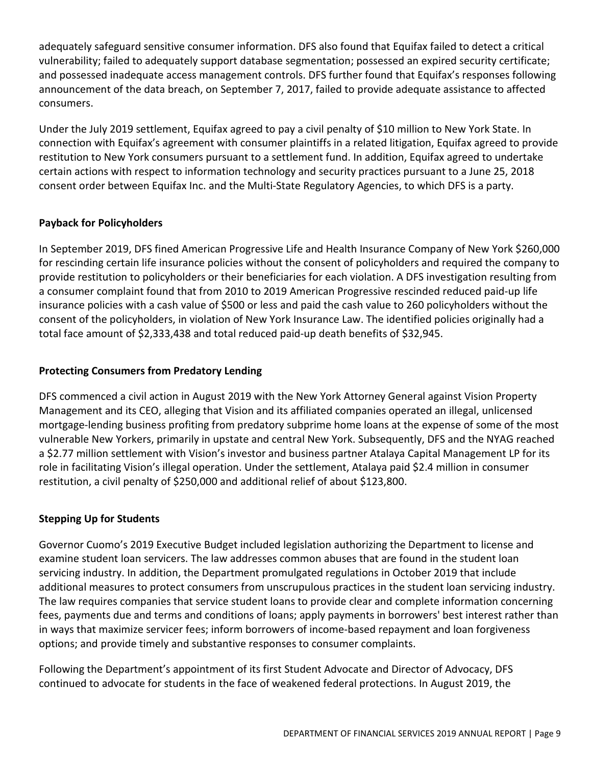adequately safeguard sensitive consumer information. DFS also found that Equifax failed to detect a critical vulnerability; failed to adequately support database segmentation; possessed an expired security certificate; and possessed inadequate access management controls. DFS further found that Equifax's responses following announcement of the data breach, on September 7, 2017, failed to provide adequate assistance to affected consumers.

Under the July 2019 settlement, Equifax agreed to pay a civil penalty of \$10 million to New York State. In connection with Equifax's agreement with consumer plaintiffs in a related litigation, Equifax agreed to provide restitution to New York consumers pursuant to a settlement fund. In addition, Equifax agreed to undertake certain actions with respect to information technology and security practices pursuant to a June 25, 2018 consent order between Equifax Inc. and the Multi-State Regulatory Agencies, to which DFS is a party.

# **Payback for Policyholders**

In September 2019, DFS fined American Progressive Life and Health Insurance Company of New York \$260,000 for rescinding certain life insurance policies without the consent of policyholders and required the company to provide restitution to policyholders or their beneficiaries for each violation. A DFS investigation resulting from a consumer complaint found that from 2010 to 2019 American Progressive rescinded reduced paid-up life insurance policies with a cash value of \$500 or less and paid the cash value to 260 policyholders without the consent of the policyholders, in violation of New York Insurance Law. The identified policies originally had a total face amount of \$2,333,438 and total reduced paid-up death benefits of \$32,945.

# **Protecting Consumers from Predatory Lending**

DFS commenced a civil action in August 2019 with the New York Attorney General against Vision Property Management and its CEO, alleging that Vision and its affiliated companies operated an illegal, unlicensed mortgage-lending business profiting from predatory subprime home loans at the expense of some of the most vulnerable New Yorkers, primarily in upstate and central New York. Subsequently, DFS and the NYAG reached a \$2.77 million settlement with Vision's investor and business partner Atalaya Capital Management LP for its role in facilitating Vision's illegal operation. Under the settlement, Atalaya paid \$2.4 million in consumer restitution, a civil penalty of \$250,000 and additional relief of about \$123,800.

# **Stepping Up for Students**

Governor Cuomo's 2019 Executive Budget included legislation authorizing the Department to license and examine student loan servicers. The law addresses common abuses that are found in the student loan servicing industry. In addition, the Department promulgated regulations in October 2019 that include additional measures to protect consumers from unscrupulous practices in the student loan servicing industry. The law requires companies that service student loans to provide clear and complete information concerning fees, payments due and terms and conditions of loans; apply payments in borrowers' best interest rather than in ways that maximize servicer fees; inform borrowers of income-based repayment and loan forgiveness options; and provide timely and substantive responses to consumer complaints.

Following the Department's appointment of its first Student Advocate and Director of Advocacy, DFS continued to advocate for students in the face of weakened federal protections. In August 2019, the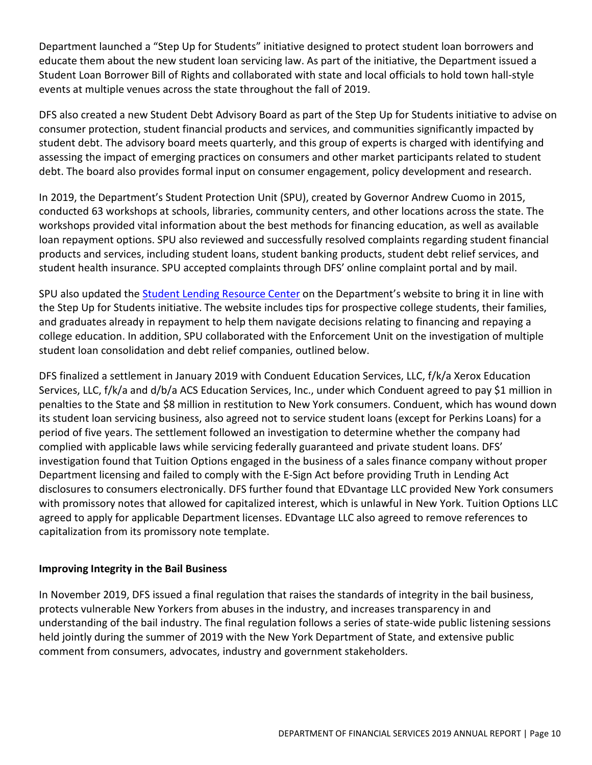Department launched a "Step Up for Students" initiative designed to protect student loan borrowers and educate them about the new student loan servicing law. As part of the initiative, the Department issued a Student Loan Borrower Bill of Rights and collaborated with state and local officials to hold town hall-style events at multiple venues across the state throughout the fall of 2019.

DFS also created a new Student Debt Advisory Board as part of the Step Up for Students initiative to advise on consumer protection, student financial products and services, and communities significantly impacted by student debt. The advisory board meets quarterly, and this group of experts is charged with identifying and assessing the impact of emerging practices on consumers and other market participants related to student debt. The board also provides formal input on consumer engagement, policy development and research.

In 2019, the Department's Student Protection Unit (SPU), created by Governor Andrew Cuomo in 2015, conducted 63 workshops at schools, libraries, community centers, and other locations across the state. The workshops provided vital information about the best methods for financing education, as well as available loan repayment options. SPU also reviewed and successfully resolved complaints regarding student financial products and services, including student loans, student banking products, student debt relief services, and student health insurance. SPU accepted complaints through DFS' online complaint portal and by mail.

SPU also updated the Student Lending [Resource](https://www.dfs.ny.gov/consumers/student_protection) Center on the Department's website to bring it in line with the Step Up for Students initiative. The website includes tips for prospective college students, their families, and graduates already in repayment to help them navigate decisions relating to financing and repaying a college education. In addition, SPU collaborated with the Enforcement Unit on the investigation of multiple student loan consolidation and debt relief companies, outlined below.

DFS finalized a settlement in January 2019 with Conduent Education Services, LLC, f/k/a Xerox Education Services, LLC, f/k/a and d/b/a ACS Education Services, Inc., under which Conduent agreed to pay \$1 million in penalties to the State and \$8 million in restitution to New York consumers. Conduent, which has wound down its student loan servicing business, also agreed not to service student loans (except for Perkins Loans) for a period of five years. The settlement followed an investigation to determine whether the company had complied with applicable laws while servicing federally guaranteed and private student loans. DFS' investigation found that Tuition Options engaged in the business of a sales finance company without proper Department licensing and failed to comply with the E-Sign Act before providing Truth in Lending Act disclosures to consumers electronically. DFS further found that EDvantage LLC provided New York consumers with promissory notes that allowed for capitalized interest, which is unlawful in New York. Tuition Options LLC agreed to apply for applicable Department licenses. EDvantage LLC also agreed to remove references to capitalization from its promissory note template.

# **Improving Integrity in the Bail Business**

In November 2019, DFS issued a final regulation that raises the standards of integrity in the bail business, protects vulnerable New Yorkers from abuses in the industry, and increases transparency in and understanding of the bail industry. The final regulation follows a series of state-wide public listening sessions held jointly during the summer of 2019 with the New York Department of State, and extensive public comment from consumers, advocates, industry and government stakeholders.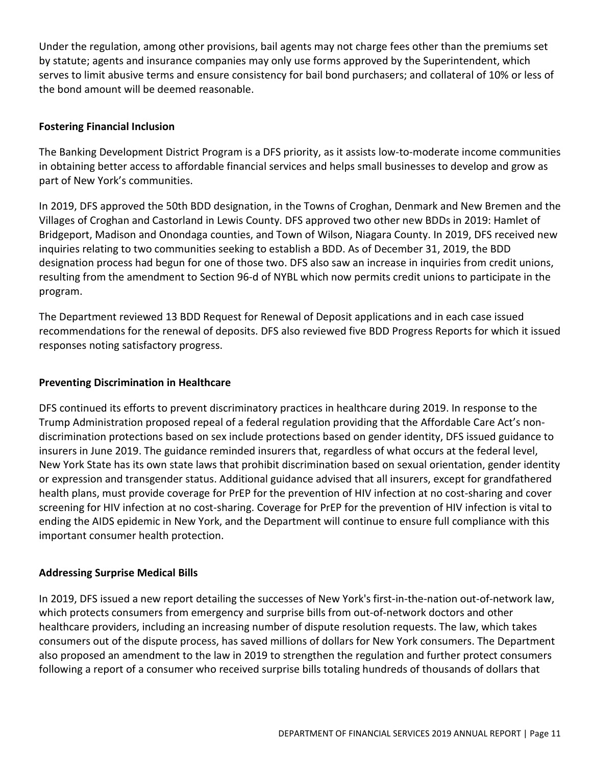Under the regulation, among other provisions, bail agents may not charge fees other than the premiums set by statute; agents and insurance companies may only use forms approved by the Superintendent, which serves to limit abusive terms and ensure consistency for bail bond purchasers; and collateral of 10% or less of the bond amount will be deemed reasonable.

#### **Fostering Financial Inclusion**

The Banking Development District Program is a DFS priority, as it assists low-to-moderate income communities in obtaining better access to affordable financial services and helps small businesses to develop and grow as part of New York's communities.

In 2019, DFS approved the 50th BDD designation, in the Towns of Croghan, Denmark and New Bremen and the Villages of Croghan and Castorland in Lewis County. DFS approved two other new BDDs in 2019: Hamlet of Bridgeport, Madison and Onondaga counties, and Town of Wilson, Niagara County. In 2019, DFS received new inquiries relating to two communities seeking to establish a BDD. As of December 31, 2019, the BDD designation process had begun for one of those two. DFS also saw an increase in inquiries from credit unions, resulting from the amendment to Section 96-d of NYBL which now permits credit unions to participate in the program.

The Department reviewed 13 BDD Request for Renewal of Deposit applications and in each case issued recommendations for the renewal of deposits. DFS also reviewed five BDD Progress Reports for which it issued responses noting satisfactory progress.

#### **Preventing Discrimination in Healthcare**

DFS continued its efforts to prevent discriminatory practices in healthcare during 2019. In response to the Trump Administration proposed repeal of a federal regulation providing that the Affordable Care Act's nondiscrimination protections based on sex include protections based on gender identity, DFS issued guidance to insurers in June 2019. The guidance reminded insurers that, regardless of what occurs at the federal level, New York State has its own state laws that prohibit discrimination based on sexual orientation, gender identity or expression and transgender status. Additional guidance advised that all insurers, except for grandfathered health plans, must provide coverage for PrEP for the prevention of HIV infection at no cost-sharing and cover screening for HIV infection at no cost-sharing. Coverage for PrEP for the prevention of HIV infection is vital to ending the AIDS epidemic in New York, and the Department will continue to ensure full compliance with this important consumer health protection.

#### **Addressing Surprise Medical Bills**

In 2019, DFS issued a new report detailing the successes of New York's first-in-the-nation out-of-network law, which protects consumers from emergency and surprise bills from out-of-network doctors and other healthcare providers, including an increasing number of dispute resolution requests. The law, which takes consumers out of the dispute process, has saved millions of dollars for New York consumers. The Department also proposed an amendment to the law in 2019 to strengthen the regulation and further protect consumers following a report of a consumer who received surprise bills totaling hundreds of thousands of dollars that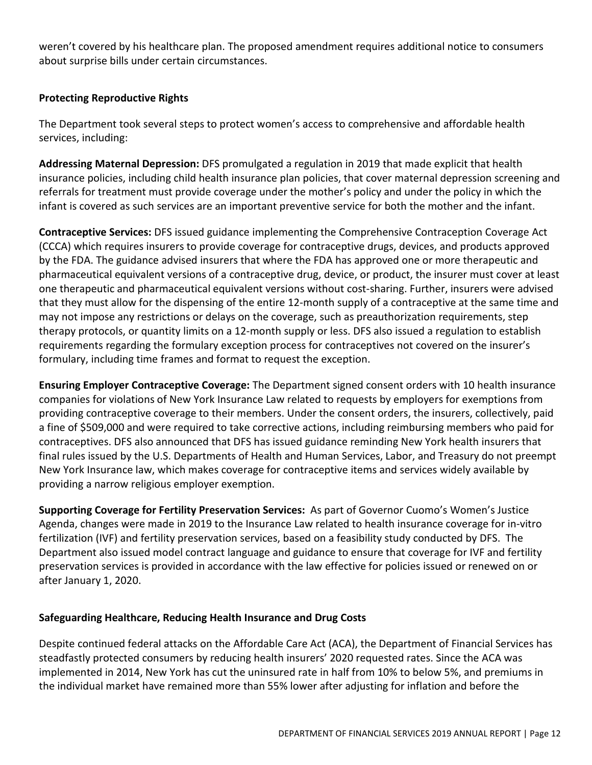weren't covered by his healthcare plan. The proposed amendment requires additional notice to consumers about surprise bills under certain circumstances.

# **Protecting Reproductive Rights**

The Department took several steps to protect women's access to comprehensive and affordable health services, including:

**Addressing Maternal Depression:** DFS promulgated a regulation in 2019 that made explicit that health insurance policies, including child health insurance plan policies, that cover maternal depression screening and referrals for treatment must provide coverage under the mother's policy and under the policy in which the infant is covered as such services are an important preventive service for both the mother and the infant.

**Contraceptive Services:** DFS issued guidance implementing the Comprehensive Contraception Coverage Act (CCCA) which requires insurers to provide coverage for contraceptive drugs, devices, and products approved by the FDA. The guidance advised insurers that where the FDA has approved one or more therapeutic and pharmaceutical equivalent versions of a contraceptive drug, device, or product, the insurer must cover at least one therapeutic and pharmaceutical equivalent versions without cost-sharing. Further, insurers were advised that they must allow for the dispensing of the entire 12-month supply of a contraceptive at the same time and may not impose any restrictions or delays on the coverage, such as preauthorization requirements, step therapy protocols, or quantity limits on a 12-month supply or less. DFS also issued a regulation to establish requirements regarding the formulary exception process for contraceptives not covered on the insurer's formulary, including time frames and format to request the exception.

**Ensuring Employer Contraceptive Coverage:** The Department signed consent orders with 10 health insurance companies for violations of New York Insurance Law related to requests by employers for exemptions from providing contraceptive coverage to their members. Under the consent orders, the insurers, collectively, paid a fine of \$509,000 and were required to take corrective actions, including reimbursing members who paid for contraceptives. DFS also announced that DFS has issued guidance reminding New York health insurers that final rules issued by the U.S. Departments of Health and Human Services, Labor, and Treasury do not preempt New York Insurance law, which makes coverage for contraceptive items and services widely available by providing a narrow religious employer exemption.

**Supporting Coverage for Fertility Preservation Services:** As part of Governor Cuomo's Women's Justice Agenda, changes were made in 2019 to the Insurance Law related to health insurance coverage for in-vitro fertilization (IVF) and fertility preservation services, based on a feasibility study conducted by DFS. The Department also issued model contract language and guidance to ensure that coverage for IVF and fertility preservation services is provided in accordance with the law effective for policies issued or renewed on or after January 1, 2020.

# **Safeguarding Healthcare, Reducing Health Insurance and Drug Costs**

Despite continued federal attacks on the Affordable Care Act (ACA), the Department of Financial Services has steadfastly protected consumers by reducing health insurers' 2020 requested rates. Since the ACA was implemented in 2014, New York has cut the uninsured rate in half from 10% to below 5%, and premiums in the individual market have remained more than 55% lower after adjusting for inflation and before the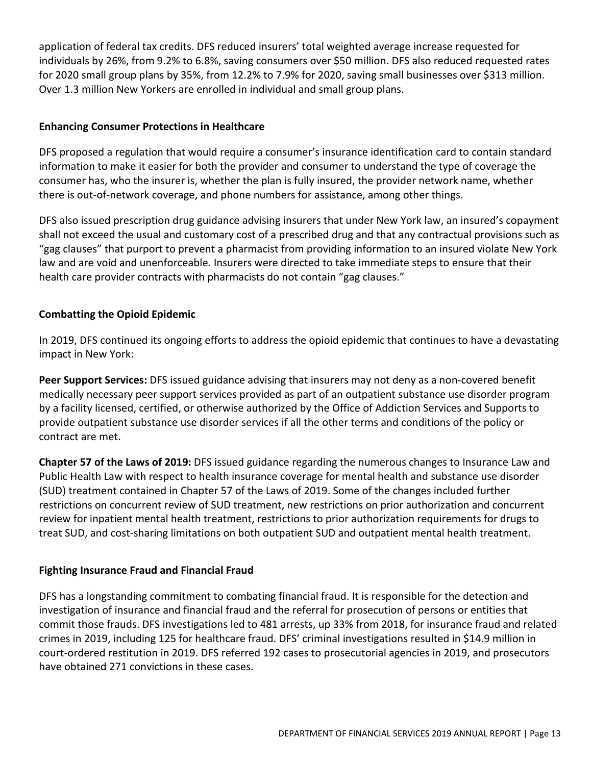application of federal tax credits. DFS reduced insurers' total weighted average increase requested for individuals by 26%, from 9.2% to 6.8%, saving consumers over \$50 million. DFS also reduced requested rates for 2020 small group plans by 35%, from 12.2% to 7.9% for 2020, saving small businesses over \$313 million. Over 1.3 million New Yorkers are enrolled in individual and small group plans.

#### **Enhancing Consumer Protections in Healthcare**

DFS proposed a regulation that would require a consumer's insurance identification card to contain standard information to make it easier for both the provider and consumer to understand the type of coverage the consumer has, who the insurer is, whether the plan is fully insured, the provider network name, whether there is out-of-network coverage, and phone numbers for assistance, among other things.

DFS also issued prescription drug guidance advising insurers that under New York law, an insured's copayment shall not exceed the usual and customary cost of a prescribed drug and that any contractual provisions such as "gag clauses" that purport to prevent a pharmacist from providing information to an insured violate New York law and are void and unenforceable. Insurers were directed to take immediate steps to ensure that their health care provider contracts with pharmacists do not contain "gag clauses."

# **Combatting the Opioid Epidemic**

In 2019, DFS continued its ongoing efforts to address the opioid epidemic that continues to have a devastating impact in New York:

**Peer Support Services:** DFS issued guidance advising that insurers may not deny as a non-covered benefit medically necessary peer support services provided as part of an outpatient substance use disorder program by a facility licensed, certified, or otherwise authorized by the Office of Addiction Services and Supports to provide outpatient substance use disorder services if all the other terms and conditions of the policy or contract are met.

**Chapter 57 of the Laws of 2019:** DFS issued guidance regarding the numerous changes to Insurance Law and Public Health Law with respect to health insurance coverage for mental health and substance use disorder (SUD) treatment contained in Chapter 57 of the Laws of 2019. Some of the changes included further restrictions on concurrent review of SUD treatment, new restrictions on prior authorization and concurrent review for inpatient mental health treatment, restrictions to prior authorization requirements for drugs to treat SUD, and cost-sharing limitations on both outpatient SUD and outpatient mental health treatment.

# **Fighting Insurance Fraud and Financial Fraud**

DFS has a longstanding commitment to combating financial fraud. It is responsible for the detection and investigation of insurance and financial fraud and the referral for prosecution of persons or entities that commit those frauds. DFS investigations led to 481 arrests, up 33% from 2018, for insurance fraud and related crimes in 2019, including 125 for healthcare fraud. DFS' criminal investigations resulted in \$14.9 million in court-ordered restitution in 2019. DFS referred 192 cases to prosecutorial agencies in 2019, and prosecutors have obtained 271 convictions in these cases.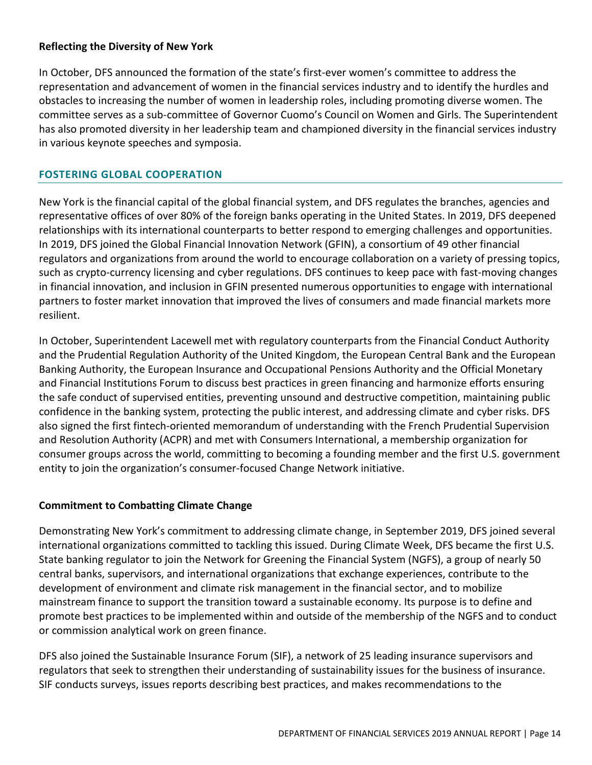#### **Reflecting the Diversity of New York**

In October, DFS announced the formation of the state's first-ever women's committee to address the representation and advancement of women in the financial services industry and to identify the hurdles and obstacles to increasing the number of women in leadership roles, including promoting diverse women. The committee serves as a sub-committee of Governor Cuomo's Council on Women and Girls. The Superintendent has also promoted diversity in her leadership team and championed diversity in the financial services industry in various keynote speeches and symposia.

# <span id="page-13-0"></span>**FOSTERING GLOBAL COOPERATION**

New York is the financial capital of the global financial system, and DFS regulates the branches, agencies and representative offices of over 80% of the foreign banks operating in the United States. In 2019, DFS deepened relationships with its international counterparts to better respond to emerging challenges and opportunities. In 2019, DFS joined the Global Financial Innovation Network (GFIN), a consortium of 49 other financial regulators and organizations from around the world to encourage collaboration on a variety of pressing topics, such as crypto-currency licensing and cyber regulations. DFS continues to keep pace with fast-moving changes in financial innovation, and inclusion in GFIN presented numerous opportunities to engage with international partners to foster market innovation that improved the lives of consumers and made financial markets more resilient.

In October, Superintendent Lacewell met with regulatory counterparts from the Financial Conduct Authority and the Prudential Regulation Authority of the United Kingdom, the European Central Bank and the European Banking Authority, the European Insurance and Occupational Pensions Authority and the Official Monetary and Financial Institutions Forum to discuss best practices in green financing and harmonize efforts ensuring the safe conduct of supervised entities, preventing unsound and destructive competition, maintaining public confidence in the banking system, protecting the public interest, and addressing climate and cyber risks. DFS also signed the first fintech-oriented memorandum of understanding with the French Prudential Supervision and Resolution Authority (ACPR) and met with Consumers International, a membership organization for consumer groups across the world, committing to becoming a founding member and the first U.S. government entity to join the organization's consumer-focused Change Network initiative.

# **Commitment to Combatting Climate Change**

Demonstrating New York's commitment to addressing climate change, in September 2019, DFS joined several international organizations committed to tackling this issued. During Climate Week, DFS became the first U.S. State banking regulator to join the Network for Greening the Financial System (NGFS), a group of nearly 50 central banks, supervisors, and international organizations that exchange experiences, contribute to the development of environment and climate risk management in the financial sector, and to mobilize mainstream finance to support the transition toward a sustainable economy. Its purpose is to define and promote best practices to be implemented within and outside of the membership of the NGFS and to conduct or commission analytical work on green finance.

DFS also joined the Sustainable Insurance Forum (SIF), a network of 25 leading insurance supervisors and regulators that seek to strengthen their understanding of sustainability issues for the business of insurance. SIF conducts surveys, issues reports describing best practices, and makes recommendations to the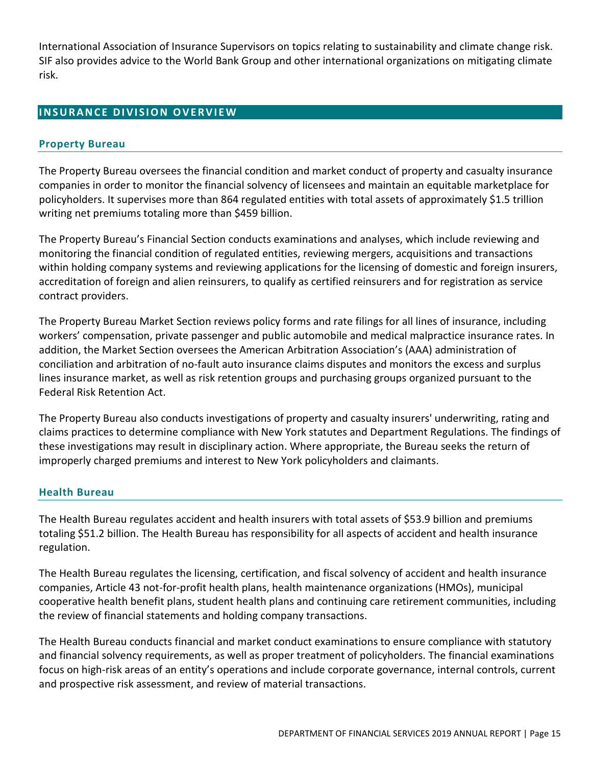International Association of Insurance Supervisors on topics relating to sustainability and climate change risk. SIF also provides advice to the World Bank Group and other international organizations on mitigating climate risk.

# <span id="page-14-0"></span>**INSURANCE DIVISION OVERVIEW**

#### <span id="page-14-1"></span>**Property Bureau**

The Property Bureau oversees the financial condition and market conduct of property and casualty insurance companies in order to monitor the financial solvency of licensees and maintain an equitable marketplace for policyholders. It supervises more than 864 regulated entities with total assets of approximately \$1.5 trillion writing net premiums totaling more than \$459 billion.

The Property Bureau's Financial Section conducts examinations and analyses, which include reviewing and monitoring the financial condition of regulated entities, reviewing mergers, acquisitions and transactions within holding company systems and reviewing applications for the licensing of domestic and foreign insurers, accreditation of foreign and alien reinsurers, to qualify as certified reinsurers and for registration as service contract providers.

The Property Bureau Market Section reviews policy forms and rate filings for all lines of insurance, including workers' compensation, private passenger and public automobile and medical malpractice insurance rates. In addition, the Market Section oversees the American Arbitration Association's (AAA) administration of conciliation and arbitration of no-fault auto insurance claims disputes and monitors the excess and surplus lines insurance market, as well as risk retention groups and purchasing groups organized pursuant to the Federal Risk Retention Act.

The Property Bureau also conducts investigations of property and casualty insurers' underwriting, rating and claims practices to determine compliance with New York statutes and Department Regulations. The findings of these investigations may result in disciplinary action. Where appropriate, the Bureau seeks the return of improperly charged premiums and interest to New York policyholders and claimants.

#### <span id="page-14-2"></span>**Health Bureau**

The Health Bureau regulates accident and health insurers with total assets of \$53.9 billion and premiums totaling \$51.2 billion. The Health Bureau has responsibility for all aspects of accident and health insurance regulation.

The Health Bureau regulates the licensing, certification, and fiscal solvency of accident and health insurance companies, Article 43 not-for-profit health plans, health maintenance organizations (HMOs), municipal cooperative health benefit plans, student health plans and continuing care retirement communities, including the review of financial statements and holding company transactions.

The Health Bureau conducts financial and market conduct examinations to ensure compliance with statutory and financial solvency requirements, as well as proper treatment of policyholders. The financial examinations focus on high-risk areas of an entity's operations and include corporate governance, internal controls, current and prospective risk assessment, and review of material transactions.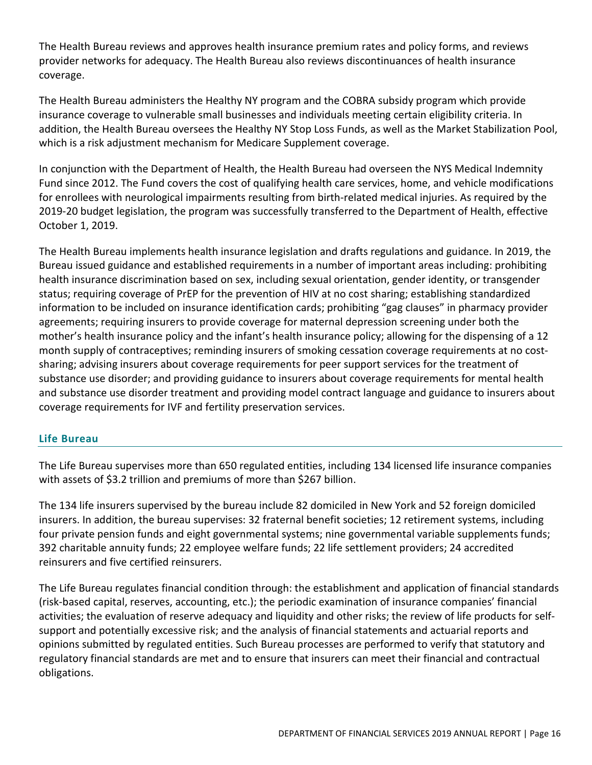The Health Bureau reviews and approves health insurance premium rates and policy forms, and reviews provider networks for adequacy. The Health Bureau also reviews discontinuances of health insurance coverage.

The Health Bureau administers the Healthy NY program and the COBRA subsidy program which provide insurance coverage to vulnerable small businesses and individuals meeting certain eligibility criteria. In addition, the Health Bureau oversees the Healthy NY Stop Loss Funds, as well as the Market Stabilization Pool, which is a risk adjustment mechanism for Medicare Supplement coverage.

In conjunction with the Department of Health, the Health Bureau had overseen the NYS Medical Indemnity Fund since 2012. The Fund covers the cost of qualifying health care services, home, and vehicle modifications for enrollees with neurological impairments resulting from birth-related medical injuries. As required by the 2019-20 budget legislation, the program was successfully transferred to the Department of Health, effective October 1, 2019.

The Health Bureau implements health insurance legislation and drafts regulations and guidance. In 2019, the Bureau issued guidance and established requirements in a number of important areas including: prohibiting health insurance discrimination based on sex, including sexual orientation, gender identity, or transgender status; requiring coverage of PrEP for the prevention of HIV at no cost sharing; establishing standardized information to be included on insurance identification cards; prohibiting "gag clauses" in pharmacy provider agreements; requiring insurers to provide coverage for maternal depression screening under both the mother's health insurance policy and the infant's health insurance policy; allowing for the dispensing of a 12 month supply of contraceptives; reminding insurers of smoking cessation coverage requirements at no costsharing; advising insurers about coverage requirements for peer support services for the treatment of substance use disorder; and providing guidance to insurers about coverage requirements for mental health and substance use disorder treatment and providing model contract language and guidance to insurers about coverage requirements for IVF and fertility preservation services.

# <span id="page-15-0"></span>**Life Bureau**

The Life Bureau supervises more than 650 regulated entities, including 134 licensed life insurance companies with assets of \$3.2 trillion and premiums of more than \$267 billion.

The 134 life insurers supervised by the bureau include 82 domiciled in New York and 52 foreign domiciled insurers. In addition, the bureau supervises: 32 fraternal benefit societies; 12 retirement systems, including four private pension funds and eight governmental systems; nine governmental variable supplements funds; 392 charitable annuity funds; 22 employee welfare funds; 22 life settlement providers; 24 accredited reinsurers and five certified reinsurers.

The Life Bureau regulates financial condition through: the establishment and application of financial standards (risk-based capital, reserves, accounting, etc.); the periodic examination of insurance companies' financial activities; the evaluation of reserve adequacy and liquidity and other risks; the review of life products for selfsupport and potentially excessive risk; and the analysis of financial statements and actuarial reports and opinions submitted by regulated entities. Such Bureau processes are performed to verify that statutory and regulatory financial standards are met and to ensure that insurers can meet their financial and contractual obligations.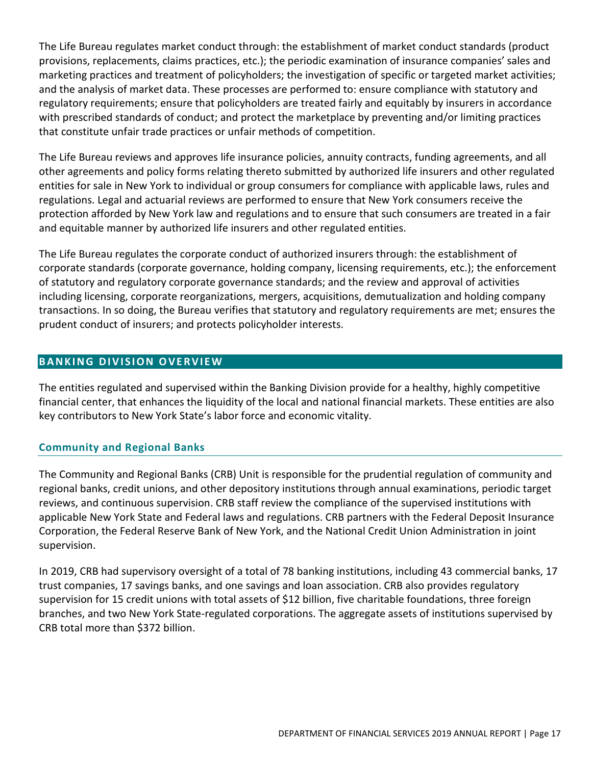The Life Bureau regulates market conduct through: the establishment of market conduct standards (product provisions, replacements, claims practices, etc.); the periodic examination of insurance companies' sales and marketing practices and treatment of policyholders; the investigation of specific or targeted market activities; and the analysis of market data. These processes are performed to: ensure compliance with statutory and regulatory requirements; ensure that policyholders are treated fairly and equitably by insurers in accordance with prescribed standards of conduct; and protect the marketplace by preventing and/or limiting practices that constitute unfair trade practices or unfair methods of competition.

The Life Bureau reviews and approves life insurance policies, annuity contracts, funding agreements, and all other agreements and policy forms relating thereto submitted by authorized life insurers and other regulated entities for sale in New York to individual or group consumers for compliance with applicable laws, rules and regulations. Legal and actuarial reviews are performed to ensure that New York consumers receive the protection afforded by New York law and regulations and to ensure that such consumers are treated in a fair and equitable manner by authorized life insurers and other regulated entities.

The Life Bureau regulates the corporate conduct of authorized insurers through: the establishment of corporate standards (corporate governance, holding company, licensing requirements, etc.); the enforcement of statutory and regulatory corporate governance standards; and the review and approval of activities including licensing, corporate reorganizations, mergers, acquisitions, demutualization and holding company transactions. In so doing, the Bureau verifies that statutory and regulatory requirements are met; ensures the prudent conduct of insurers; and protects policyholder interests.

# <span id="page-16-0"></span>**BANKING DIVISION OVERVIEW**

The entities regulated and supervised within the Banking Division provide for a healthy, highly competitive financial center, that enhances the liquidity of the local and national financial markets. These entities are also key contributors to New York State's labor force and economic vitality.

# <span id="page-16-1"></span>**Community and Regional Banks**

The Community and Regional Banks (CRB) Unit is responsible for the prudential regulation of community and regional banks, credit unions, and other depository institutions through annual examinations, periodic target reviews, and continuous supervision. CRB staff review the compliance of the supervised institutions with applicable New York State and Federal laws and regulations. CRB partners with the Federal Deposit Insurance Corporation, the Federal Reserve Bank of New York, and the National Credit Union Administration in joint supervision.

In 2019, CRB had supervisory oversight of a total of 78 banking institutions, including 43 commercial banks, 17 trust companies, 17 savings banks, and one savings and loan association. CRB also provides regulatory supervision for 15 credit unions with total assets of \$12 billion, five charitable foundations, three foreign branches, and two New York State-regulated corporations. The aggregate assets of institutions supervised by CRB total more than \$372 billion.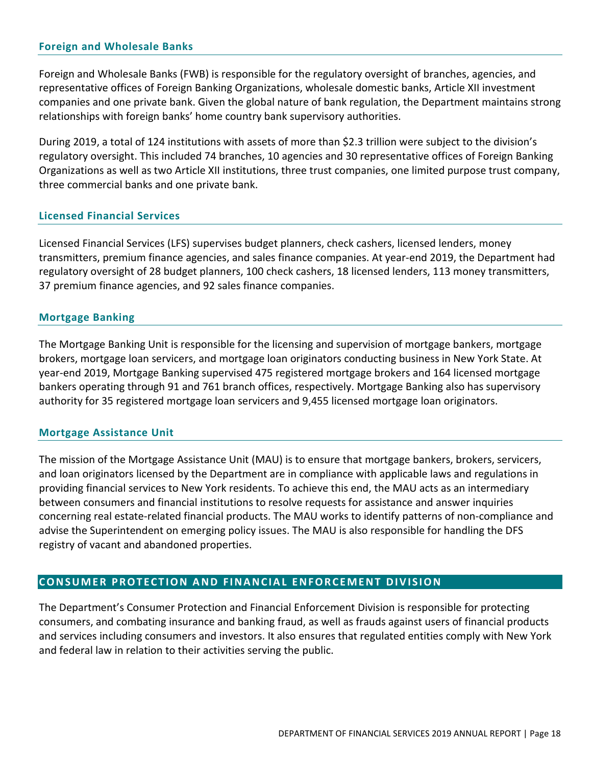#### <span id="page-17-0"></span>**Foreign and Wholesale Banks**

Foreign and Wholesale Banks (FWB) is responsible for the regulatory oversight of branches, agencies, and representative offices of Foreign Banking Organizations, wholesale domestic banks, Article XII investment companies and one private bank. Given the global nature of bank regulation, the Department maintains strong relationships with foreign banks' home country bank supervisory authorities.

During 2019, a total of 124 institutions with assets of more than \$2.3 trillion were subject to the division's regulatory oversight. This included 74 branches, 10 agencies and 30 representative offices of Foreign Banking Organizations as well as two Article XII institutions, three trust companies, one limited purpose trust company, three commercial banks and one private bank.

#### <span id="page-17-1"></span>**Licensed Financial Services**

Licensed Financial Services (LFS) supervises budget planners, check cashers, licensed lenders, money transmitters, premium finance agencies, and sales finance companies. At year-end 2019, the Department had regulatory oversight of 28 budget planners, 100 check cashers, 18 licensed lenders, 113 money transmitters, 37 premium finance agencies, and 92 sales finance companies.

#### <span id="page-17-2"></span>**Mortgage Banking**

The Mortgage Banking Unit is responsible for the licensing and supervision of mortgage bankers, mortgage brokers, mortgage loan servicers, and mortgage loan originators conducting business in New York State. At year-end 2019, Mortgage Banking supervised 475 registered mortgage brokers and 164 licensed mortgage bankers operating through 91 and 761 branch offices, respectively. Mortgage Banking also has supervisory authority for 35 registered mortgage loan servicers and 9,455 licensed mortgage loan originators.

#### <span id="page-17-3"></span>**Mortgage Assistance Unit**

The mission of the Mortgage Assistance Unit (MAU) is to ensure that mortgage bankers, brokers, servicers, and loan originators licensed by the Department are in compliance with applicable laws and regulations in providing financial services to New York residents. To achieve this end, the MAU acts as an intermediary between consumers and financial institutions to resolve requests for assistance and answer inquiries concerning real estate-related financial products. The MAU works to identify patterns of non-compliance and advise the Superintendent on emerging policy issues. The MAU is also responsible for handling the DFS registry of vacant and abandoned properties.

#### <span id="page-17-4"></span>**CONSUMER PROTECTION AND FINANCIAL ENFORCEMENT DIVISION**

The Department's Consumer Protection and Financial Enforcement Division is responsible for protecting consumers, and combating insurance and banking fraud, as well as frauds against users of financial products and services including consumers and investors. It also ensures that regulated entities comply with New York and federal law in relation to their activities serving the public.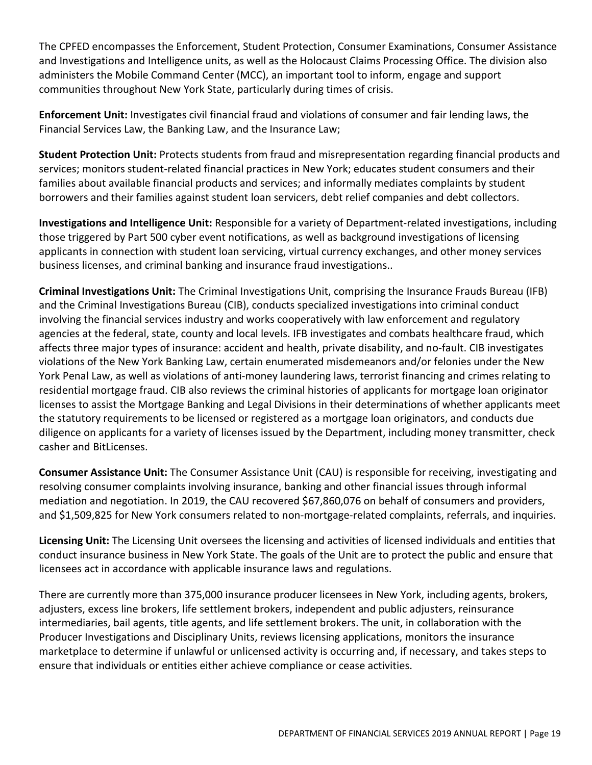The CPFED encompasses the Enforcement, Student Protection, Consumer Examinations, Consumer Assistance and Investigations and Intelligence units, as well as the Holocaust Claims Processing Office. The division also administers the Mobile Command Center (MCC), an important tool to inform, engage and support communities throughout New York State, particularly during times of crisis.

**Enforcement Unit:** Investigates civil financial fraud and violations of consumer and fair lending laws, the Financial Services Law, the Banking Law, and the Insurance Law;

**Student Protection Unit:** Protects students from fraud and misrepresentation regarding financial products and services; monitors student-related financial practices in New York; educates student consumers and their families about available financial products and services; and informally mediates complaints by student borrowers and their families against student loan servicers, debt relief companies and debt collectors.

**Investigations and Intelligence Unit:** Responsible for a variety of Department-related investigations, including those triggered by Part 500 cyber event notifications, as well as background investigations of licensing applicants in connection with student loan servicing, virtual currency exchanges, and other money services business licenses, and criminal banking and insurance fraud investigations..

**Criminal Investigations Unit:** The Criminal Investigations Unit, comprising the Insurance Frauds Bureau (IFB) and the Criminal Investigations Bureau (CIB), conducts specialized investigations into criminal conduct involving the financial services industry and works cooperatively with law enforcement and regulatory agencies at the federal, state, county and local levels. IFB investigates and combats healthcare fraud, which affects three major types of insurance: accident and health, private disability, and no-fault. CIB investigates violations of the New York Banking Law, certain enumerated misdemeanors and/or felonies under the New York Penal Law, as well as violations of anti-money laundering laws, terrorist financing and crimes relating to residential mortgage fraud. CIB also reviews the criminal histories of applicants for mortgage loan originator licenses to assist the Mortgage Banking and Legal Divisions in their determinations of whether applicants meet the statutory requirements to be licensed or registered as a mortgage loan originators, and conducts due diligence on applicants for a variety of licenses issued by the Department, including money transmitter, check casher and BitLicenses.

**Consumer Assistance Unit:** The Consumer Assistance Unit (CAU) is responsible for receiving, investigating and resolving consumer complaints involving insurance, banking and other financial issues through informal mediation and negotiation. In 2019, the CAU recovered \$67,860,076 on behalf of consumers and providers, and \$1,509,825 for New York consumers related to non-mortgage-related complaints, referrals, and inquiries.

**Licensing Unit:** The Licensing Unit oversees the licensing and activities of licensed individuals and entities that conduct insurance business in New York State. The goals of the Unit are to protect the public and ensure that licensees act in accordance with applicable insurance laws and regulations.

There are currently more than 375,000 insurance producer licensees in New York, including agents, brokers, adjusters, excess line brokers, life settlement brokers, independent and public adjusters, reinsurance intermediaries, bail agents, title agents, and life settlement brokers. The unit, in collaboration with the Producer Investigations and Disciplinary Units, reviews licensing applications, monitors the insurance marketplace to determine if unlawful or unlicensed activity is occurring and, if necessary, and takes steps to ensure that individuals or entities either achieve compliance or cease activities.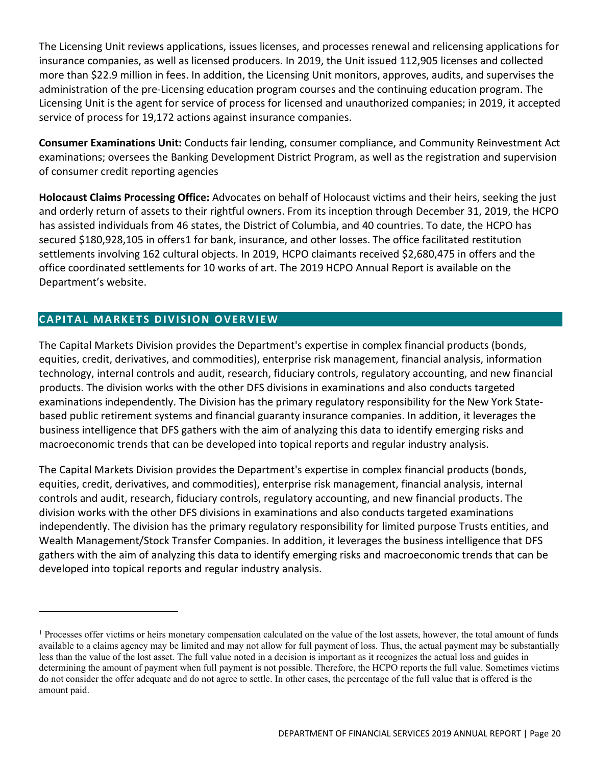The Licensing Unit reviews applications, issues licenses, and processes renewal and relicensing applications for insurance companies, as well as licensed producers. In 2019, the Unit issued 112,905 licenses and collected more than \$22.9 million in fees. In addition, the Licensing Unit monitors, approves, audits, and supervises the administration of the pre-Licensing education program courses and the continuing education program. The Licensing Unit is the agent for service of process for licensed and unauthorized companies; in 2019, it accepted service of process for 19,172 actions against insurance companies.

**Consumer Examinations Unit:** Conducts fair lending, consumer compliance, and Community Reinvestment Act examinations; oversees the Banking Development District Program, as well as the registration and supervision of consumer credit reporting agencies

**Holocaust Claims Processing Office:** Advocates on behalf of Holocaust victims and their heirs, seeking the just and orderly return of assets to their rightful owners. From its inception through December 31, 2019, the HCPO has assisted individuals from 46 states, the District of Columbia, and 40 countries. To date, the HCPO has secured \$180,928,105 in offers[1](#page-19-1) for bank, insurance, and other losses. The office facilitated restitution settlements involving 162 cultural objects. In 2019, HCPO claimants received \$2,680,475 in offers and the office coordinated settlements for 10 works of art. The 2019 HCPO Annual Report is available on the Department's website.

# <span id="page-19-0"></span>**CAPITAL MARKETS DIVISION OVERVIEW**

The Capital Markets Division provides the Department's expertise in complex financial products (bonds, equities, credit, derivatives, and commodities), enterprise risk management, financial analysis, information technology, internal controls and audit, research, fiduciary controls, regulatory accounting, and new financial products. The division works with the other DFS divisions in examinations and also conducts targeted examinations independently. The Division has the primary regulatory responsibility for the New York Statebased public retirement systems and financial guaranty insurance companies. In addition, it leverages the business intelligence that DFS gathers with the aim of analyzing this data to identify emerging risks and macroeconomic trends that can be developed into topical reports and regular industry analysis.

The Capital Markets Division provides the Department's expertise in complex financial products (bonds, equities, credit, derivatives, and commodities), enterprise risk management, financial analysis, internal controls and audit, research, fiduciary controls, regulatory accounting, and new financial products. The division works with the other DFS divisions in examinations and also conducts targeted examinations independently. The division has the primary regulatory responsibility for limited purpose Trusts entities, and Wealth Management/Stock Transfer Companies. In addition, it leverages the business intelligence that DFS gathers with the aim of analyzing this data to identify emerging risks and macroeconomic trends that can be developed into topical reports and regular industry analysis.

<span id="page-19-1"></span><sup>&</sup>lt;sup>1</sup> Processes offer victims or heirs monetary compensation calculated on the value of the lost assets, however, the total amount of funds available to a claims agency may be limited and may not allow for full payment of loss. Thus, the actual payment may be substantially less than the value of the lost asset. The full value noted in a decision is important as it recognizes the actual loss and guides in determining the amount of payment when full payment is not possible. Therefore, the HCPO reports the full value. Sometimes victims do not consider the offer adequate and do not agree to settle. In other cases, the percentage of the full value that is offered is the amount paid.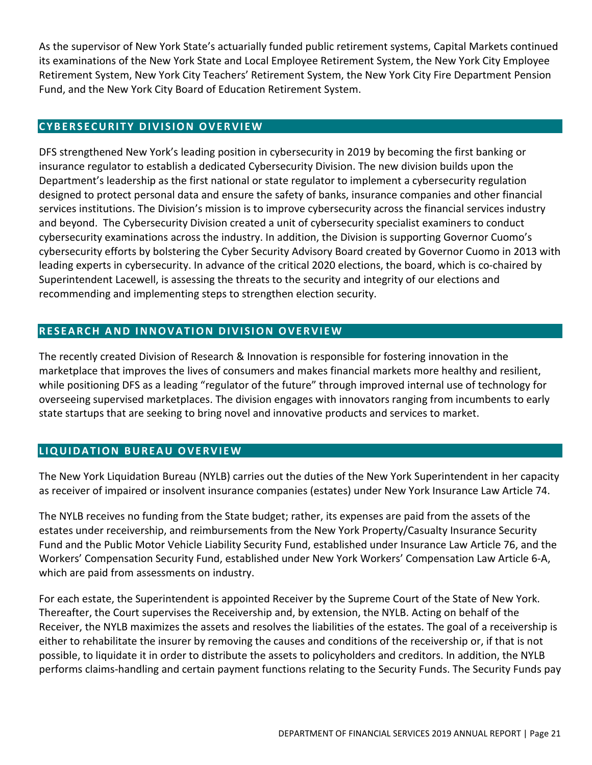As the supervisor of New York State's actuarially funded public retirement systems, Capital Markets continued its examinations of the New York State and Local Employee Retirement System, the New York City Employee Retirement System, New York City Teachers' Retirement System, the New York City Fire Department Pension Fund, and the New York City Board of Education Retirement System.

#### <span id="page-20-0"></span>**CYBERSECURITY DIVISION OVERVIEW**

DFS strengthened New York's leading position in cybersecurity in 2019 by becoming the first banking or insurance regulator to establish a dedicated Cybersecurity Division. The new division builds upon the Department's leadership as the first national or state regulator to implement a cybersecurity regulation designed to protect personal data and ensure the safety of banks, insurance companies and other financial services institutions. The Division's mission is to improve cybersecurity across the financial services industry and beyond. The Cybersecurity Division created a unit of cybersecurity specialist examiners to conduct cybersecurity examinations across the industry. In addition, the Division is supporting Governor Cuomo's cybersecurity efforts by bolstering the Cyber Security Advisory Board created by Governor Cuomo in 2013 with leading experts in cybersecurity. In advance of the critical 2020 elections, the board, which is co-chaired by Superintendent Lacewell, is assessing the threats to the security and integrity of our elections and recommending and implementing steps to strengthen election security.

# <span id="page-20-1"></span>**RESEARCH AND INNOVATION DIVISION OVERVIEW**

The recently created Division of Research & Innovation is responsible for fostering innovation in the marketplace that improves the lives of consumers and makes financial markets more healthy and resilient, while positioning DFS as a leading "regulator of the future" through improved internal use of technology for overseeing supervised marketplaces. The division engages with innovators ranging from incumbents to early state startups that are seeking to bring novel and innovative products and services to market.

# <span id="page-20-2"></span>**LIQUIDATION BUREAU OVERVIEW**

The New York Liquidation Bureau (NYLB) carries out the duties of the New York Superintendent in her capacity as receiver of impaired or insolvent insurance companies (estates) under New York Insurance Law Article 74.

The NYLB receives no funding from the State budget; rather, its expenses are paid from the assets of the estates under receivership, and reimbursements from the New York Property/Casualty Insurance Security Fund and the Public Motor Vehicle Liability Security Fund, established under Insurance Law Article 76, and the Workers' Compensation Security Fund, established under New York Workers' Compensation Law Article 6-A, which are paid from assessments on industry.

For each estate, the Superintendent is appointed Receiver by the Supreme Court of the State of New York. Thereafter, the Court supervises the Receivership and, by extension, the NYLB. Acting on behalf of the Receiver, the NYLB maximizes the assets and resolves the liabilities of the estates. The goal of a receivership is either to rehabilitate the insurer by removing the causes and conditions of the receivership or, if that is not possible, to liquidate it in order to distribute the assets to policyholders and creditors. In addition, the NYLB performs claims-handling and certain payment functions relating to the Security Funds. The Security Funds pay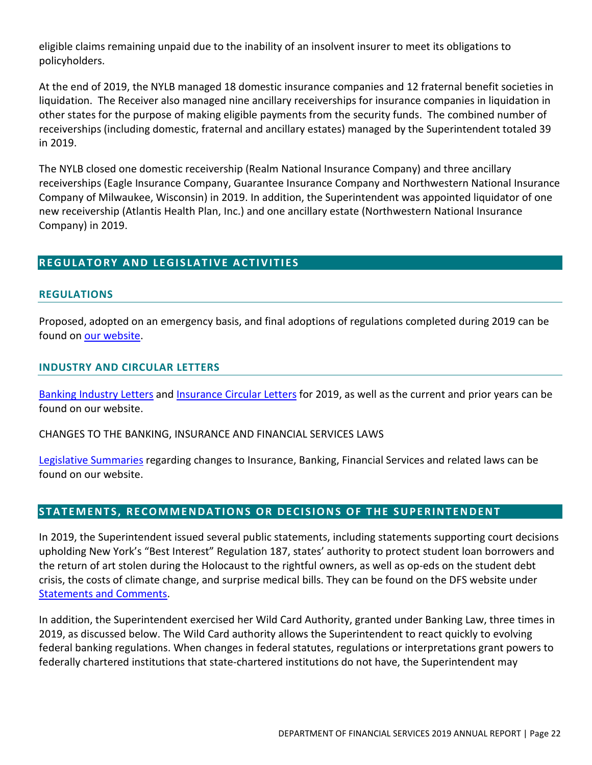eligible claims remaining unpaid due to the inability of an insolvent insurer to meet its obligations to policyholders.

At the end of 2019, the NYLB managed 18 domestic insurance companies and 12 fraternal benefit societies in liquidation. The Receiver also managed nine ancillary receiverships for insurance companies in liquidation in other states for the purpose of making eligible payments from the security funds. The combined number of receiverships (including domestic, fraternal and ancillary estates) managed by the Superintendent totaled 39 in 2019.

The NYLB closed one domestic receivership (Realm National Insurance Company) and three ancillary receiverships (Eagle Insurance Company, Guarantee Insurance Company and Northwestern National Insurance Company of Milwaukee, Wisconsin) in 2019. In addition, the Superintendent was appointed liquidator of one new receivership (Atlantis Health Plan, Inc.) and one ancillary estate (Northwestern National Insurance Company) in 2019.

# <span id="page-21-0"></span>**REGULATORY AND LEGISLATIVE ACTIVITIES**

#### <span id="page-21-1"></span>**REGULATIONS**

Proposed, adopted on an emergency basis, and final adoptions of regulations completed during 2019 can be found on our [website.](https://www.dfs.ny.gov/industry_guidance/regulations/legislative_summaries)

#### <span id="page-21-2"></span>**INDUSTRY AND CIRCULAR LETTERS**

Banking [Industry](https://www.dfs.ny.gov/industry_guidance/industry_letters) Letters and [Insurance](https://www.dfs.ny.gov/industry_guidance/circular_letters/table_previous_1991) Circular Letters for 2019, as well as the current and prior years can be found on our website.

CHANGES TO THE BANKING, INSURANCE AND FINANCIAL SERVICES LAWS

Legislative [Summaries](https://www.dfs.ny.gov/industry_guidance/regulations/legislative_summaries) regarding changes to Insurance, Banking, Financial Services and related laws can be found on our website.

# <span id="page-21-3"></span>**STATEMENTS, RECOMMENDATIONS O R DECISIONS O F THE SUPERINTENDENT**

In 2019, the Superintendent issued several public statements, including statements supporting court decisions upholding New York's "Best Interest" Regulation 187, states' authority to protect student loan borrowers and the return of art stolen during the Holocaust to the rightful owners, as well as op-eds on the student debt crisis, the costs of climate change, and surprise medical bills. They can be found on the DFS website under [Statements](https://www.dfs.ny.gov/reports_and_publications/statements_comments) and Comments.

In addition, the Superintendent exercised her Wild Card Authority, granted under Banking Law, three times in 2019, as discussed below. The Wild Card authority allows the Superintendent to react quickly to evolving federal banking regulations. When changes in federal statutes, regulations or interpretations grant powers to federally chartered institutions that state-chartered institutions do not have, the Superintendent may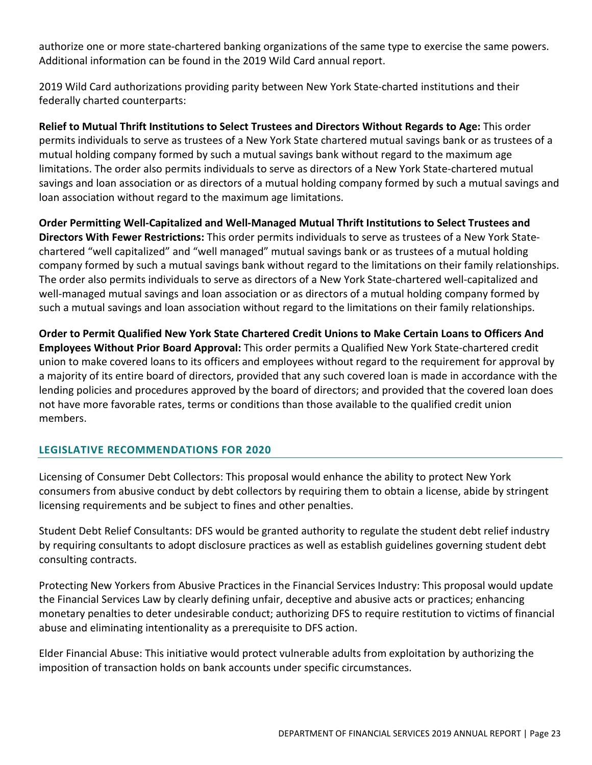authorize one or more state-chartered banking organizations of the same type to exercise the same powers. Additional information can be found in the 2019 Wild Card annual report.

2019 Wild Card authorizations providing parity between New York State-charted institutions and their federally charted counterparts:

**Relief to Mutual Thrift Institutions to Select Trustees and Directors Without Regards to Age:** This order permits individuals to serve as trustees of a New York State chartered mutual savings bank or as trustees of a mutual holding company formed by such a mutual savings bank without regard to the maximum age limitations. The order also permits individuals to serve as directors of a New York State-chartered mutual savings and loan association or as directors of a mutual holding company formed by such a mutual savings and loan association without regard to the maximum age limitations.

**Order Permitting Well-Capitalized and Well-Managed Mutual Thrift Institutions to Select Trustees and Directors With Fewer Restrictions:** This order permits individuals to serve as trustees of a New York Statechartered "well capitalized" and "well managed" mutual savings bank or as trustees of a mutual holding company formed by such a mutual savings bank without regard to the limitations on their family relationships. The order also permits individuals to serve as directors of a New York State-chartered well-capitalized and well-managed mutual savings and loan association or as directors of a mutual holding company formed by such a mutual savings and loan association without regard to the limitations on their family relationships.

**Order to Permit Qualified New York State Chartered Credit Unions to Make Certain Loans to Officers And Employees Without Prior Board Approval:** This order permits a Qualified New York State-chartered credit union to make covered loans to its officers and employees without regard to the requirement for approval by a majority of its entire board of directors, provided that any such covered loan is made in accordance with the lending policies and procedures approved by the board of directors; and provided that the covered loan does not have more favorable rates, terms or conditions than those available to the qualified credit union members.

# <span id="page-22-0"></span>**LEGISLATIVE RECOMMENDATIONS FOR 2020**

Licensing of Consumer Debt Collectors: This proposal would enhance the ability to protect New York consumers from abusive conduct by debt collectors by requiring them to obtain a license, abide by stringent licensing requirements and be subject to fines and other penalties.

Student Debt Relief Consultants: DFS would be granted authority to regulate the student debt relief industry by requiring consultants to adopt disclosure practices as well as establish guidelines governing student debt consulting contracts.

Protecting New Yorkers from Abusive Practices in the Financial Services Industry: This proposal would update the Financial Services Law by clearly defining unfair, deceptive and abusive acts or practices; enhancing monetary penalties to deter undesirable conduct; authorizing DFS to require restitution to victims of financial abuse and eliminating intentionality as a prerequisite to DFS action.

Elder Financial Abuse: This initiative would protect vulnerable adults from exploitation by authorizing the imposition of transaction holds on bank accounts under specific circumstances.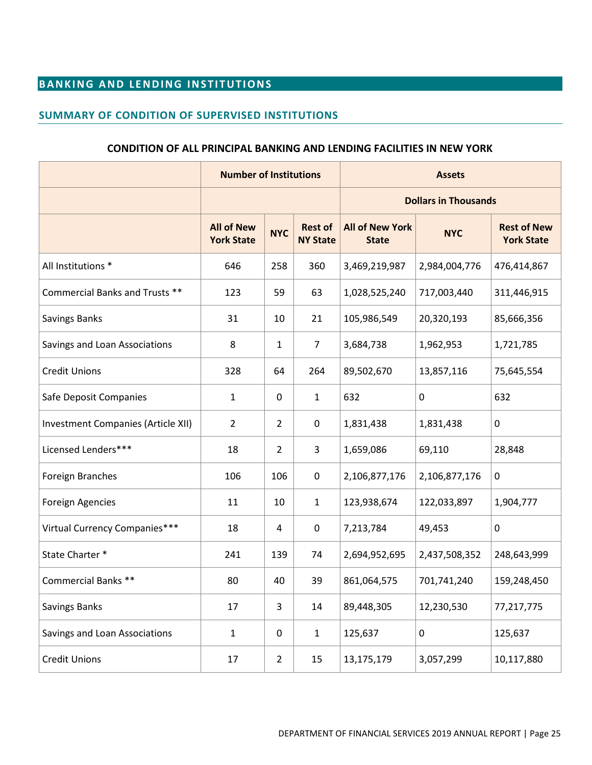# <span id="page-24-0"></span>**BANKING AND LENDING INSTITUTIONS**

#### <span id="page-24-1"></span>**SUMMARY OF CONDITION OF SUPERVISED INSTITUTIONS**

#### **CONDITION OF ALL PRINCIPAL BANKING AND LENDING FACILITIES IN NEW YORK**

|                                    | <b>Number of Institutions</b>          |                |                                   | <b>Assets</b>                          |               |                                         |  |
|------------------------------------|----------------------------------------|----------------|-----------------------------------|----------------------------------------|---------------|-----------------------------------------|--|
|                                    |                                        |                |                                   | <b>Dollars in Thousands</b>            |               |                                         |  |
|                                    | <b>All of New</b><br><b>York State</b> | <b>NYC</b>     | <b>Rest of</b><br><b>NY State</b> | <b>All of New York</b><br><b>State</b> | <b>NYC</b>    | <b>Rest of New</b><br><b>York State</b> |  |
| All Institutions *                 | 646                                    | 258            | 360                               | 3,469,219,987                          | 2,984,004,776 | 476,414,867                             |  |
| Commercial Banks and Trusts **     | 123                                    | 59             | 63                                | 1,028,525,240                          | 717,003,440   | 311,446,915                             |  |
| Savings Banks                      | 31                                     | 10             | 21                                | 105,986,549                            | 20,320,193    | 85,666,356                              |  |
| Savings and Loan Associations      | 8                                      | 1              | $\overline{7}$                    | 3,684,738                              | 1,962,953     | 1,721,785                               |  |
| <b>Credit Unions</b>               | 328                                    | 64             | 264                               | 89,502,670                             | 13,857,116    | 75,645,554                              |  |
| Safe Deposit Companies             | $\mathbf{1}$                           | 0              | $\mathbf{1}$                      | 632                                    | 0             | 632                                     |  |
| Investment Companies (Article XII) | $\overline{2}$                         | $\overline{2}$ | 0                                 | 1,831,438                              | 1,831,438     | $\mathbf 0$                             |  |
| Licensed Lenders***                | 18                                     | $\overline{2}$ | 3                                 | 1,659,086                              | 69,110        | 28,848                                  |  |
| <b>Foreign Branches</b>            | 106                                    | 106            | $\mathbf 0$                       | 2,106,877,176                          | 2,106,877,176 | $\mathbf 0$                             |  |
| <b>Foreign Agencies</b>            | 11                                     | 10             | $\mathbf{1}$                      | 123,938,674                            | 122,033,897   | 1,904,777                               |  |
| Virtual Currency Companies***      | 18                                     | 4              | 0                                 | 7,213,784                              | 49,453        | $\pmb{0}$                               |  |
| State Charter *                    | 241                                    | 139            | 74                                | 2,694,952,695                          | 2,437,508,352 | 248,643,999                             |  |
| <b>Commercial Banks **</b>         | 80                                     | 40             | 39                                | 861,064,575                            | 701,741,240   | 159,248,450                             |  |
| Savings Banks                      | 17                                     | 3              | 14                                | 89,448,305                             | 12,230,530    | 77,217,775                              |  |
| Savings and Loan Associations      | $\mathbf 1$                            | 0              | $\mathbf{1}$                      | 125,637                                | $\pmb{0}$     | 125,637                                 |  |
| <b>Credit Unions</b>               | 17                                     | $\overline{2}$ | 15                                | 13,175,179                             | 3,057,299     | 10,117,880                              |  |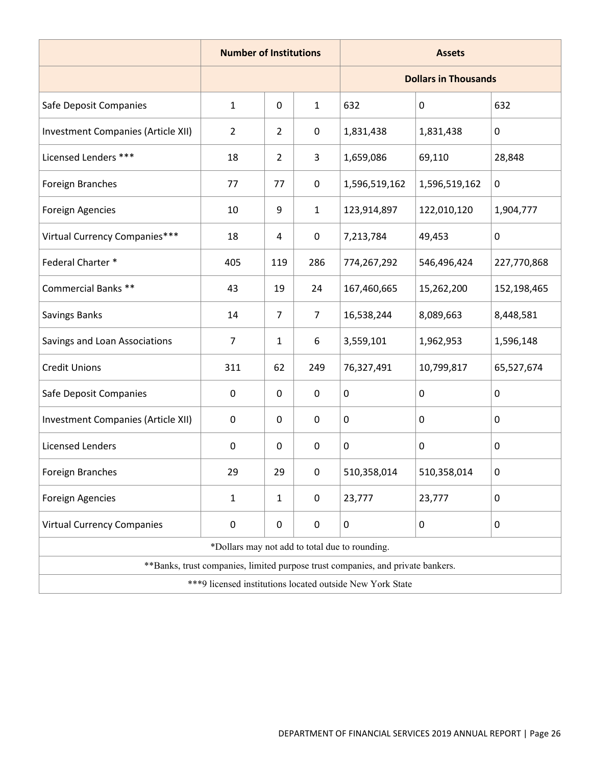|                                                            | <b>Number of Institutions</b>                  |                |                | <b>Assets</b>                                                                   |               |             |  |
|------------------------------------------------------------|------------------------------------------------|----------------|----------------|---------------------------------------------------------------------------------|---------------|-------------|--|
|                                                            |                                                |                |                | <b>Dollars in Thousands</b>                                                     |               |             |  |
| Safe Deposit Companies                                     | $\mathbf{1}$                                   | $\pmb{0}$      | $\mathbf{1}$   | 632                                                                             | 0             | 632         |  |
| <b>Investment Companies (Article XII)</b>                  | $\overline{2}$                                 | 2              | $\pmb{0}$      | 1,831,438                                                                       | 1,831,438     | 0           |  |
| Licensed Lenders ***                                       | 18                                             | 2              | 3              | 1,659,086                                                                       | 69,110        | 28,848      |  |
| Foreign Branches                                           | 77                                             | 77             | $\mathbf 0$    | 1,596,519,162                                                                   | 1,596,519,162 | $\mathbf 0$ |  |
| Foreign Agencies                                           | 10                                             | 9              | $\mathbf{1}$   | 123,914,897                                                                     | 122,010,120   | 1,904,777   |  |
| Virtual Currency Companies***                              | 18                                             | 4              | $\pmb{0}$      | 7,213,784                                                                       | 49,453        | $\mathbf 0$ |  |
| Federal Charter *                                          | 405                                            | 119            | 286            | 774,267,292                                                                     | 546,496,424   | 227,770,868 |  |
| Commercial Banks **                                        | 43                                             | 19             | 24             | 167,460,665                                                                     | 15,262,200    | 152,198,465 |  |
| <b>Savings Banks</b>                                       | 14                                             | $\overline{7}$ | $\overline{7}$ | 16,538,244                                                                      | 8,089,663     | 8,448,581   |  |
| Savings and Loan Associations                              | $\overline{7}$                                 | $\mathbf{1}$   | 6              | 3,559,101                                                                       | 1,962,953     | 1,596,148   |  |
| <b>Credit Unions</b>                                       | 311                                            | 62             | 249            | 76,327,491                                                                      | 10,799,817    | 65,527,674  |  |
| Safe Deposit Companies                                     | $\mathbf 0$                                    | 0              | 0              | 0                                                                               | $\mathbf 0$   | $\mathbf 0$ |  |
| Investment Companies (Article XII)                         | $\pmb{0}$                                      | $\pmb{0}$      | $\mathbf 0$    | 0                                                                               | $\mathbf 0$   | $\mathbf 0$ |  |
| <b>Licensed Lenders</b>                                    | $\mathbf 0$                                    | 0              | $\mathbf 0$    | 0                                                                               | 0             | 0           |  |
| <b>Foreign Branches</b>                                    | 29                                             | 29             | $\pmb{0}$      | 510,358,014                                                                     | 510,358,014   | $\pmb{0}$   |  |
| <b>Foreign Agencies</b>                                    | $\mathbf{1}$                                   | $\mathbf{1}$   | $\pmb{0}$      | 23,777                                                                          | 23,777        | 0           |  |
| <b>Virtual Currency Companies</b>                          | $\pmb{0}$                                      | $\mathbf 0$    | $\pmb{0}$      | 0                                                                               | $\mathbf 0$   | 0           |  |
|                                                            | *Dollars may not add to total due to rounding. |                |                |                                                                                 |               |             |  |
|                                                            |                                                |                |                | **Banks, trust companies, limited purpose trust companies, and private bankers. |               |             |  |
| *** 9 licensed institutions located outside New York State |                                                |                |                |                                                                                 |               |             |  |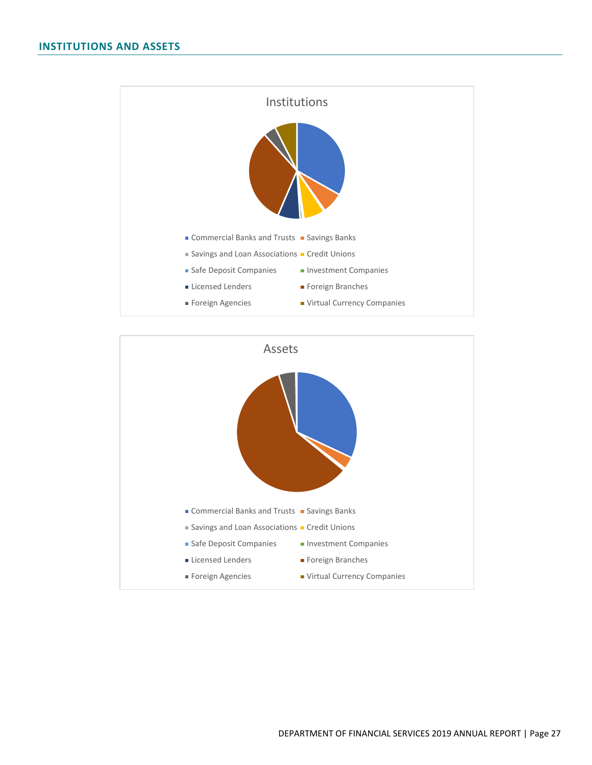<span id="page-26-0"></span>

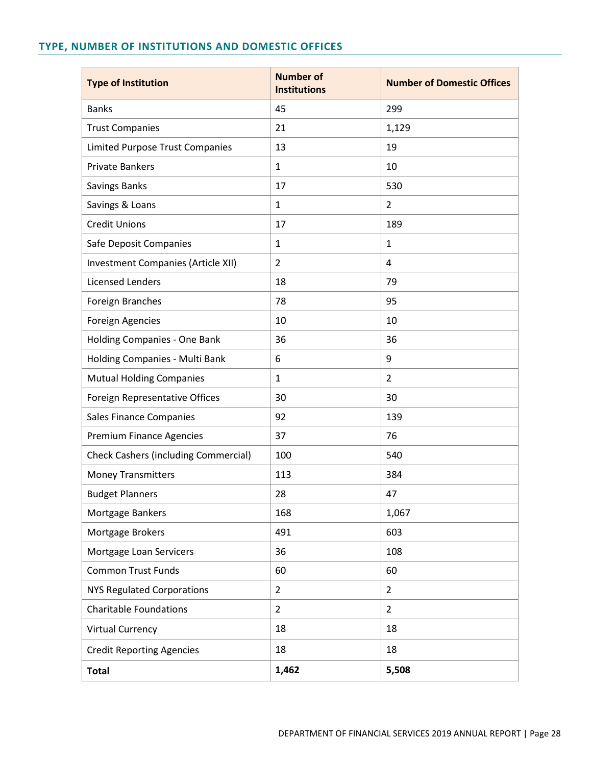# <span id="page-27-0"></span>**TYPE, NUMBER OF INSTITUTIONS AND DOMESTIC OFFICES**

| <b>Type of Institution</b>                  | <b>Number of</b><br><b>Institutions</b> | <b>Number of Domestic Offices</b> |
|---------------------------------------------|-----------------------------------------|-----------------------------------|
| <b>Banks</b>                                | 45                                      | 299                               |
| <b>Trust Companies</b>                      | 21                                      | 1,129                             |
| <b>Limited Purpose Trust Companies</b>      | 13                                      | 19                                |
| <b>Private Bankers</b>                      | $\mathbf{1}$                            | 10                                |
| Savings Banks                               | 17                                      | 530                               |
| Savings & Loans                             | $\mathbf{1}$                            | $\overline{2}$                    |
| <b>Credit Unions</b>                        | 17                                      | 189                               |
| Safe Deposit Companies                      | $\mathbf{1}$                            | $\mathbf{1}$                      |
| Investment Companies (Article XII)          | $\overline{2}$                          | 4                                 |
| <b>Licensed Lenders</b>                     | 18                                      | 79                                |
| Foreign Branches                            | 78                                      | 95                                |
| <b>Foreign Agencies</b>                     | 10                                      | 10                                |
| Holding Companies - One Bank                | 36                                      | 36                                |
| Holding Companies - Multi Bank              | 6                                       | 9                                 |
| <b>Mutual Holding Companies</b>             | $\mathbf{1}$                            | $\overline{2}$                    |
| Foreign Representative Offices              | 30                                      | 30                                |
| Sales Finance Companies                     | 92                                      | 139                               |
| <b>Premium Finance Agencies</b>             | 37                                      | 76                                |
| <b>Check Cashers (including Commercial)</b> | 100                                     | 540                               |
| <b>Money Transmitters</b>                   | 113                                     | 384                               |
| <b>Budget Planners</b>                      | 28                                      | 47                                |
| Mortgage Bankers                            | 168                                     | 1,067                             |
| Mortgage Brokers                            | 491                                     | 603                               |
| Mortgage Loan Servicers                     | 36                                      | 108                               |
| <b>Common Trust Funds</b>                   | 60                                      | 60                                |
| <b>NYS Regulated Corporations</b>           | $\overline{2}$                          | $\overline{2}$                    |
| <b>Charitable Foundations</b>               | $\overline{2}$                          | $\overline{2}$                    |
| <b>Virtual Currency</b>                     | 18                                      | 18                                |
| <b>Credit Reporting Agencies</b>            | 18                                      | 18                                |
| <b>Total</b>                                | 1,462                                   | 5,508                             |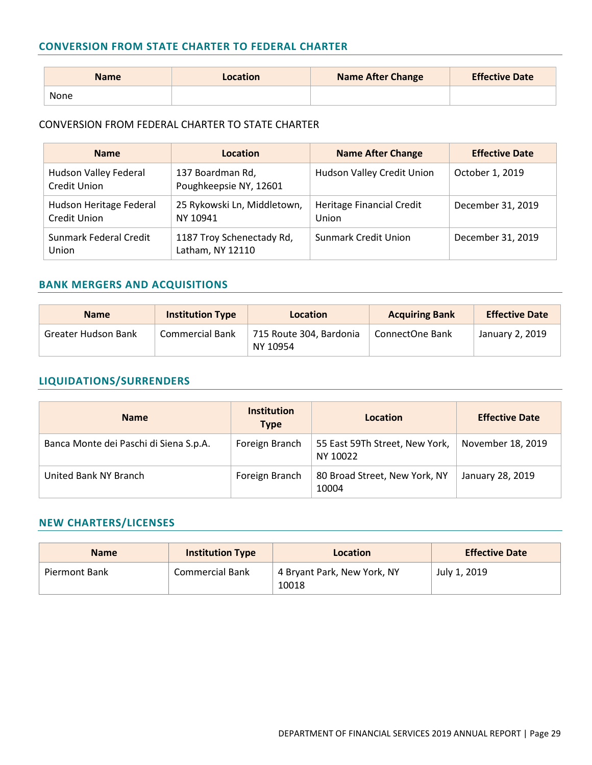#### <span id="page-28-0"></span>**CONVERSION FROM STATE CHARTER TO FEDERAL CHARTER**

| <b>Name</b> | Location | <b>Name After Change</b> | <b>Effective Date</b> |
|-------------|----------|--------------------------|-----------------------|
| None        |          |                          |                       |

#### CONVERSION FROM FEDERAL CHARTER TO STATE CHARTER

| <b>Name</b>                                    | Location                                      | <b>Name After Change</b>           | <b>Effective Date</b> |
|------------------------------------------------|-----------------------------------------------|------------------------------------|-----------------------|
| Hudson Valley Federal<br><b>Credit Union</b>   | 137 Boardman Rd,<br>Poughkeepsie NY, 12601    | Hudson Valley Credit Union         | October 1, 2019       |
| Hudson Heritage Federal<br><b>Credit Union</b> | 25 Rykowski Ln, Middletown,<br>NY 10941       | Heritage Financial Credit<br>Union | December 31, 2019     |
| Sunmark Federal Credit<br>Union                | 1187 Troy Schenectady Rd,<br>Latham, NY 12110 | Sunmark Credit Union               | December 31, 2019     |

#### <span id="page-28-1"></span>**BANK MERGERS AND ACQUISITIONS**

| <b>Name</b>         | <b>Institution Type</b> | Location                            | <b>Acquiring Bank</b> | <b>Effective Date</b> |
|---------------------|-------------------------|-------------------------------------|-----------------------|-----------------------|
| Greater Hudson Bank | <b>Commercial Bank</b>  | 715 Route 304, Bardonia<br>NY 10954 | ConnectOne Bank       | January 2, 2019       |

# <span id="page-28-2"></span>**LIQUIDATIONS/SURRENDERS**

| <b>Name</b>                            | <b>Institution</b><br><b>Type</b> | Location                                   | <b>Effective Date</b> |
|----------------------------------------|-----------------------------------|--------------------------------------------|-----------------------|
| Banca Monte dei Paschi di Siena S.p.A. | Foreign Branch                    | 55 East 59Th Street, New York,<br>NY 10022 | November 18, 2019     |
| United Bank NY Branch                  | Foreign Branch                    | 80 Broad Street, New York, NY<br>10004     | January 28, 2019      |

# <span id="page-28-3"></span>**NEW CHARTERS/LICENSES**

| <b>Name</b>   | <b>Institution Type</b> | Location                             | <b>Effective Date</b> |
|---------------|-------------------------|--------------------------------------|-----------------------|
| Piermont Bank | Commercial Bank         | 4 Bryant Park, New York, NY<br>10018 | July 1, 2019          |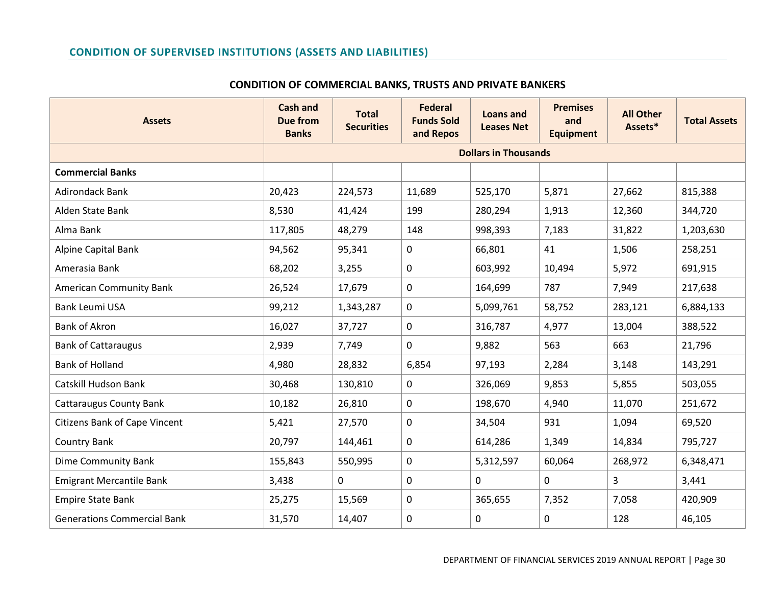#### **CONDITION OF SUPERVISED INSTITUTIONS (ASSETS AND LIABILITIES)**

<span id="page-29-0"></span>

| <b>Assets</b>                        | <b>Cash and</b><br><b>Due from</b><br><b>Banks</b> | <b>Total</b><br><b>Securities</b> | <b>Federal</b><br><b>Funds Sold</b><br>and Repos | <b>Loans and</b><br><b>Leases Net</b> | <b>Premises</b><br>and<br><b>Equipment</b> | <b>All Other</b><br>Assets* | <b>Total Assets</b> |  |
|--------------------------------------|----------------------------------------------------|-----------------------------------|--------------------------------------------------|---------------------------------------|--------------------------------------------|-----------------------------|---------------------|--|
|                                      |                                                    | <b>Dollars in Thousands</b>       |                                                  |                                       |                                            |                             |                     |  |
| <b>Commercial Banks</b>              |                                                    |                                   |                                                  |                                       |                                            |                             |                     |  |
| <b>Adirondack Bank</b>               | 20,423                                             | 224,573                           | 11,689                                           | 525,170                               | 5,871                                      | 27,662                      | 815,388             |  |
| Alden State Bank                     | 8,530                                              | 41,424                            | 199                                              | 280,294                               | 1,913                                      | 12,360                      | 344,720             |  |
| Alma Bank                            | 117,805                                            | 48,279                            | 148                                              | 998,393                               | 7,183                                      | 31,822                      | 1,203,630           |  |
| Alpine Capital Bank                  | 94,562                                             | 95,341                            | 0                                                | 66,801                                | 41                                         | 1,506                       | 258,251             |  |
| Amerasia Bank                        | 68,202                                             | 3,255                             | 0                                                | 603,992                               | 10,494                                     | 5,972                       | 691,915             |  |
| <b>American Community Bank</b>       | 26,524                                             | 17,679                            | 0                                                | 164,699                               | 787                                        | 7,949                       | 217,638             |  |
| Bank Leumi USA                       | 99,212                                             | 1,343,287                         | 0                                                | 5,099,761                             | 58,752                                     | 283,121                     | 6,884,133           |  |
| <b>Bank of Akron</b>                 | 16,027                                             | 37,727                            | 0                                                | 316,787                               | 4,977                                      | 13,004                      | 388,522             |  |
| <b>Bank of Cattaraugus</b>           | 2,939                                              | 7,749                             | 0                                                | 9,882                                 | 563                                        | 663                         | 21,796              |  |
| <b>Bank of Holland</b>               | 4,980                                              | 28,832                            | 6,854                                            | 97,193                                | 2,284                                      | 3,148                       | 143,291             |  |
| Catskill Hudson Bank                 | 30,468                                             | 130,810                           | 0                                                | 326,069                               | 9,853                                      | 5,855                       | 503,055             |  |
| <b>Cattaraugus County Bank</b>       | 10,182                                             | 26,810                            | 0                                                | 198,670                               | 4,940                                      | 11,070                      | 251,672             |  |
| <b>Citizens Bank of Cape Vincent</b> | 5,421                                              | 27,570                            | 0                                                | 34,504                                | 931                                        | 1,094                       | 69,520              |  |
| <b>Country Bank</b>                  | 20,797                                             | 144,461                           | 0                                                | 614,286                               | 1,349                                      | 14,834                      | 795,727             |  |
| Dime Community Bank                  | 155,843                                            | 550,995                           | 0                                                | 5,312,597                             | 60,064                                     | 268,972                     | 6,348,471           |  |
| <b>Emigrant Mercantile Bank</b>      | 3,438                                              | $\mathbf 0$                       | 0                                                | 0                                     | 0                                          | 3                           | 3,441               |  |
| <b>Empire State Bank</b>             | 25,275                                             | 15,569                            | 0                                                | 365,655                               | 7,352                                      | 7,058                       | 420,909             |  |
| <b>Generations Commercial Bank</b>   | 31,570                                             | 14,407                            | 0                                                | 0                                     | 0                                          | 128                         | 46,105              |  |

#### **CONDITION OF COMMERCIAL BANKS, TRUSTS AND PRIVATE BANKERS**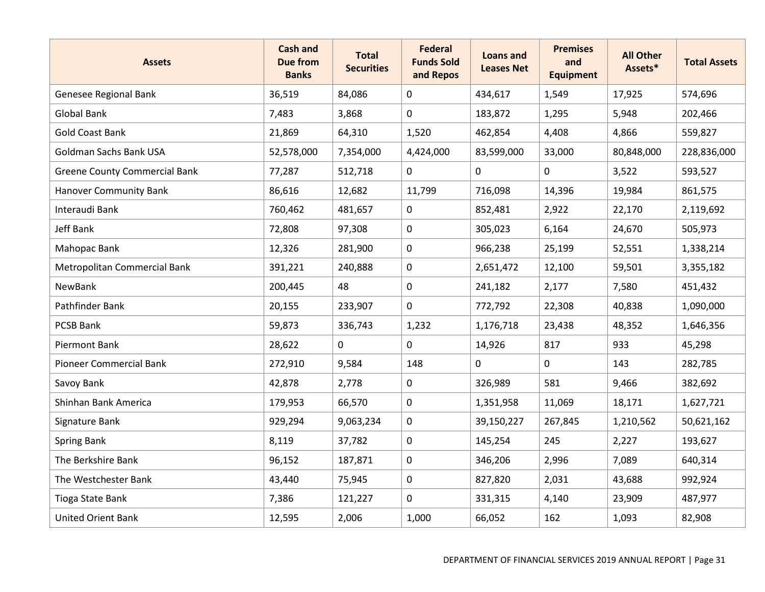| <b>Assets</b>                        | <b>Cash and</b><br><b>Due from</b><br><b>Banks</b> | <b>Total</b><br><b>Securities</b> | <b>Federal</b><br><b>Funds Sold</b><br>and Repos | <b>Loans and</b><br><b>Leases Net</b> | <b>Premises</b><br>and<br><b>Equipment</b> | <b>All Other</b><br>Assets* | <b>Total Assets</b> |
|--------------------------------------|----------------------------------------------------|-----------------------------------|--------------------------------------------------|---------------------------------------|--------------------------------------------|-----------------------------|---------------------|
| Genesee Regional Bank                | 36,519                                             | 84,086                            | 0                                                | 434,617                               | 1,549                                      | 17,925                      | 574,696             |
| Global Bank                          | 7,483                                              | 3,868                             | 0                                                | 183,872                               | 1,295                                      | 5,948                       | 202,466             |
| <b>Gold Coast Bank</b>               | 21,869                                             | 64,310                            | 1,520                                            | 462,854                               | 4,408                                      | 4,866                       | 559,827             |
| Goldman Sachs Bank USA               | 52,578,000                                         | 7,354,000                         | 4,424,000                                        | 83,599,000                            | 33,000                                     | 80,848,000                  | 228,836,000         |
| <b>Greene County Commercial Bank</b> | 77,287                                             | 512,718                           | 0                                                | $\mathbf 0$                           | $\mathbf 0$                                | 3,522                       | 593,527             |
| <b>Hanover Community Bank</b>        | 86,616                                             | 12,682                            | 11,799                                           | 716,098                               | 14,396                                     | 19,984                      | 861,575             |
| Interaudi Bank                       | 760,462                                            | 481,657                           | 0                                                | 852,481                               | 2,922                                      | 22,170                      | 2,119,692           |
| Jeff Bank                            | 72,808                                             | 97,308                            | $\mathbf 0$                                      | 305,023                               | 6,164                                      | 24,670                      | 505,973             |
| Mahopac Bank                         | 12,326                                             | 281,900                           | $\mathbf 0$                                      | 966,238                               | 25,199                                     | 52,551                      | 1,338,214           |
| Metropolitan Commercial Bank         | 391,221                                            | 240,888                           | 0                                                | 2,651,472                             | 12,100                                     | 59,501                      | 3,355,182           |
| <b>NewBank</b>                       | 200,445                                            | 48                                | 0                                                | 241,182                               | 2,177                                      | 7,580                       | 451,432             |
| Pathfinder Bank                      | 20,155                                             | 233,907                           | 0                                                | 772,792                               | 22,308                                     | 40,838                      | 1,090,000           |
| PCSB Bank                            | 59,873                                             | 336,743                           | 1,232                                            | 1,176,718                             | 23,438                                     | 48,352                      | 1,646,356           |
| <b>Piermont Bank</b>                 | 28,622                                             | $\mathbf 0$                       | 0                                                | 14,926                                | 817                                        | 933                         | 45,298              |
| <b>Pioneer Commercial Bank</b>       | 272,910                                            | 9,584                             | 148                                              | 0                                     | 0                                          | 143                         | 282,785             |
| Savoy Bank                           | 42,878                                             | 2,778                             | 0                                                | 326,989                               | 581                                        | 9,466                       | 382,692             |
| Shinhan Bank America                 | 179,953                                            | 66,570                            | 0                                                | 1,351,958                             | 11,069                                     | 18,171                      | 1,627,721           |
| Signature Bank                       | 929,294                                            | 9,063,234                         | 0                                                | 39,150,227                            | 267,845                                    | 1,210,562                   | 50,621,162          |
| <b>Spring Bank</b>                   | 8,119                                              | 37,782                            | 0                                                | 145,254                               | 245                                        | 2,227                       | 193,627             |
| The Berkshire Bank                   | 96,152                                             | 187,871                           | 0                                                | 346,206                               | 2,996                                      | 7,089                       | 640,314             |
| The Westchester Bank                 | 43,440                                             | 75,945                            | 0                                                | 827,820                               | 2,031                                      | 43,688                      | 992,924             |
| Tioga State Bank                     | 7,386                                              | 121,227                           | $\mathbf 0$                                      | 331,315                               | 4,140                                      | 23,909                      | 487,977             |
| <b>United Orient Bank</b>            | 12,595                                             | 2,006                             | 1,000                                            | 66,052                                | 162                                        | 1,093                       | 82,908              |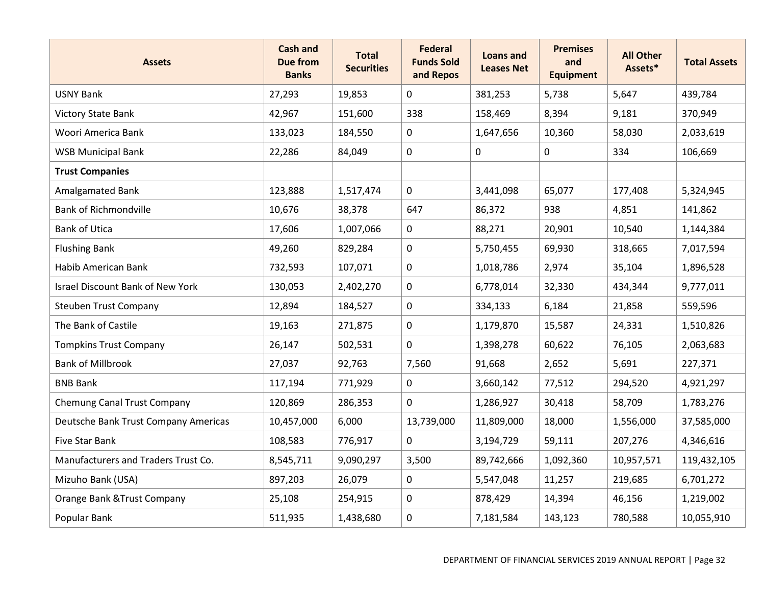| <b>Assets</b>                           | <b>Cash and</b><br><b>Due from</b><br><b>Banks</b> | <b>Total</b><br><b>Securities</b> | <b>Federal</b><br><b>Funds Sold</b><br>and Repos | <b>Loans and</b><br><b>Leases Net</b> | <b>Premises</b><br>and<br><b>Equipment</b> | <b>All Other</b><br>Assets* | <b>Total Assets</b> |
|-----------------------------------------|----------------------------------------------------|-----------------------------------|--------------------------------------------------|---------------------------------------|--------------------------------------------|-----------------------------|---------------------|
| <b>USNY Bank</b>                        | 27,293                                             | 19,853                            | 0                                                | 381,253                               | 5,738                                      | 5,647                       | 439,784             |
| <b>Victory State Bank</b>               | 42,967                                             | 151,600                           | 338                                              | 158,469                               | 8,394                                      | 9,181                       | 370,949             |
| Woori America Bank                      | 133,023                                            | 184,550                           | 0                                                | 1,647,656                             | 10,360                                     | 58,030                      | 2,033,619           |
| <b>WSB Municipal Bank</b>               | 22,286                                             | 84,049                            | 0                                                | 0                                     | 0                                          | 334                         | 106,669             |
| <b>Trust Companies</b>                  |                                                    |                                   |                                                  |                                       |                                            |                             |                     |
| Amalgamated Bank                        | 123,888                                            | 1,517,474                         | 0                                                | 3,441,098                             | 65,077                                     | 177,408                     | 5,324,945           |
| <b>Bank of Richmondville</b>            | 10,676                                             | 38,378                            | 647                                              | 86,372                                | 938                                        | 4,851                       | 141,862             |
| <b>Bank of Utica</b>                    | 17,606                                             | 1,007,066                         | 0                                                | 88,271                                | 20,901                                     | 10,540                      | 1,144,384           |
| <b>Flushing Bank</b>                    | 49,260                                             | 829,284                           | 0                                                | 5,750,455                             | 69,930                                     | 318,665                     | 7,017,594           |
| Habib American Bank                     | 732,593                                            | 107,071                           | 0                                                | 1,018,786                             | 2,974                                      | 35,104                      | 1,896,528           |
| <b>Israel Discount Bank of New York</b> | 130,053                                            | 2,402,270                         | 0                                                | 6,778,014                             | 32,330                                     | 434,344                     | 9,777,011           |
| <b>Steuben Trust Company</b>            | 12,894                                             | 184,527                           | 0                                                | 334,133                               | 6,184                                      | 21,858                      | 559,596             |
| The Bank of Castile                     | 19,163                                             | 271,875                           | 0                                                | 1,179,870                             | 15,587                                     | 24,331                      | 1,510,826           |
| <b>Tompkins Trust Company</b>           | 26,147                                             | 502,531                           | $\mathbf 0$                                      | 1,398,278                             | 60,622                                     | 76,105                      | 2,063,683           |
| <b>Bank of Millbrook</b>                | 27,037                                             | 92,763                            | 7,560                                            | 91,668                                | 2,652                                      | 5,691                       | 227,371             |
| <b>BNB Bank</b>                         | 117,194                                            | 771,929                           | 0                                                | 3,660,142                             | 77,512                                     | 294,520                     | 4,921,297           |
| Chemung Canal Trust Company             | 120,869                                            | 286,353                           | 0                                                | 1,286,927                             | 30,418                                     | 58,709                      | 1,783,276           |
| Deutsche Bank Trust Company Americas    | 10,457,000                                         | 6,000                             | 13,739,000                                       | 11,809,000                            | 18,000                                     | 1,556,000                   | 37,585,000          |
| Five Star Bank                          | 108,583                                            | 776,917                           | 0                                                | 3,194,729                             | 59,111                                     | 207,276                     | 4,346,616           |
| Manufacturers and Traders Trust Co.     | 8,545,711                                          | 9,090,297                         | 3,500                                            | 89,742,666                            | 1,092,360                                  | 10,957,571                  | 119,432,105         |
| Mizuho Bank (USA)                       | 897,203                                            | 26,079                            | 0                                                | 5,547,048                             | 11,257                                     | 219,685                     | 6,701,272           |
| Orange Bank & Trust Company             | 25,108                                             | 254,915                           | $\mathbf 0$                                      | 878,429                               | 14,394                                     | 46,156                      | 1,219,002           |
| Popular Bank                            | 511,935                                            | 1,438,680                         | 0                                                | 7,181,584                             | 143,123                                    | 780,588                     | 10,055,910          |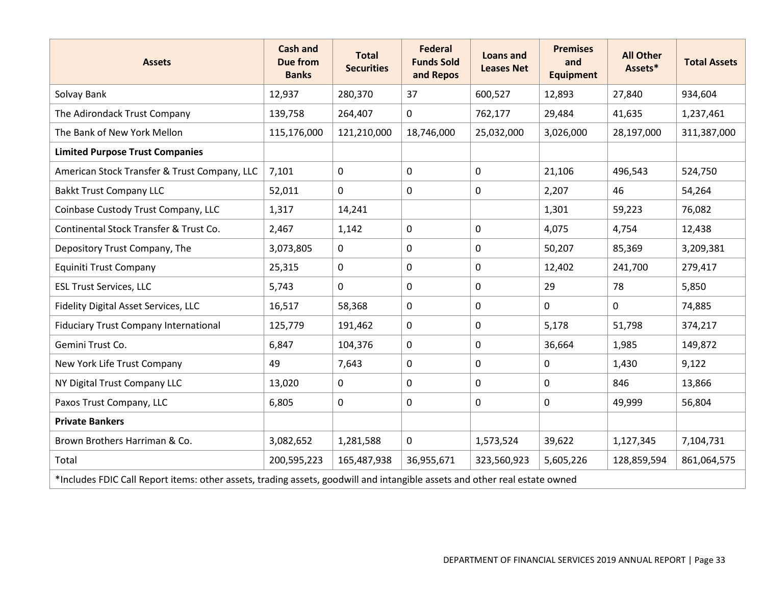| <b>Assets</b>                                                                                                              | <b>Cash and</b><br><b>Due from</b><br><b>Banks</b> | <b>Total</b><br><b>Securities</b> | <b>Federal</b><br><b>Funds Sold</b><br>and Repos | Loans and<br><b>Leases Net</b> | <b>Premises</b><br>and<br><b>Equipment</b> | <b>All Other</b><br>Assets* | <b>Total Assets</b> |  |  |
|----------------------------------------------------------------------------------------------------------------------------|----------------------------------------------------|-----------------------------------|--------------------------------------------------|--------------------------------|--------------------------------------------|-----------------------------|---------------------|--|--|
| Solvay Bank                                                                                                                | 12,937                                             | 280,370                           | 37                                               | 600,527                        | 12,893                                     | 27,840                      | 934,604             |  |  |
| The Adirondack Trust Company                                                                                               | 139,758                                            | 264,407                           | 0                                                | 762,177                        | 29,484                                     | 41,635                      | 1,237,461           |  |  |
| The Bank of New York Mellon                                                                                                | 115,176,000                                        | 121,210,000                       | 18,746,000                                       | 25,032,000                     | 3,026,000                                  | 28,197,000                  | 311,387,000         |  |  |
| <b>Limited Purpose Trust Companies</b>                                                                                     |                                                    |                                   |                                                  |                                |                                            |                             |                     |  |  |
| American Stock Transfer & Trust Company, LLC                                                                               | 7,101                                              | $\mathbf 0$                       | 0                                                | 0                              | 21,106                                     | 496,543                     | 524,750             |  |  |
| <b>Bakkt Trust Company LLC</b>                                                                                             | 52,011                                             | $\mathbf 0$                       | 0                                                | 0                              | 2,207                                      | 46                          | 54,264              |  |  |
| Coinbase Custody Trust Company, LLC                                                                                        | 1,317                                              | 14,241                            |                                                  |                                | 1,301                                      | 59,223                      | 76,082              |  |  |
| Continental Stock Transfer & Trust Co.                                                                                     | 2,467                                              | 1,142                             | 0                                                | 0                              | 4,075                                      | 4,754                       | 12,438              |  |  |
| Depository Trust Company, The                                                                                              | 3,073,805                                          | $\mathbf 0$                       | 0                                                | 0                              | 50,207                                     | 85,369                      | 3,209,381           |  |  |
| Equiniti Trust Company                                                                                                     | 25,315                                             | $\mathbf 0$                       | 0                                                | 0                              | 12,402                                     | 241,700                     | 279,417             |  |  |
| <b>ESL Trust Services, LLC</b>                                                                                             | 5,743                                              | $\mathbf 0$                       | $\mathbf 0$                                      | 0                              | 29                                         | 78                          | 5,850               |  |  |
| Fidelity Digital Asset Services, LLC                                                                                       | 16,517                                             | 58,368                            | $\mathbf 0$                                      | 0                              | 0                                          | $\mathbf 0$                 | 74,885              |  |  |
| <b>Fiduciary Trust Company International</b>                                                                               | 125,779                                            | 191,462                           | $\mathbf 0$                                      | 0                              | 5,178                                      | 51,798                      | 374,217             |  |  |
| Gemini Trust Co.                                                                                                           | 6,847                                              | 104,376                           | 0                                                | 0                              | 36,664                                     | 1,985                       | 149,872             |  |  |
| New York Life Trust Company                                                                                                | 49                                                 | 7,643                             | 0                                                | 0                              | 0                                          | 1,430                       | 9,122               |  |  |
| NY Digital Trust Company LLC                                                                                               | 13,020                                             | $\mathbf 0$                       | 0                                                | 0                              | 0                                          | 846                         | 13,866              |  |  |
| Paxos Trust Company, LLC                                                                                                   | 6,805                                              | $\mathbf 0$                       | 0                                                | 0                              | 0                                          | 49,999                      | 56,804              |  |  |
| <b>Private Bankers</b>                                                                                                     |                                                    |                                   |                                                  |                                |                                            |                             |                     |  |  |
| Brown Brothers Harriman & Co.                                                                                              | 3,082,652                                          | 1,281,588                         | 0                                                | 1,573,524                      | 39,622                                     | 1,127,345                   | 7,104,731           |  |  |
| Total                                                                                                                      | 200,595,223                                        | 165,487,938                       | 36,955,671                                       | 323,560,923                    | 5,605,226                                  | 128,859,594                 | 861,064,575         |  |  |
| *Includes FDIC Call Report items: other assets, trading assets, goodwill and intangible assets and other real estate owned |                                                    |                                   |                                                  |                                |                                            |                             |                     |  |  |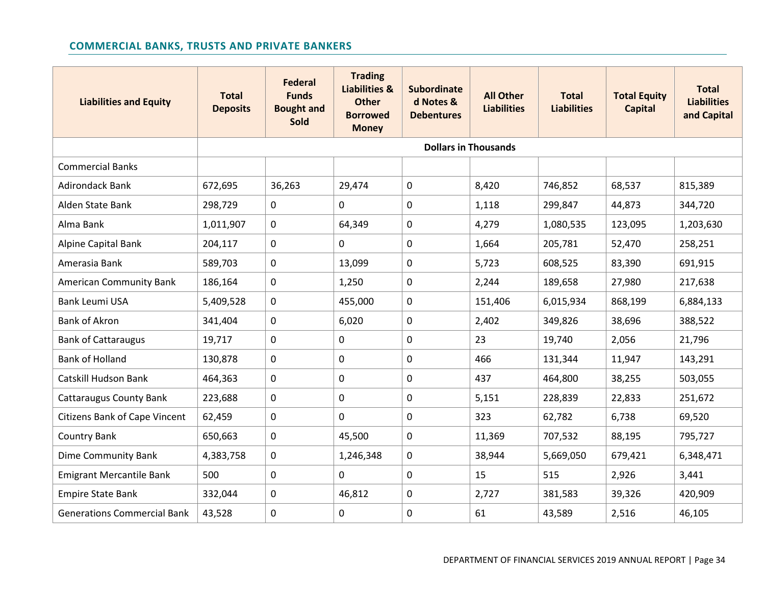# **COMMERCIAL BANKS, TRUSTS AND PRIVATE BANKERS**

<span id="page-33-0"></span>

| <b>Liabilities and Equity</b>        | <b>Total</b><br><b>Deposits</b> | <b>Federal</b><br><b>Funds</b><br><b>Bought and</b><br><b>Sold</b> | <b>Trading</b><br><b>Liabilities &amp;</b><br><b>Other</b><br><b>Borrowed</b><br><b>Money</b> | <b>Subordinate</b><br>d Notes &<br><b>Debentures</b> | <b>All Other</b><br><b>Liabilities</b> | <b>Total</b><br><b>Liabilities</b> | <b>Total Equity</b><br><b>Capital</b> | <b>Total</b><br><b>Liabilities</b><br>and Capital |  |
|--------------------------------------|---------------------------------|--------------------------------------------------------------------|-----------------------------------------------------------------------------------------------|------------------------------------------------------|----------------------------------------|------------------------------------|---------------------------------------|---------------------------------------------------|--|
|                                      |                                 | <b>Dollars in Thousands</b>                                        |                                                                                               |                                                      |                                        |                                    |                                       |                                                   |  |
| <b>Commercial Banks</b>              |                                 |                                                                    |                                                                                               |                                                      |                                        |                                    |                                       |                                                   |  |
| Adirondack Bank                      | 672,695                         | 36,263                                                             | 29,474                                                                                        | $\mathbf 0$                                          | 8,420                                  | 746,852                            | 68,537                                | 815,389                                           |  |
| Alden State Bank                     | 298,729                         | 0                                                                  | 0                                                                                             | $\mathbf 0$                                          | 1,118                                  | 299,847                            | 44,873                                | 344,720                                           |  |
| Alma Bank                            | 1,011,907                       | 0                                                                  | 64,349                                                                                        | $\mathbf 0$                                          | 4,279                                  | 1,080,535                          | 123,095                               | 1,203,630                                         |  |
| <b>Alpine Capital Bank</b>           | 204,117                         | 0                                                                  | 0                                                                                             | $\mathbf 0$                                          | 1,664                                  | 205,781                            | 52,470                                | 258,251                                           |  |
| Amerasia Bank                        | 589,703                         | 0                                                                  | 13,099                                                                                        | $\mathbf 0$                                          | 5,723                                  | 608,525                            | 83,390                                | 691,915                                           |  |
| <b>American Community Bank</b>       | 186,164                         | 0                                                                  | 1,250                                                                                         | $\mathbf 0$                                          | 2,244                                  | 189,658                            | 27,980                                | 217,638                                           |  |
| <b>Bank Leumi USA</b>                | 5,409,528                       | 0                                                                  | 455,000                                                                                       | $\mathbf{0}$                                         | 151,406                                | 6,015,934                          | 868,199                               | 6,884,133                                         |  |
| <b>Bank of Akron</b>                 | 341,404                         | 0                                                                  | 6,020                                                                                         | $\mathbf 0$                                          | 2,402                                  | 349,826                            | 38,696                                | 388,522                                           |  |
| <b>Bank of Cattaraugus</b>           | 19,717                          | 0                                                                  | 0                                                                                             | $\mathbf 0$                                          | 23                                     | 19,740                             | 2,056                                 | 21,796                                            |  |
| <b>Bank of Holland</b>               | 130,878                         | $\mathbf 0$                                                        | 0                                                                                             | $\mathbf 0$                                          | 466                                    | 131,344                            | 11,947                                | 143,291                                           |  |
| Catskill Hudson Bank                 | 464,363                         | 0                                                                  | 0                                                                                             | 0                                                    | 437                                    | 464,800                            | 38,255                                | 503,055                                           |  |
| <b>Cattaraugus County Bank</b>       | 223,688                         | 0                                                                  | 0                                                                                             | 0                                                    | 5,151                                  | 228,839                            | 22,833                                | 251,672                                           |  |
| <b>Citizens Bank of Cape Vincent</b> | 62,459                          | 0                                                                  | 0                                                                                             | $\mathbf 0$                                          | 323                                    | 62,782                             | 6,738                                 | 69,520                                            |  |
| <b>Country Bank</b>                  | 650,663                         | 0                                                                  | 45,500                                                                                        | $\mathbf{0}$                                         | 11,369                                 | 707,532                            | 88,195                                | 795,727                                           |  |
| Dime Community Bank                  | 4,383,758                       | 0                                                                  | 1,246,348                                                                                     | $\mathbf 0$                                          | 38,944                                 | 5,669,050                          | 679,421                               | 6,348,471                                         |  |
| <b>Emigrant Mercantile Bank</b>      | 500                             | 0                                                                  | 0                                                                                             | $\mathbf 0$                                          | 15                                     | 515                                | 2,926                                 | 3,441                                             |  |
| <b>Empire State Bank</b>             | 332,044                         | 0                                                                  | 46,812                                                                                        | $\mathbf 0$                                          | 2,727                                  | 381,583                            | 39,326                                | 420,909                                           |  |
| <b>Generations Commercial Bank</b>   | 43,528                          | 0                                                                  | 0                                                                                             | 0                                                    | 61                                     | 43,589                             | 2,516                                 | 46,105                                            |  |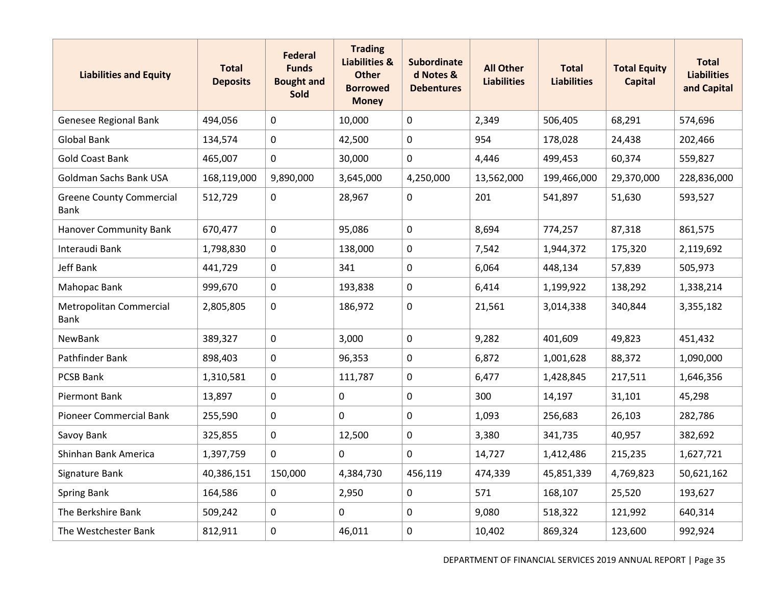| <b>Liabilities and Equity</b>                  | <b>Total</b><br><b>Deposits</b> | <b>Federal</b><br><b>Funds</b><br><b>Bought and</b><br><b>Sold</b> | <b>Trading</b><br><b>Liabilities &amp;</b><br><b>Other</b><br><b>Borrowed</b><br><b>Money</b> | <b>Subordinate</b><br>d Notes &<br><b>Debentures</b> | <b>All Other</b><br><b>Liabilities</b> | <b>Total</b><br><b>Liabilities</b> | <b>Total Equity</b><br><b>Capital</b> | <b>Total</b><br><b>Liabilities</b><br>and Capital |
|------------------------------------------------|---------------------------------|--------------------------------------------------------------------|-----------------------------------------------------------------------------------------------|------------------------------------------------------|----------------------------------------|------------------------------------|---------------------------------------|---------------------------------------------------|
| Genesee Regional Bank                          | 494,056                         | 0                                                                  | 10,000                                                                                        | $\mathbf 0$                                          | 2,349                                  | 506,405                            | 68,291                                | 574,696                                           |
| <b>Global Bank</b>                             | 134,574                         | $\mathbf 0$                                                        | 42,500                                                                                        | $\mathbf 0$                                          | 954                                    | 178,028                            | 24,438                                | 202,466                                           |
| <b>Gold Coast Bank</b>                         | 465,007                         | $\mathsf{O}\xspace$                                                | 30,000                                                                                        | $\mathbf 0$                                          | 4,446                                  | 499,453                            | 60,374                                | 559,827                                           |
| Goldman Sachs Bank USA                         | 168,119,000                     | 9,890,000                                                          | 3,645,000                                                                                     | 4,250,000                                            | 13,562,000                             | 199,466,000                        | 29,370,000                            | 228,836,000                                       |
| <b>Greene County Commercial</b><br><b>Bank</b> | 512,729                         | $\mathbf 0$                                                        | 28,967                                                                                        | $\mathbf 0$                                          | 201                                    | 541,897                            | 51,630                                | 593,527                                           |
| <b>Hanover Community Bank</b>                  | 670,477                         | $\mathbf 0$                                                        | 95,086                                                                                        | $\mathbf 0$                                          | 8,694                                  | 774,257                            | 87,318                                | 861,575                                           |
| Interaudi Bank                                 | 1,798,830                       | $\mathbf 0$                                                        | 138,000                                                                                       | $\pmb{0}$                                            | 7,542                                  | 1,944,372                          | 175,320                               | 2,119,692                                         |
| Jeff Bank                                      | 441,729                         | 0                                                                  | 341                                                                                           | 0                                                    | 6,064                                  | 448,134                            | 57,839                                | 505,973                                           |
| <b>Mahopac Bank</b>                            | 999,670                         | 0                                                                  | 193,838                                                                                       | $\mathbf 0$                                          | 6,414                                  | 1,199,922                          | 138,292                               | 1,338,214                                         |
| <b>Metropolitan Commercial</b><br><b>Bank</b>  | 2,805,805                       | $\mathbf 0$                                                        | 186,972                                                                                       | $\pmb{0}$                                            | 21,561                                 | 3,014,338                          | 340,844                               | 3,355,182                                         |
| NewBank                                        | 389,327                         | $\mathbf 0$                                                        | 3,000                                                                                         | $\mathbf 0$                                          | 9,282                                  | 401,609                            | 49,823                                | 451,432                                           |
| Pathfinder Bank                                | 898,403                         | $\mathbf 0$                                                        | 96,353                                                                                        | $\mathbf 0$                                          | 6,872                                  | 1,001,628                          | 88,372                                | 1,090,000                                         |
| <b>PCSB Bank</b>                               | 1,310,581                       | 0                                                                  | 111,787                                                                                       | $\mathbf 0$                                          | 6,477                                  | 1,428,845                          | 217,511                               | 1,646,356                                         |
| <b>Piermont Bank</b>                           | 13,897                          | 0                                                                  | $\mathbf 0$                                                                                   | 0                                                    | 300                                    | 14,197                             | 31,101                                | 45,298                                            |
| <b>Pioneer Commercial Bank</b>                 | 255,590                         | $\mathbf 0$                                                        | $\mathsf 0$                                                                                   | $\mathbf 0$                                          | 1,093                                  | 256,683                            | 26,103                                | 282,786                                           |
| Savoy Bank                                     | 325,855                         | $\mathbf 0$                                                        | 12,500                                                                                        | $\mathbf 0$                                          | 3,380                                  | 341,735                            | 40,957                                | 382,692                                           |
| Shinhan Bank America                           | 1,397,759                       | $\mathsf{O}$                                                       | 0                                                                                             | $\mathbf 0$                                          | 14,727                                 | 1,412,486                          | 215,235                               | 1,627,721                                         |
| Signature Bank                                 | 40,386,151                      | 150,000                                                            | 4,384,730                                                                                     | 456,119                                              | 474,339                                | 45,851,339                         | 4,769,823                             | 50,621,162                                        |
| <b>Spring Bank</b>                             | 164,586                         | $\mathbf 0$                                                        | 2,950                                                                                         | $\mathbf 0$                                          | 571                                    | 168,107                            | 25,520                                | 193,627                                           |
| The Berkshire Bank                             | 509,242                         | $\mathbf 0$                                                        | 0                                                                                             | $\mathbf 0$                                          | 9,080                                  | 518,322                            | 121,992                               | 640,314                                           |
| The Westchester Bank                           | 812,911                         | 0                                                                  | 46,011                                                                                        | $\mathbf 0$                                          | 10,402                                 | 869,324                            | 123,600                               | 992,924                                           |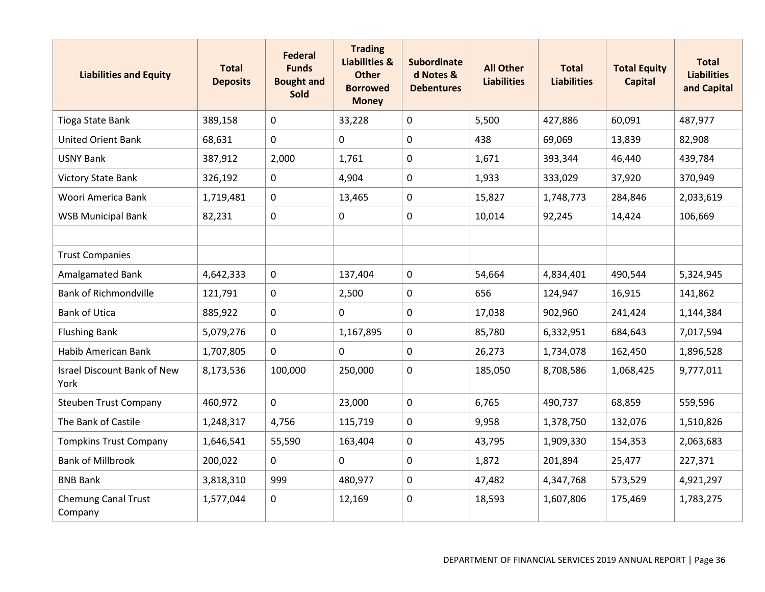| <b>Liabilities and Equity</b>              | <b>Total</b><br><b>Deposits</b> | <b>Federal</b><br><b>Funds</b><br><b>Bought and</b><br><b>Sold</b> | <b>Trading</b><br><b>Liabilities &amp;</b><br><b>Other</b><br><b>Borrowed</b><br><b>Money</b> | <b>Subordinate</b><br>d Notes &<br><b>Debentures</b> | <b>All Other</b><br><b>Liabilities</b> | <b>Total</b><br><b>Liabilities</b> | <b>Total Equity</b><br><b>Capital</b> | <b>Total</b><br><b>Liabilities</b><br>and Capital |
|--------------------------------------------|---------------------------------|--------------------------------------------------------------------|-----------------------------------------------------------------------------------------------|------------------------------------------------------|----------------------------------------|------------------------------------|---------------------------------------|---------------------------------------------------|
| Tioga State Bank                           | 389,158                         | 0                                                                  | 33,228                                                                                        | $\mathbf 0$                                          | 5,500                                  | 427,886                            | 60,091                                | 487,977                                           |
| <b>United Orient Bank</b>                  | 68,631                          | $\mathbf 0$                                                        | 0                                                                                             | $\mathbf 0$                                          | 438                                    | 69,069                             | 13,839                                | 82,908                                            |
| <b>USNY Bank</b>                           | 387,912                         | 2,000                                                              | 1,761                                                                                         | $\mathbf 0$                                          | 1,671                                  | 393,344                            | 46,440                                | 439,784                                           |
| <b>Victory State Bank</b>                  | 326,192                         | 0                                                                  | 4,904                                                                                         | $\mathbf 0$                                          | 1,933                                  | 333,029                            | 37,920                                | 370,949                                           |
| Woori America Bank                         | 1,719,481                       | $\mathbf 0$                                                        | 13,465                                                                                        | $\mathbf 0$                                          | 15,827                                 | 1,748,773                          | 284,846                               | 2,033,619                                         |
| <b>WSB Municipal Bank</b>                  | 82,231                          | 0                                                                  | $\mathbf 0$                                                                                   | 0                                                    | 10,014                                 | 92,245                             | 14,424                                | 106,669                                           |
|                                            |                                 |                                                                    |                                                                                               |                                                      |                                        |                                    |                                       |                                                   |
| <b>Trust Companies</b>                     |                                 |                                                                    |                                                                                               |                                                      |                                        |                                    |                                       |                                                   |
| <b>Amalgamated Bank</b>                    | 4,642,333                       | $\mathbf 0$                                                        | 137,404                                                                                       | $\mathbf 0$                                          | 54,664                                 | 4,834,401                          | 490,544                               | 5,324,945                                         |
| <b>Bank of Richmondville</b>               | 121,791                         | 0                                                                  | 2,500                                                                                         | $\mathbf 0$                                          | 656                                    | 124,947                            | 16,915                                | 141,862                                           |
| <b>Bank of Utica</b>                       | 885,922                         | 0                                                                  | 0                                                                                             | $\mathbf 0$                                          | 17,038                                 | 902,960                            | 241,424                               | 1,144,384                                         |
| <b>Flushing Bank</b>                       | 5,079,276                       | 0                                                                  | 1,167,895                                                                                     | $\mathbf 0$                                          | 85,780                                 | 6,332,951                          | 684,643                               | 7,017,594                                         |
| Habib American Bank                        | 1,707,805                       | $\mathbf 0$                                                        | $\mathbf 0$                                                                                   | $\pmb{0}$                                            | 26,273                                 | 1,734,078                          | 162,450                               | 1,896,528                                         |
| <b>Israel Discount Bank of New</b><br>York | 8,173,536                       | 100,000                                                            | 250,000                                                                                       | 0                                                    | 185,050                                | 8,708,586                          | 1,068,425                             | 9,777,011                                         |
| <b>Steuben Trust Company</b>               | 460,972                         | $\mathbf 0$                                                        | 23,000                                                                                        | $\mathbf 0$                                          | 6,765                                  | 490,737                            | 68,859                                | 559,596                                           |
| The Bank of Castile                        | 1,248,317                       | 4,756                                                              | 115,719                                                                                       | $\pmb{0}$                                            | 9,958                                  | 1,378,750                          | 132,076                               | 1,510,826                                         |
| <b>Tompkins Trust Company</b>              | 1,646,541                       | 55,590                                                             | 163,404                                                                                       | $\mathbf 0$                                          | 43,795                                 | 1,909,330                          | 154,353                               | 2,063,683                                         |
| <b>Bank of Millbrook</b>                   | 200,022                         | 0                                                                  | 0                                                                                             | 0                                                    | 1,872                                  | 201,894                            | 25,477                                | 227,371                                           |
| <b>BNB Bank</b>                            | 3,818,310                       | 999                                                                | 480,977                                                                                       | $\mathbf 0$                                          | 47,482                                 | 4,347,768                          | 573,529                               | 4,921,297                                         |
| <b>Chemung Canal Trust</b><br>Company      | 1,577,044                       | 0                                                                  | 12,169                                                                                        | $\mathbf 0$                                          | 18,593                                 | 1,607,806                          | 175,469                               | 1,783,275                                         |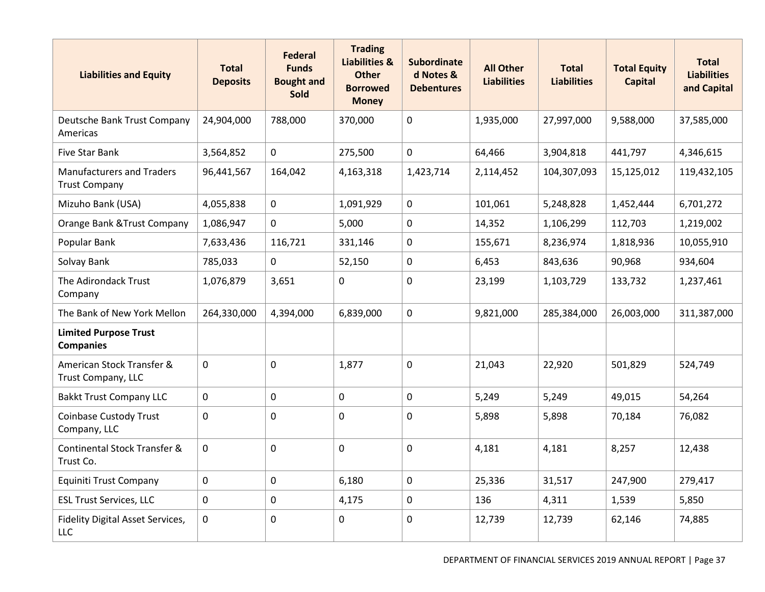| <b>Liabilities and Equity</b>                            | <b>Total</b><br><b>Deposits</b> | <b>Federal</b><br><b>Funds</b><br><b>Bought and</b><br><b>Sold</b> | <b>Trading</b><br><b>Liabilities &amp;</b><br><b>Other</b><br><b>Borrowed</b><br><b>Money</b> | <b>Subordinate</b><br>d Notes &<br><b>Debentures</b> | <b>All Other</b><br><b>Liabilities</b> | <b>Total</b><br><b>Liabilities</b> | <b>Total Equity</b><br><b>Capital</b> | <b>Total</b><br><b>Liabilities</b><br>and Capital |
|----------------------------------------------------------|---------------------------------|--------------------------------------------------------------------|-----------------------------------------------------------------------------------------------|------------------------------------------------------|----------------------------------------|------------------------------------|---------------------------------------|---------------------------------------------------|
| Deutsche Bank Trust Company<br>Americas                  | 24,904,000                      | 788,000                                                            | 370,000                                                                                       | $\mathbf 0$                                          | 1,935,000                              | 27,997,000                         | 9,588,000                             | 37,585,000                                        |
| <b>Five Star Bank</b>                                    | 3,564,852                       | $\mathbf 0$                                                        | 275,500                                                                                       | $\mathbf 0$                                          | 64,466                                 | 3,904,818                          | 441,797                               | 4,346,615                                         |
| <b>Manufacturers and Traders</b><br><b>Trust Company</b> | 96,441,567                      | 164,042                                                            | 4,163,318                                                                                     | 1,423,714                                            | 2,114,452                              | 104,307,093                        | 15,125,012                            | 119,432,105                                       |
| Mizuho Bank (USA)                                        | 4,055,838                       | $\mathbf 0$                                                        | 1,091,929                                                                                     | $\mathbf 0$                                          | 101,061                                | 5,248,828                          | 1,452,444                             | 6,701,272                                         |
| Orange Bank & Trust Company                              | 1,086,947                       | $\mathbf 0$                                                        | 5,000                                                                                         | $\mathbf 0$                                          | 14,352                                 | 1,106,299                          | 112,703                               | 1,219,002                                         |
| Popular Bank                                             | 7,633,436                       | 116,721                                                            | 331,146                                                                                       | 0                                                    | 155,671                                | 8,236,974                          | 1,818,936                             | 10,055,910                                        |
| Solvay Bank                                              | 785,033                         | $\mathbf 0$                                                        | 52,150                                                                                        | $\mathbf 0$                                          | 6,453                                  | 843,636                            | 90,968                                | 934,604                                           |
| The Adirondack Trust<br>Company                          | 1,076,879                       | 3,651                                                              | 0                                                                                             | $\mathbf 0$                                          | 23,199                                 | 1,103,729                          | 133,732                               | 1,237,461                                         |
| The Bank of New York Mellon                              | 264,330,000                     | 4,394,000                                                          | 6,839,000                                                                                     | $\mathbf 0$                                          | 9,821,000                              | 285,384,000                        | 26,003,000                            | 311,387,000                                       |
| <b>Limited Purpose Trust</b><br><b>Companies</b>         |                                 |                                                                    |                                                                                               |                                                      |                                        |                                    |                                       |                                                   |
| American Stock Transfer &<br>Trust Company, LLC          | $\mathbf 0$                     | $\mathbf 0$                                                        | 1,877                                                                                         | $\mathbf 0$                                          | 21,043                                 | 22,920                             | 501,829                               | 524,749                                           |
| <b>Bakkt Trust Company LLC</b>                           | 0                               | 0                                                                  | $\mathbf 0$                                                                                   | $\mathbf 0$                                          | 5,249                                  | 5,249                              | 49,015                                | 54,264                                            |
| <b>Coinbase Custody Trust</b><br>Company, LLC            | 0                               | 0                                                                  | 0                                                                                             | $\mathbf 0$                                          | 5,898                                  | 5,898                              | 70,184                                | 76,082                                            |
| <b>Continental Stock Transfer &amp;</b><br>Trust Co.     | $\mathbf 0$                     | $\mathbf 0$                                                        | 0                                                                                             | $\mathbf 0$                                          | 4,181                                  | 4,181                              | 8,257                                 | 12,438                                            |
| Equiniti Trust Company                                   | $\mathbf 0$                     | $\mathbf 0$                                                        | 6,180                                                                                         | $\mathbf 0$                                          | 25,336                                 | 31,517                             | 247,900                               | 279,417                                           |
| <b>ESL Trust Services, LLC</b>                           | $\mathbf 0$                     | 0                                                                  | 4,175                                                                                         | 0                                                    | 136                                    | 4,311                              | 1,539                                 | 5,850                                             |
| Fidelity Digital Asset Services,<br>LLC                  | $\mathbf 0$                     | 0                                                                  | 0                                                                                             | $\mathbf 0$                                          | 12,739                                 | 12,739                             | 62,146                                | 74,885                                            |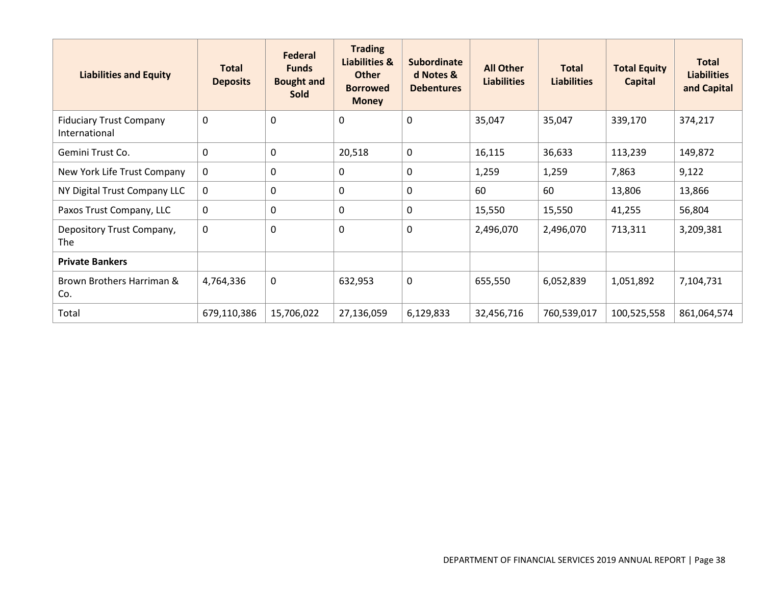| <b>Liabilities and Equity</b>                   | <b>Total</b><br><b>Deposits</b> | Federal<br><b>Funds</b><br><b>Bought and</b><br><b>Sold</b> | <b>Trading</b><br><b>Liabilities &amp;</b><br><b>Other</b><br><b>Borrowed</b><br><b>Money</b> | <b>Subordinate</b><br>d Notes &<br><b>Debentures</b> | <b>All Other</b><br><b>Liabilities</b> | <b>Total</b><br><b>Liabilities</b> | <b>Total Equity</b><br><b>Capital</b> | <b>Total</b><br><b>Liabilities</b><br>and Capital |
|-------------------------------------------------|---------------------------------|-------------------------------------------------------------|-----------------------------------------------------------------------------------------------|------------------------------------------------------|----------------------------------------|------------------------------------|---------------------------------------|---------------------------------------------------|
| <b>Fiduciary Trust Company</b><br>International | $\mathbf 0$                     | 0                                                           | $\pmb{0}$                                                                                     | 0                                                    | 35,047                                 | 35,047                             | 339,170                               | 374,217                                           |
| Gemini Trust Co.                                | $\mathbf{0}$                    | $\mathbf{0}$                                                | 20,518                                                                                        | $\mathbf 0$                                          | 16,115                                 | 36,633                             | 113,239                               | 149,872                                           |
| New York Life Trust Company                     | $\mathbf 0$                     | 0                                                           | $\mathbf 0$                                                                                   | 0                                                    | 1,259                                  | 1,259                              | 7,863                                 | 9,122                                             |
| NY Digital Trust Company LLC                    | 0                               | 0                                                           | $\mathbf 0$                                                                                   | 0                                                    | 60                                     | 60                                 | 13,806                                | 13,866                                            |
| Paxos Trust Company, LLC                        | 0                               | 0                                                           | $\mathbf 0$                                                                                   | 0                                                    | 15,550                                 | 15,550                             | 41,255                                | 56,804                                            |
| Depository Trust Company,<br>The                | $\mathbf 0$                     | 0                                                           | $\mathbf 0$                                                                                   | 0                                                    | 2,496,070                              | 2,496,070                          | 713,311                               | 3,209,381                                         |
| <b>Private Bankers</b>                          |                                 |                                                             |                                                                                               |                                                      |                                        |                                    |                                       |                                                   |
| Brown Brothers Harriman &<br>Co.                | 4,764,336                       | 0                                                           | 632,953                                                                                       | 0                                                    | 655,550                                | 6,052,839                          | 1,051,892                             | 7,104,731                                         |
| Total                                           | 679,110,386                     | 15,706,022                                                  | 27,136,059                                                                                    | 6,129,833                                            | 32,456,716                             | 760,539,017                        | 100,525,558                           | 861,064,574                                       |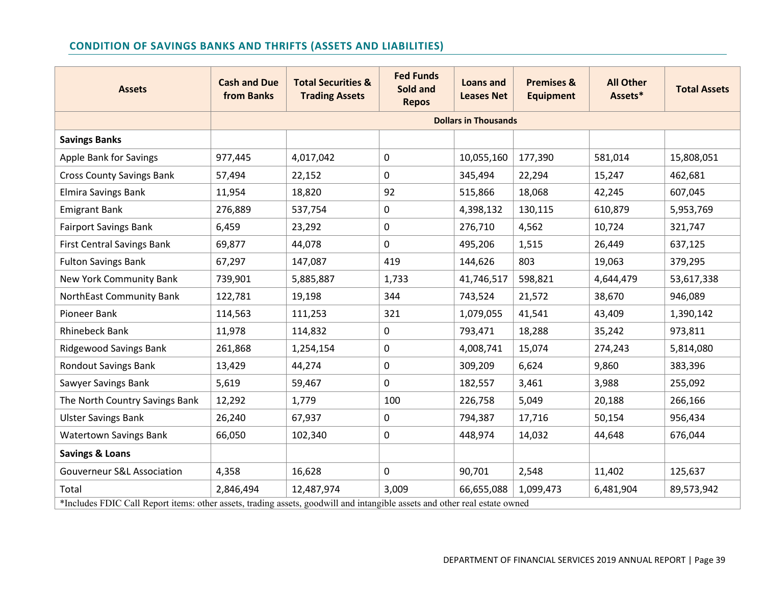# **CONDITION OF SAVINGS BANKS AND THRIFTS (ASSETS AND LIABILITIES)**

| <b>Assets</b>                                                                                                              | <b>Cash and Due</b><br>from Banks | <b>Total Securities &amp;</b><br><b>Trading Assets</b> | <b>Fed Funds</b><br>Sold and<br><b>Repos</b> | Loans and<br><b>Leases Net</b> | <b>Premises &amp;</b><br><b>Equipment</b> | <b>All Other</b><br>Assets* | <b>Total Assets</b> |
|----------------------------------------------------------------------------------------------------------------------------|-----------------------------------|--------------------------------------------------------|----------------------------------------------|--------------------------------|-------------------------------------------|-----------------------------|---------------------|
|                                                                                                                            |                                   |                                                        |                                              | <b>Dollars in Thousands</b>    |                                           |                             |                     |
| <b>Savings Banks</b>                                                                                                       |                                   |                                                        |                                              |                                |                                           |                             |                     |
| Apple Bank for Savings                                                                                                     | 977,445                           | 4,017,042                                              | $\pmb{0}$                                    | 10,055,160                     | 177,390                                   | 581,014                     | 15,808,051          |
| <b>Cross County Savings Bank</b>                                                                                           | 57,494                            | 22,152                                                 | $\mathbf 0$                                  | 345,494                        | 22,294                                    | 15,247                      | 462,681             |
| <b>Elmira Savings Bank</b>                                                                                                 | 11,954                            | 18,820                                                 | 92                                           | 515,866                        | 18,068                                    | 42,245                      | 607,045             |
| <b>Emigrant Bank</b>                                                                                                       | 276,889                           | 537,754                                                | 0                                            | 4,398,132                      | 130,115                                   | 610,879                     | 5,953,769           |
| <b>Fairport Savings Bank</b>                                                                                               | 6,459                             | 23,292                                                 | 0                                            | 276,710                        | 4,562                                     | 10,724                      | 321,747             |
| <b>First Central Savings Bank</b>                                                                                          | 69,877                            | 44,078                                                 | $\mathbf 0$                                  | 495,206                        | 1,515                                     | 26,449                      | 637,125             |
| <b>Fulton Savings Bank</b>                                                                                                 | 67,297                            | 147,087                                                | 419                                          | 144,626                        | 803                                       | 19,063                      | 379,295             |
| New York Community Bank                                                                                                    | 739,901                           | 5,885,887                                              | 1,733                                        | 41,746,517                     | 598,821                                   | 4,644,479                   | 53,617,338          |
| NorthEast Community Bank                                                                                                   | 122,781                           | 19,198                                                 | 344                                          | 743,524                        | 21,572                                    | 38,670                      | 946,089             |
| Pioneer Bank                                                                                                               | 114,563                           | 111,253                                                | 321                                          | 1,079,055                      | 41,541                                    | 43,409                      | 1,390,142           |
| <b>Rhinebeck Bank</b>                                                                                                      | 11,978                            | 114,832                                                | $\mathbf 0$                                  | 793,471                        | 18,288                                    | 35,242                      | 973,811             |
| <b>Ridgewood Savings Bank</b>                                                                                              | 261,868                           | 1,254,154                                              | 0                                            | 4,008,741                      | 15,074                                    | 274,243                     | 5,814,080           |
| <b>Rondout Savings Bank</b>                                                                                                | 13,429                            | 44,274                                                 | 0                                            | 309,209                        | 6,624                                     | 9,860                       | 383,396             |
| Sawyer Savings Bank                                                                                                        | 5,619                             | 59,467                                                 | $\mathbf 0$                                  | 182,557                        | 3,461                                     | 3,988                       | 255,092             |
| The North Country Savings Bank                                                                                             | 12,292                            | 1,779                                                  | 100                                          | 226,758                        | 5,049                                     | 20,188                      | 266,166             |
| <b>Ulster Savings Bank</b>                                                                                                 | 26,240                            | 67,937                                                 | 0                                            | 794,387                        | 17,716                                    | 50,154                      | 956,434             |
| <b>Watertown Savings Bank</b>                                                                                              | 66,050                            | 102,340                                                | $\mathbf 0$                                  | 448,974                        | 14,032                                    | 44,648                      | 676,044             |
| <b>Savings &amp; Loans</b>                                                                                                 |                                   |                                                        |                                              |                                |                                           |                             |                     |
| <b>Gouverneur S&amp;L Association</b>                                                                                      | 4,358                             | 16,628                                                 | 0                                            | 90,701                         | 2,548                                     | 11,402                      | 125,637             |
| Total                                                                                                                      | 2,846,494                         | 12,487,974                                             | 3,009                                        | 66,655,088                     | 1,099,473                                 | 6,481,904                   | 89,573,942          |
| *Includes FDIC Call Report items: other assets, trading assets, goodwill and intangible assets and other real estate owned |                                   |                                                        |                                              |                                |                                           |                             |                     |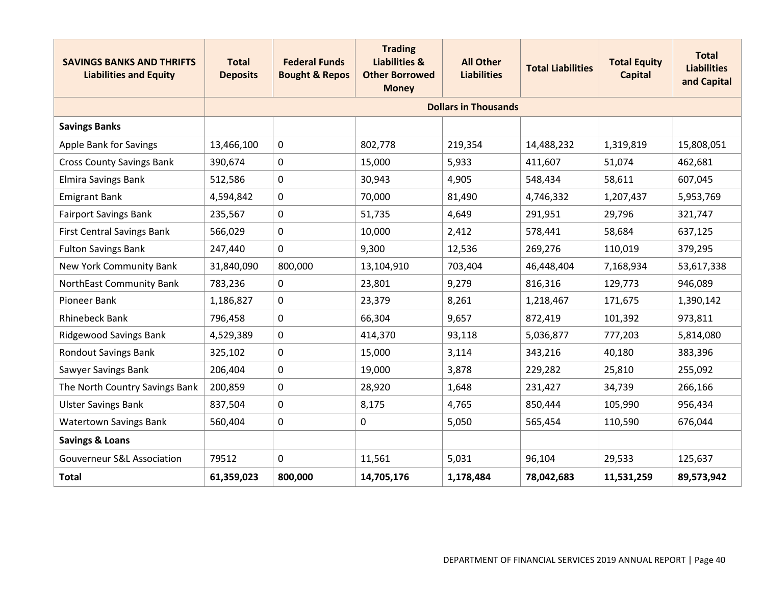| <b>SAVINGS BANKS AND THRIFTS</b><br><b>Liabilities and Equity</b> | <b>Total</b><br><b>Deposits</b> | <b>Federal Funds</b><br><b>Bought &amp; Repos</b> | <b>Trading</b><br><b>Liabilities &amp;</b><br><b>Other Borrowed</b><br><b>Money</b> | <b>All Other</b><br><b>Liabilities</b> | <b>Total Liabilities</b> | <b>Total Equity</b><br><b>Capital</b> | <b>Total</b><br><b>Liabilities</b><br>and Capital |
|-------------------------------------------------------------------|---------------------------------|---------------------------------------------------|-------------------------------------------------------------------------------------|----------------------------------------|--------------------------|---------------------------------------|---------------------------------------------------|
|                                                                   |                                 |                                                   |                                                                                     | <b>Dollars in Thousands</b>            |                          |                                       |                                                   |
| <b>Savings Banks</b>                                              |                                 |                                                   |                                                                                     |                                        |                          |                                       |                                                   |
| Apple Bank for Savings                                            | 13,466,100                      | 0                                                 | 802,778                                                                             | 219,354                                | 14,488,232               | 1,319,819                             | 15,808,051                                        |
| <b>Cross County Savings Bank</b>                                  | 390,674                         | 0                                                 | 15,000                                                                              | 5,933                                  | 411,607                  | 51,074                                | 462,681                                           |
| <b>Elmira Savings Bank</b>                                        | 512,586                         | 0                                                 | 30,943                                                                              | 4,905                                  | 548,434                  | 58,611                                | 607,045                                           |
| <b>Emigrant Bank</b>                                              | 4,594,842                       | 0                                                 | 70,000                                                                              | 81,490                                 | 4,746,332                | 1,207,437                             | 5,953,769                                         |
| <b>Fairport Savings Bank</b>                                      | 235,567                         | 0                                                 | 51,735                                                                              | 4,649                                  | 291,951                  | 29,796                                | 321,747                                           |
| <b>First Central Savings Bank</b>                                 | 566,029                         | 0                                                 | 10,000                                                                              | 2,412                                  | 578,441                  | 58,684                                | 637,125                                           |
| <b>Fulton Savings Bank</b>                                        | 247,440                         | 0                                                 | 9,300                                                                               | 12,536                                 | 269,276                  | 110,019                               | 379,295                                           |
| <b>New York Community Bank</b>                                    | 31,840,090                      | 800,000                                           | 13,104,910                                                                          | 703,404                                | 46,448,404               | 7,168,934                             | 53,617,338                                        |
| NorthEast Community Bank                                          | 783,236                         | 0                                                 | 23,801                                                                              | 9,279                                  | 816,316                  | 129,773                               | 946,089                                           |
| Pioneer Bank                                                      | 1,186,827                       | 0                                                 | 23,379                                                                              | 8,261                                  | 1,218,467                | 171,675                               | 1,390,142                                         |
| <b>Rhinebeck Bank</b>                                             | 796,458                         | 0                                                 | 66,304                                                                              | 9,657                                  | 872,419                  | 101,392                               | 973,811                                           |
| <b>Ridgewood Savings Bank</b>                                     | 4,529,389                       | 0                                                 | 414,370                                                                             | 93,118                                 | 5,036,877                | 777,203                               | 5,814,080                                         |
| <b>Rondout Savings Bank</b>                                       | 325,102                         | 0                                                 | 15,000                                                                              | 3,114                                  | 343,216                  | 40,180                                | 383,396                                           |
| Sawyer Savings Bank                                               | 206,404                         | 0                                                 | 19,000                                                                              | 3,878                                  | 229,282                  | 25,810                                | 255,092                                           |
| The North Country Savings Bank                                    | 200,859                         | 0                                                 | 28,920                                                                              | 1,648                                  | 231,427                  | 34,739                                | 266,166                                           |
| <b>Ulster Savings Bank</b>                                        | 837,504                         | 0                                                 | 8,175                                                                               | 4,765                                  | 850,444                  | 105,990                               | 956,434                                           |
| <b>Watertown Savings Bank</b>                                     | 560,404                         | 0                                                 | 0                                                                                   | 5,050                                  | 565,454                  | 110,590                               | 676,044                                           |
| <b>Savings &amp; Loans</b>                                        |                                 |                                                   |                                                                                     |                                        |                          |                                       |                                                   |
| <b>Gouverneur S&amp;L Association</b>                             | 79512                           | 0                                                 | 11,561                                                                              | 5,031                                  | 96,104                   | 29,533                                | 125,637                                           |
| <b>Total</b>                                                      | 61,359,023                      | 800,000                                           | 14,705,176                                                                          | 1,178,484                              | 78,042,683               | 11,531,259                            | 89,573,942                                        |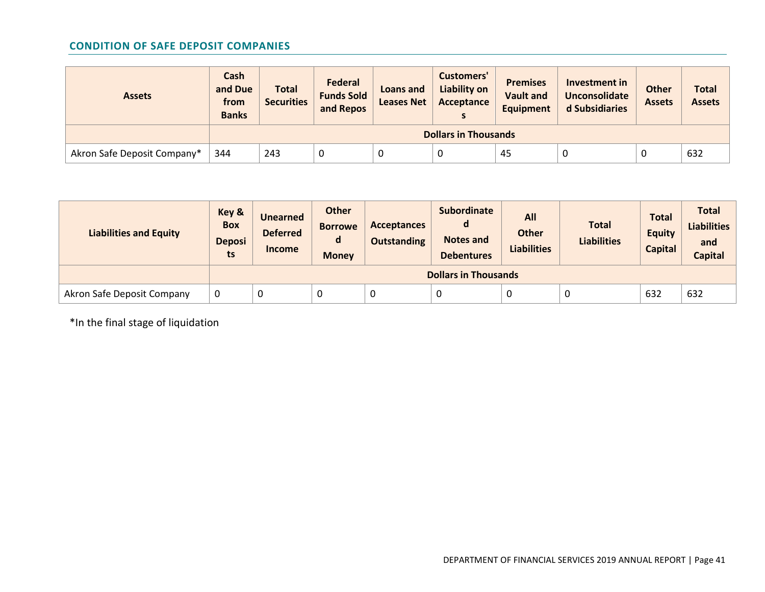# **CONDITION OF SAFE DEPOSIT COMPANIES**

| <b>Assets</b>               | Cash<br>and Due<br>from<br><b>Banks</b> | <b>Total</b><br><b>Securities</b> | <b>Federal</b><br><b>Funds Sold</b><br>and Repos | Loans and<br><b>Leases Net</b> | Customers'<br>Liability on<br>Acceptance | <b>Premises</b><br><b>Vault and</b><br><b>Equipment</b> | Investment in<br><b>Unconsolidate</b><br>d Subsidiaries | <b>Other</b><br><b>Assets</b> | <b>Total</b><br><b>Assets</b> |
|-----------------------------|-----------------------------------------|-----------------------------------|--------------------------------------------------|--------------------------------|------------------------------------------|---------------------------------------------------------|---------------------------------------------------------|-------------------------------|-------------------------------|
|                             |                                         |                                   |                                                  |                                | <b>Dollars in Thousands</b>              |                                                         |                                                         |                               |                               |
| Akron Safe Deposit Company* | 344                                     | 243                               | U                                                | 0                              |                                          | 45                                                      |                                                         | υ                             | 632                           |

| <b>Liabilities and Equity</b> | Key &<br><b>Box</b><br><b>Deposi</b><br>ts | <b>Unearned</b><br><b>Deferred</b><br><b>Income</b> | <b>Other</b><br><b>Borrowe</b><br>d<br><b>Money</b> | <b>Acceptances</b><br><b>Outstanding</b> | <b>Subordinate</b><br>Notes and<br><b>Debentures</b> | All<br><b>Other</b><br><b>Liabilities</b> | <b>Total</b><br><b>Liabilities</b> | <b>Total</b><br><b>Equity</b><br><b>Capital</b> | <b>Total</b><br><b>Liabilities</b><br>and<br><b>Capital</b> |
|-------------------------------|--------------------------------------------|-----------------------------------------------------|-----------------------------------------------------|------------------------------------------|------------------------------------------------------|-------------------------------------------|------------------------------------|-------------------------------------------------|-------------------------------------------------------------|
|                               |                                            |                                                     |                                                     |                                          | <b>Dollars in Thousands</b>                          |                                           |                                    |                                                 |                                                             |
| Akron Safe Deposit Company    | 0                                          | 0                                                   | U                                                   |                                          |                                                      |                                           | U                                  | 632                                             | 632                                                         |

\*In the final stage of liquidation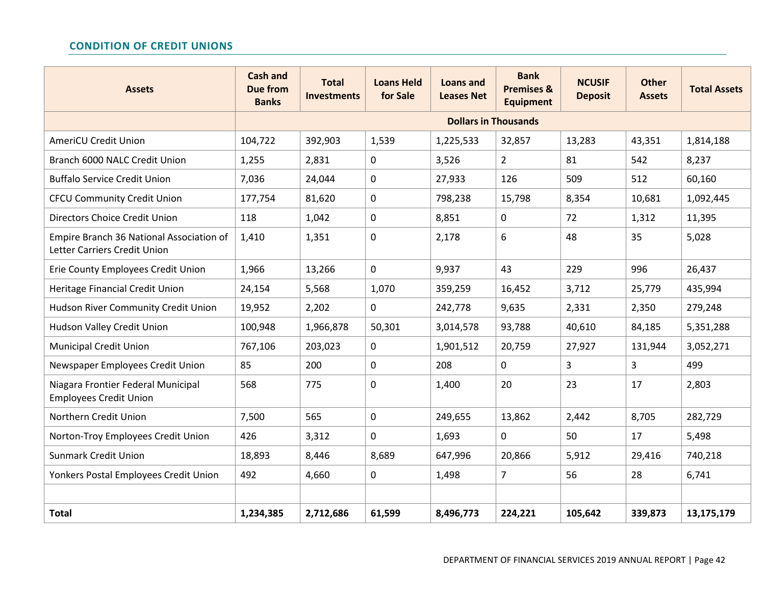# **CONDITION OF CREDIT UNIONS**

| <b>Assets</b>                                                            | <b>Cash and</b><br><b>Due from</b><br><b>Banks</b> | <b>Total</b><br><b>Investments</b> | <b>Loans Held</b><br>for Sale | <b>Loans and</b><br><b>Leases Net</b> | <b>Bank</b><br><b>Premises &amp;</b><br><b>Equipment</b> | <b>NCUSIF</b><br><b>Deposit</b> | <b>Other</b><br><b>Assets</b> | <b>Total Assets</b> |
|--------------------------------------------------------------------------|----------------------------------------------------|------------------------------------|-------------------------------|---------------------------------------|----------------------------------------------------------|---------------------------------|-------------------------------|---------------------|
|                                                                          |                                                    |                                    |                               | <b>Dollars in Thousands</b>           |                                                          |                                 |                               |                     |
| <b>AmeriCU Credit Union</b>                                              | 104,722                                            | 392,903                            | 1,539                         | 1,225,533                             | 32,857                                                   | 13,283                          | 43,351                        | 1,814,188           |
| Branch 6000 NALC Credit Union                                            | 1,255                                              | 2,831                              | 0                             | 3,526                                 | $\overline{2}$                                           | 81                              | 542                           | 8,237               |
| <b>Buffalo Service Credit Union</b>                                      | 7,036                                              | 24,044                             | $\pmb{0}$                     | 27,933                                | 126                                                      | 509                             | 512                           | 60,160              |
| <b>CFCU Community Credit Union</b>                                       | 177,754                                            | 81,620                             | 0                             | 798,238                               | 15,798                                                   | 8,354                           | 10,681                        | 1,092,445           |
| <b>Directors Choice Credit Union</b>                                     | 118                                                | 1,042                              | 0                             | 8,851                                 | 0                                                        | 72                              | 1,312                         | 11,395              |
| Empire Branch 36 National Association of<br>Letter Carriers Credit Union | 1,410                                              | 1,351                              | 0                             | 2,178                                 | 6                                                        | 48                              | 35                            | 5,028               |
| Erie County Employees Credit Union                                       | 1,966                                              | 13,266                             | $\mathbf 0$                   | 9,937                                 | 43                                                       | 229                             | 996                           | 26,437              |
| Heritage Financial Credit Union                                          | 24,154                                             | 5,568                              | 1,070                         | 359,259                               | 16,452                                                   | 3,712                           | 25,779                        | 435,994             |
| Hudson River Community Credit Union                                      | 19,952                                             | 2,202                              | 0                             | 242,778                               | 9,635                                                    | 2,331                           | 2,350                         | 279,248             |
| Hudson Valley Credit Union                                               | 100,948                                            | 1,966,878                          | 50,301                        | 3,014,578                             | 93,788                                                   | 40,610                          | 84,185                        | 5,351,288           |
| <b>Municipal Credit Union</b>                                            | 767,106                                            | 203,023                            | $\mathbf 0$                   | 1,901,512                             | 20,759                                                   | 27,927                          | 131,944                       | 3,052,271           |
| Newspaper Employees Credit Union                                         | 85                                                 | 200                                | 0                             | 208                                   | 0                                                        | 3                               | 3                             | 499                 |
| Niagara Frontier Federal Municipal<br><b>Employees Credit Union</b>      | 568                                                | 775                                | 0                             | 1,400                                 | 20                                                       | 23                              | 17                            | 2,803               |
| Northern Credit Union                                                    | 7,500                                              | 565                                | 0                             | 249,655                               | 13,862                                                   | 2,442                           | 8,705                         | 282,729             |
| Norton-Troy Employees Credit Union                                       | 426                                                | 3,312                              | 0                             | 1,693                                 | $\overline{0}$                                           | 50                              | 17                            | 5,498               |
| <b>Sunmark Credit Union</b>                                              | 18,893                                             | 8,446                              | 8,689                         | 647,996                               | 20,866                                                   | 5,912                           | 29,416                        | 740,218             |
| Yonkers Postal Employees Credit Union                                    | 492                                                | 4,660                              | 0                             | 1,498                                 | $\overline{7}$                                           | 56                              | 28                            | 6,741               |
|                                                                          |                                                    |                                    |                               |                                       |                                                          |                                 |                               |                     |
| <b>Total</b>                                                             | 1,234,385                                          | 2,712,686                          | 61,599                        | 8,496,773                             | 224,221                                                  | 105,642                         | 339,873                       | 13,175,179          |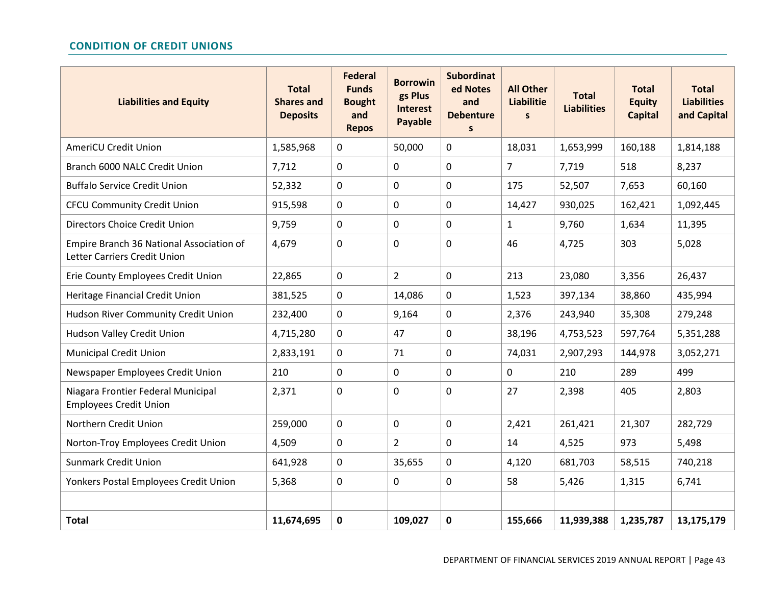# **CONDITION OF CREDIT UNIONS**

| <b>Liabilities and Equity</b>                                            | <b>Total</b><br><b>Shares and</b><br><b>Deposits</b> | <b>Federal</b><br><b>Funds</b><br><b>Bought</b><br>and<br><b>Repos</b> | <b>Borrowin</b><br>gs Plus<br><b>Interest</b><br>Payable | <b>Subordinat</b><br>ed Notes<br>and<br><b>Debenture</b><br>$\mathsf{s}$ | <b>All Other</b><br><b>Liabilitie</b><br>$\mathsf{s}$ | <b>Total</b><br><b>Liabilities</b> | <b>Total</b><br><b>Equity</b><br><b>Capital</b> | <b>Total</b><br><b>Liabilities</b><br>and Capital |
|--------------------------------------------------------------------------|------------------------------------------------------|------------------------------------------------------------------------|----------------------------------------------------------|--------------------------------------------------------------------------|-------------------------------------------------------|------------------------------------|-------------------------------------------------|---------------------------------------------------|
| <b>AmeriCU Credit Union</b>                                              | 1,585,968                                            | 0                                                                      | 50,000                                                   | 0                                                                        | 18,031                                                | 1,653,999                          | 160,188                                         | 1,814,188                                         |
| Branch 6000 NALC Credit Union                                            | 7,712                                                | 0                                                                      | $\mathbf 0$                                              | 0                                                                        | $\overline{7}$                                        | 7,719                              | 518                                             | 8,237                                             |
| <b>Buffalo Service Credit Union</b>                                      | 52,332                                               | $\mathbf 0$                                                            | $\mathbf 0$                                              | 0                                                                        | 175                                                   | 52,507                             | 7,653                                           | 60,160                                            |
| <b>CFCU Community Credit Union</b>                                       | 915,598                                              | $\mathbf 0$                                                            | $\mathbf 0$                                              | 0                                                                        | 14,427                                                | 930,025                            | 162,421                                         | 1,092,445                                         |
| Directors Choice Credit Union                                            | 9,759                                                | $\mathbf 0$                                                            | $\mathbf 0$                                              | 0                                                                        | $\mathbf{1}$                                          | 9,760                              | 1,634                                           | 11,395                                            |
| Empire Branch 36 National Association of<br>Letter Carriers Credit Union | 4,679                                                | $\mathbf 0$                                                            | $\mathbf 0$                                              | 0                                                                        | 46                                                    | 4,725                              | 303                                             | 5,028                                             |
| Erie County Employees Credit Union                                       | 22,865                                               | 0                                                                      | $\overline{2}$                                           | $\mathbf 0$                                                              | 213                                                   | 23,080                             | 3,356                                           | 26,437                                            |
| Heritage Financial Credit Union                                          | 381,525                                              | $\mathbf 0$                                                            | 14,086                                                   | $\mathbf 0$                                                              | 1,523                                                 | 397,134                            | 38,860                                          | 435,994                                           |
| Hudson River Community Credit Union                                      | 232,400                                              | $\mathbf 0$                                                            | 9,164                                                    | $\mathbf 0$                                                              | 2,376                                                 | 243,940                            | 35,308                                          | 279,248                                           |
| Hudson Valley Credit Union                                               | 4,715,280                                            | $\mathbf 0$                                                            | 47                                                       | 0                                                                        | 38,196                                                | 4,753,523                          | 597,764                                         | 5,351,288                                         |
| <b>Municipal Credit Union</b>                                            | 2,833,191                                            | $\mathbf 0$                                                            | 71                                                       | 0                                                                        | 74,031                                                | 2,907,293                          | 144,978                                         | 3,052,271                                         |
| Newspaper Employees Credit Union                                         | 210                                                  | $\mathbf 0$                                                            | $\mathbf 0$                                              | 0                                                                        | 0                                                     | 210                                | 289                                             | 499                                               |
| Niagara Frontier Federal Municipal<br><b>Employees Credit Union</b>      | 2,371                                                | $\mathbf 0$                                                            | $\mathbf 0$                                              | 0                                                                        | 27                                                    | 2,398                              | 405                                             | 2,803                                             |
| Northern Credit Union                                                    | 259,000                                              | $\mathbf 0$                                                            | $\mathbf 0$                                              | $\mathbf 0$                                                              | 2,421                                                 | 261,421                            | 21,307                                          | 282,729                                           |
| Norton-Troy Employees Credit Union                                       | 4,509                                                | $\mathbf{0}$                                                           | $\overline{2}$                                           | $\mathbf 0$                                                              | 14                                                    | 4,525                              | 973                                             | 5,498                                             |
| <b>Sunmark Credit Union</b>                                              | 641,928                                              | $\mathbf 0$                                                            | 35,655                                                   | $\mathbf 0$                                                              | 4,120                                                 | 681,703                            | 58,515                                          | 740,218                                           |
| Yonkers Postal Employees Credit Union                                    | 5,368                                                | $\mathbf 0$                                                            | 0                                                        | 0                                                                        | 58                                                    | 5,426                              | 1,315                                           | 6,741                                             |
|                                                                          |                                                      |                                                                        |                                                          |                                                                          |                                                       |                                    |                                                 |                                                   |
| <b>Total</b>                                                             | 11,674,695                                           | $\mathbf 0$                                                            | 109,027                                                  | 0                                                                        | 155,666                                               | 11,939,388                         | 1,235,787                                       | 13,175,179                                        |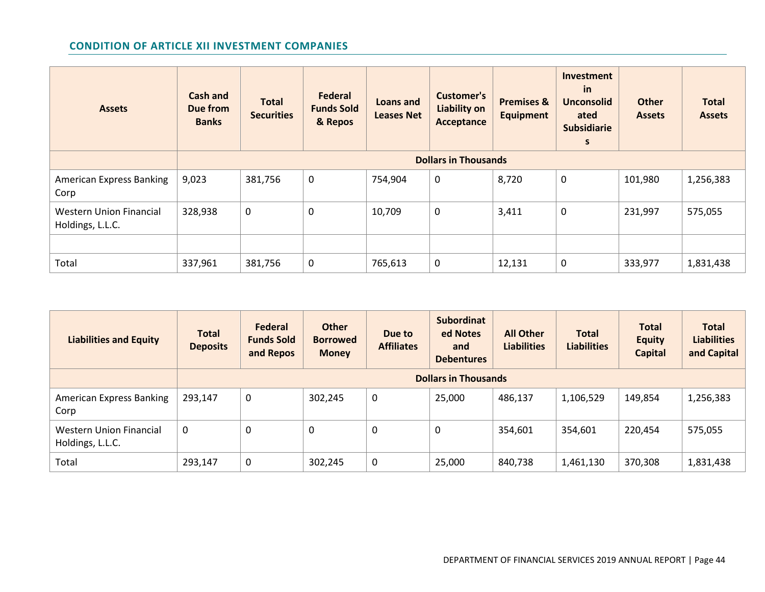# **CONDITION OF ARTICLE XII INVESTMENT COMPANIES**

| <b>Assets</b>                                      | <b>Cash and</b><br>Due from<br><b>Banks</b> | <b>Total</b><br><b>Securities</b> | <b>Federal</b><br><b>Funds Sold</b><br>& Repos | Loans and<br><b>Leases Net</b> | <b>Customer's</b><br>Liability on<br>Acceptance | <b>Premises &amp;</b><br><b>Equipment</b> | Investment<br>in<br><b>Unconsolid</b><br>ated<br><b>Subsidiarie</b><br>s | <b>Other</b><br><b>Assets</b> | <b>Total</b><br><b>Assets</b> |  |
|----------------------------------------------------|---------------------------------------------|-----------------------------------|------------------------------------------------|--------------------------------|-------------------------------------------------|-------------------------------------------|--------------------------------------------------------------------------|-------------------------------|-------------------------------|--|
|                                                    |                                             | <b>Dollars in Thousands</b>       |                                                |                                |                                                 |                                           |                                                                          |                               |                               |  |
| <b>American Express Banking</b><br>Corp            | 9,023                                       | 381,756                           | 0                                              | 754,904                        | 0                                               | 8,720                                     | $\mathbf 0$                                                              | 101,980                       | 1,256,383                     |  |
| <b>Western Union Financial</b><br>Holdings, L.L.C. | 328,938                                     | $\mathbf 0$                       | 0                                              | 10,709                         | $\mathbf 0$                                     | 3,411                                     | $\mathbf 0$                                                              | 231,997                       | 575,055                       |  |
|                                                    |                                             |                                   |                                                |                                |                                                 |                                           |                                                                          |                               |                               |  |
| Total                                              | 337,961                                     | 381,756                           | 0                                              | 765,613                        | $\mathbf 0$                                     | 12,131                                    | $\mathbf 0$                                                              | 333,977                       | 1,831,438                     |  |

| <b>Liabilities and Equity</b>               | <b>Total</b><br><b>Deposits</b> | <b>Federal</b><br><b>Funds Sold</b><br>and Repos | <b>Other</b><br><b>Borrowed</b><br><b>Money</b> | Due to<br><b>Affiliates</b> | <b>Subordinat</b><br>ed Notes<br>and<br><b>Debentures</b> | <b>All Other</b><br><b>Liabilities</b> | <b>Total</b><br><b>Liabilities</b> | <b>Total</b><br><b>Equity</b><br><b>Capital</b> | <b>Total</b><br><b>Liabilities</b><br>and Capital |  |
|---------------------------------------------|---------------------------------|--------------------------------------------------|-------------------------------------------------|-----------------------------|-----------------------------------------------------------|----------------------------------------|------------------------------------|-------------------------------------------------|---------------------------------------------------|--|
|                                             |                                 | <b>Dollars in Thousands</b>                      |                                                 |                             |                                                           |                                        |                                    |                                                 |                                                   |  |
| <b>American Express Banking</b><br>Corp     | 293,147                         | $\mathbf 0$                                      | 302,245                                         | 0                           | 25,000                                                    | 486,137                                | 1,106,529                          | 149,854                                         | 1,256,383                                         |  |
| Western Union Financial<br>Holdings, L.L.C. | 0                               | $\mathbf 0$                                      | 0                                               | 0                           | 0                                                         | 354,601                                | 354,601                            | 220,454                                         | 575,055                                           |  |
| Total                                       | 293,147                         | $\mathbf 0$                                      | 302,245                                         | 0                           | 25,000                                                    | 840,738                                | 1,461,130                          | 370,308                                         | 1,831,438                                         |  |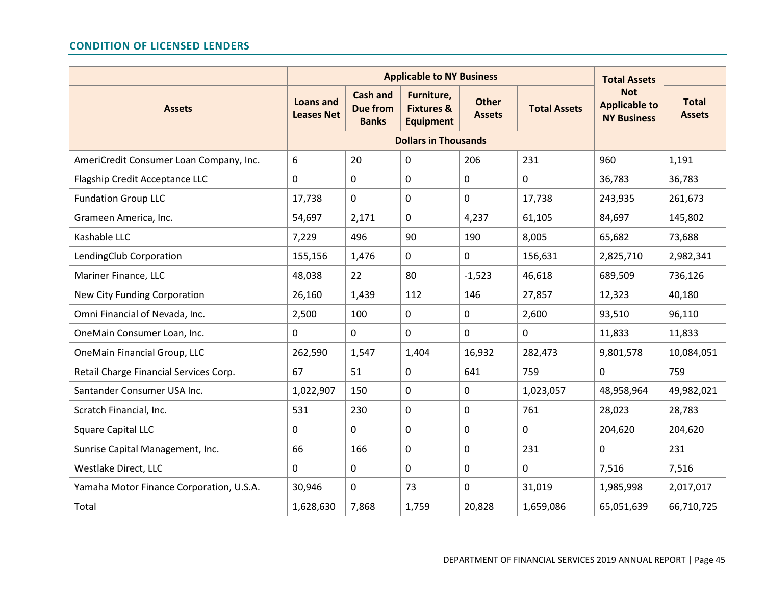## **CONDITION OF LICENSED LENDERS**

|                                          |                                       | <b>Applicable to NY Business</b>                   |                                                         | <b>Total Assets</b>           |                     |                                                          |                               |
|------------------------------------------|---------------------------------------|----------------------------------------------------|---------------------------------------------------------|-------------------------------|---------------------|----------------------------------------------------------|-------------------------------|
| <b>Assets</b>                            | <b>Loans and</b><br><b>Leases Net</b> | <b>Cash and</b><br><b>Due from</b><br><b>Banks</b> | Furniture,<br><b>Fixtures &amp;</b><br><b>Equipment</b> | <b>Other</b><br><b>Assets</b> | <b>Total Assets</b> | <b>Not</b><br><b>Applicable to</b><br><b>NY Business</b> | <b>Total</b><br><b>Assets</b> |
|                                          |                                       | <b>Dollars in Thousands</b>                        |                                                         |                               |                     |                                                          |                               |
| AmeriCredit Consumer Loan Company, Inc.  | 6                                     | 20                                                 | 0                                                       | 206                           | 231                 | 960                                                      | 1,191                         |
| Flagship Credit Acceptance LLC           | 0                                     | $\mathbf 0$                                        | $\Omega$                                                | 0                             | $\mathbf 0$         | 36,783                                                   | 36,783                        |
| <b>Fundation Group LLC</b>               | 17,738                                | $\mathbf 0$                                        | $\mathbf 0$                                             | 0                             | 17,738              | 243,935                                                  | 261,673                       |
| Grameen America, Inc.                    | 54,697                                | 2,171                                              | $\mathbf 0$                                             | 4,237                         | 61,105              | 84,697                                                   | 145,802                       |
| Kashable LLC                             | 7,229                                 | 496                                                | 90                                                      | 190                           | 8,005               | 65,682                                                   | 73,688                        |
| LendingClub Corporation                  | 155,156                               | 1,476                                              | 0                                                       | 0                             | 156,631             | 2,825,710                                                | 2,982,341                     |
| Mariner Finance, LLC                     | 48,038                                | 22                                                 | 80                                                      | $-1,523$                      | 46,618              | 689,509                                                  | 736,126                       |
| New City Funding Corporation             | 26,160                                | 1,439                                              | 112                                                     | 146                           | 27,857              | 12,323                                                   | 40,180                        |
| Omni Financial of Nevada, Inc.           | 2,500                                 | 100                                                | 0                                                       | 0                             | 2,600               | 93,510                                                   | 96,110                        |
| OneMain Consumer Loan, Inc.              | 0                                     | $\mathbf 0$                                        | 0                                                       | 0                             | $\mathbf 0$         | 11,833                                                   | 11,833                        |
| OneMain Financial Group, LLC             | 262,590                               | 1,547                                              | 1,404                                                   | 16,932                        | 282,473             | 9,801,578                                                | 10,084,051                    |
| Retail Charge Financial Services Corp.   | 67                                    | 51                                                 | $\mathbf 0$                                             | 641                           | 759                 | $\Omega$                                                 | 759                           |
| Santander Consumer USA Inc.              | 1,022,907                             | 150                                                | 0                                                       | 0                             | 1,023,057           | 48,958,964                                               | 49,982,021                    |
| Scratch Financial, Inc.                  | 531                                   | 230                                                | 0                                                       | 0                             | 761                 | 28,023                                                   | 28,783                        |
| <b>Square Capital LLC</b>                | 0                                     | 0                                                  | 0                                                       | 0                             | $\mathbf 0$         | 204,620                                                  | 204,620                       |
| Sunrise Capital Management, Inc.         | 66                                    | 166                                                | $\mathbf 0$                                             | 0                             | 231                 | $\overline{0}$                                           | 231                           |
| Westlake Direct, LLC                     | 0                                     | $\mathbf 0$                                        | 0                                                       | 0                             | $\mathbf 0$         | 7,516                                                    | 7,516                         |
| Yamaha Motor Finance Corporation, U.S.A. | 30,946                                | $\mathbf 0$                                        | 73                                                      | 0                             | 31,019              | 1,985,998                                                | 2,017,017                     |
| Total                                    | 1,628,630                             | 7,868                                              | 1,759                                                   | 20,828                        | 1,659,086           | 65,051,639                                               | 66,710,725                    |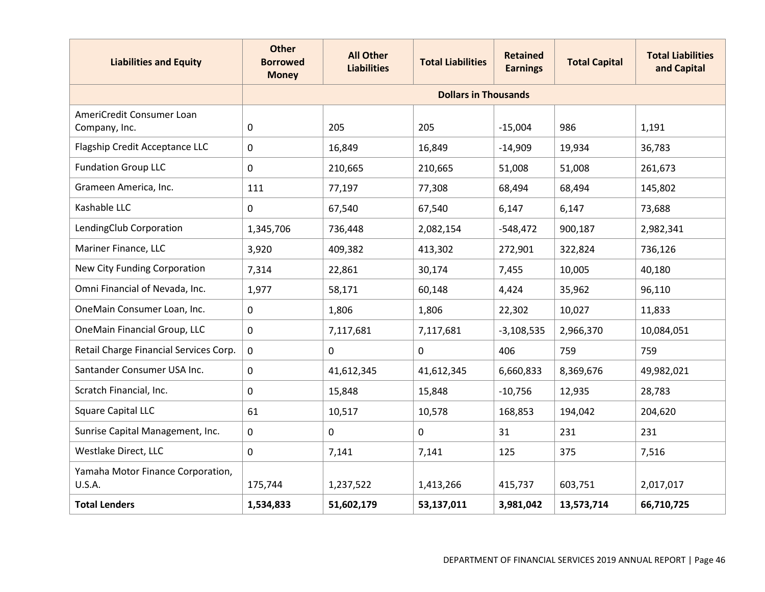| <b>Liabilities and Equity</b>               | <b>Other</b><br><b>Borrowed</b><br><b>Money</b> | <b>All Other</b><br><b>Liabilities</b> | <b>Total Liabilities</b>    | <b>Retained</b><br><b>Earnings</b> | <b>Total Capital</b> | <b>Total Liabilities</b><br>and Capital |
|---------------------------------------------|-------------------------------------------------|----------------------------------------|-----------------------------|------------------------------------|----------------------|-----------------------------------------|
|                                             |                                                 |                                        | <b>Dollars in Thousands</b> |                                    |                      |                                         |
| AmeriCredit Consumer Loan<br>Company, Inc.  | 0                                               | 205                                    | 205                         | $-15,004$                          | 986                  | 1,191                                   |
| Flagship Credit Acceptance LLC              | 0                                               | 16,849                                 | 16,849                      | $-14,909$                          | 19,934               | 36,783                                  |
| <b>Fundation Group LLC</b>                  | 0                                               | 210,665                                | 210,665                     | 51,008                             | 51,008               | 261,673                                 |
| Grameen America, Inc.                       | 111                                             | 77,197                                 | 77,308                      | 68,494                             | 68,494               | 145,802                                 |
| Kashable LLC                                | $\Omega$                                        | 67,540                                 | 67,540                      | 6,147                              | 6,147                | 73,688                                  |
| LendingClub Corporation                     | 1,345,706                                       | 736,448                                | 2,082,154                   | $-548,472$                         | 900,187              | 2,982,341                               |
| Mariner Finance, LLC                        | 3,920                                           | 409,382                                | 413,302                     | 272,901                            | 322,824              | 736,126                                 |
| New City Funding Corporation                | 7,314                                           | 22,861                                 | 30,174                      | 7,455                              | 10,005               | 40,180                                  |
| Omni Financial of Nevada, Inc.              | 1,977                                           | 58,171                                 | 60,148                      | 4,424                              | 35,962               | 96,110                                  |
| OneMain Consumer Loan, Inc.                 | $\mathbf 0$                                     | 1,806                                  | 1,806                       | 22,302                             | 10,027               | 11,833                                  |
| OneMain Financial Group, LLC                | $\mathbf 0$                                     | 7,117,681                              | 7,117,681                   | $-3,108,535$                       | 2,966,370            | 10,084,051                              |
| Retail Charge Financial Services Corp.      | $\mathbf 0$                                     | $\mathbf 0$                            | $\mathbf{0}$                | 406                                | 759                  | 759                                     |
| Santander Consumer USA Inc.                 | $\mathbf 0$                                     | 41,612,345                             | 41,612,345                  | 6,660,833                          | 8,369,676            | 49,982,021                              |
| Scratch Financial, Inc.                     | $\mathbf 0$                                     | 15,848                                 | 15,848                      | $-10,756$                          | 12,935               | 28,783                                  |
| <b>Square Capital LLC</b>                   | 61                                              | 10,517                                 | 10,578                      | 168,853                            | 194,042              | 204,620                                 |
| Sunrise Capital Management, Inc.            | $\mathsf 0$                                     | $\mathbf 0$                            | $\mathsf{O}$                | 31                                 | 231                  | 231                                     |
| Westlake Direct, LLC                        | $\mathbf 0$                                     | 7,141                                  | 7,141                       | 125                                | 375                  | 7,516                                   |
| Yamaha Motor Finance Corporation,<br>U.S.A. | 175,744                                         | 1,237,522                              | 1,413,266                   | 415,737                            | 603,751              | 2,017,017                               |
| <b>Total Lenders</b>                        | 1,534,833                                       | 51,602,179                             | 53,137,011                  | 3,981,042                          | 13,573,714           | 66,710,725                              |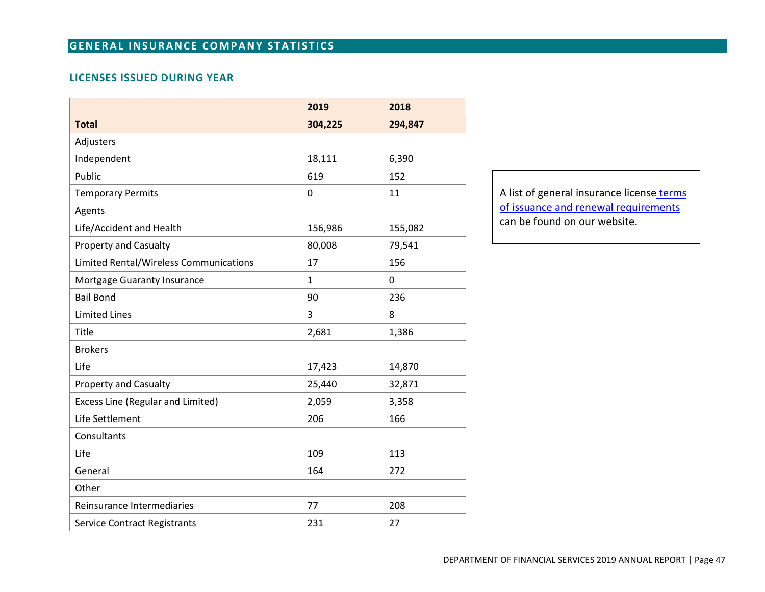# **GENERAL INSURANCE COMPANY STATISTICS**

# **LICENSES ISSUED DURING YEAR**

|                                        | 2019    | 2018    |
|----------------------------------------|---------|---------|
| <b>Total</b>                           | 304,225 | 294,847 |
| Adjusters                              |         |         |
| Independent                            | 18,111  | 6,390   |
| Public                                 | 619     | 152     |
| <b>Temporary Permits</b>               | 0       | 11      |
| Agents                                 |         |         |
| Life/Accident and Health               | 156,986 | 155,082 |
| <b>Property and Casualty</b>           | 80,008  | 79,541  |
| Limited Rental/Wireless Communications | 17      | 156     |
| Mortgage Guaranty Insurance            | 1       | 0       |
| <b>Bail Bond</b>                       | 90      | 236     |
| <b>Limited Lines</b>                   | 3       | 8       |
| Title                                  | 2,681   | 1,386   |
| <b>Brokers</b>                         |         |         |
| Life                                   | 17,423  | 14,870  |
| Property and Casualty                  | 25,440  | 32,871  |
| Excess Line (Regular and Limited)      | 2,059   | 3,358   |
| Life Settlement                        | 206     | 166     |
| Consultants                            |         |         |
| Life                                   | 109     | 113     |
| General                                | 164     | 272     |
| Other                                  |         |         |
| Reinsurance Intermediaries             | 77      | 208     |
| <b>Service Contract Registrants</b>    | 231     | 27      |

A list of general insurance license terms [of issuance and renewal requirements](https://www.dfs.ny.gov/apps_and_licensing/insurance_companies)  can be found on our website.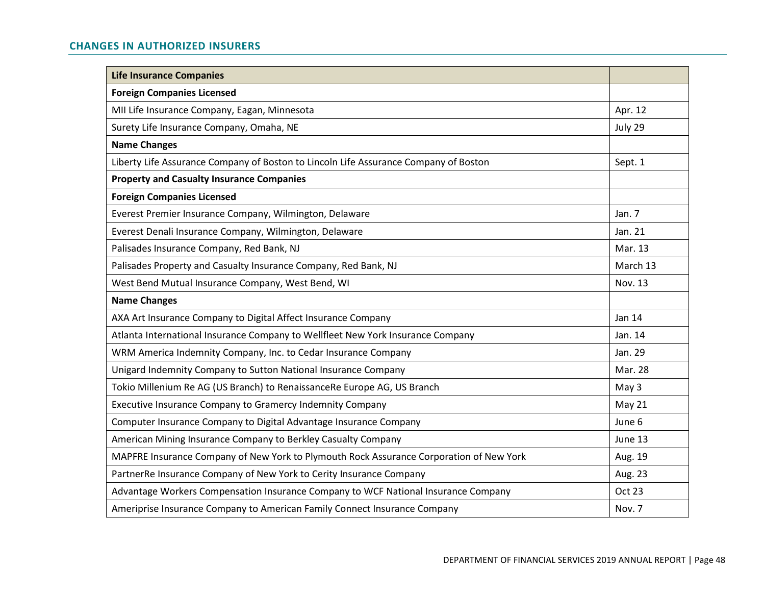# **CHANGES IN AUTHORIZED INSURERS**

| <b>Life Insurance Companies</b>                                                         |          |
|-----------------------------------------------------------------------------------------|----------|
| <b>Foreign Companies Licensed</b>                                                       |          |
| MII Life Insurance Company, Eagan, Minnesota                                            | Apr. 12  |
| Surety Life Insurance Company, Omaha, NE                                                | July 29  |
| <b>Name Changes</b>                                                                     |          |
| Liberty Life Assurance Company of Boston to Lincoln Life Assurance Company of Boston    | Sept. 1  |
| <b>Property and Casualty Insurance Companies</b>                                        |          |
| <b>Foreign Companies Licensed</b>                                                       |          |
| Everest Premier Insurance Company, Wilmington, Delaware                                 | Jan. $7$ |
| Everest Denali Insurance Company, Wilmington, Delaware                                  | Jan. 21  |
| Palisades Insurance Company, Red Bank, NJ                                               | Mar. 13  |
| Palisades Property and Casualty Insurance Company, Red Bank, NJ                         | March 13 |
| West Bend Mutual Insurance Company, West Bend, WI                                       | Nov. 13  |
| <b>Name Changes</b>                                                                     |          |
| AXA Art Insurance Company to Digital Affect Insurance Company                           | Jan 14   |
| Atlanta International Insurance Company to Wellfleet New York Insurance Company         | Jan. 14  |
| WRM America Indemnity Company, Inc. to Cedar Insurance Company                          | Jan. 29  |
| Unigard Indemnity Company to Sutton National Insurance Company                          | Mar. 28  |
| Tokio Millenium Re AG (US Branch) to RenaissanceRe Europe AG, US Branch                 | May 3    |
| Executive Insurance Company to Gramercy Indemnity Company                               | May 21   |
| Computer Insurance Company to Digital Advantage Insurance Company                       | June 6   |
| American Mining Insurance Company to Berkley Casualty Company                           | June 13  |
| MAPFRE Insurance Company of New York to Plymouth Rock Assurance Corporation of New York | Aug. 19  |
| PartnerRe Insurance Company of New York to Cerity Insurance Company                     | Aug. 23  |
| Advantage Workers Compensation Insurance Company to WCF National Insurance Company      | Oct 23   |
| Ameriprise Insurance Company to American Family Connect Insurance Company               | Nov. 7   |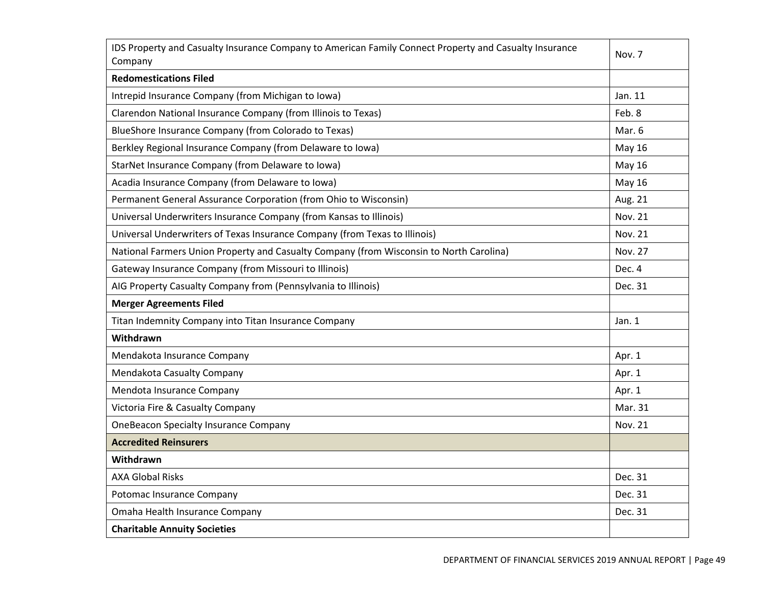| IDS Property and Casualty Insurance Company to American Family Connect Property and Casualty Insurance<br>Company | Nov. 7         |
|-------------------------------------------------------------------------------------------------------------------|----------------|
| <b>Redomestications Filed</b>                                                                                     |                |
| Intrepid Insurance Company (from Michigan to Iowa)                                                                | Jan. 11        |
| Clarendon National Insurance Company (from Illinois to Texas)                                                     | Feb. 8         |
| BlueShore Insurance Company (from Colorado to Texas)                                                              | Mar. 6         |
| Berkley Regional Insurance Company (from Delaware to Iowa)                                                        | May 16         |
| StarNet Insurance Company (from Delaware to Iowa)                                                                 | May 16         |
| Acadia Insurance Company (from Delaware to Iowa)                                                                  | May 16         |
| Permanent General Assurance Corporation (from Ohio to Wisconsin)                                                  | Aug. 21        |
| Universal Underwriters Insurance Company (from Kansas to Illinois)                                                | <b>Nov. 21</b> |
| Universal Underwriters of Texas Insurance Company (from Texas to Illinois)                                        | Nov. 21        |
| National Farmers Union Property and Casualty Company (from Wisconsin to North Carolina)                           | Nov. 27        |
| Gateway Insurance Company (from Missouri to Illinois)                                                             | Dec. 4         |
| AIG Property Casualty Company from (Pennsylvania to Illinois)                                                     | Dec. 31        |
| <b>Merger Agreements Filed</b>                                                                                    |                |
| Titan Indemnity Company into Titan Insurance Company                                                              | Jan. $1$       |
| Withdrawn                                                                                                         |                |
| Mendakota Insurance Company                                                                                       | Apr. 1         |
| Mendakota Casualty Company                                                                                        | Apr. 1         |
| Mendota Insurance Company                                                                                         | Apr. 1         |
| Victoria Fire & Casualty Company                                                                                  | Mar. 31        |
| <b>OneBeacon Specialty Insurance Company</b>                                                                      | Nov. 21        |
| <b>Accredited Reinsurers</b>                                                                                      |                |
| Withdrawn                                                                                                         |                |
| <b>AXA Global Risks</b>                                                                                           | Dec. 31        |
| Potomac Insurance Company                                                                                         | Dec. 31        |
| Omaha Health Insurance Company                                                                                    | Dec. 31        |
| <b>Charitable Annuity Societies</b>                                                                               |                |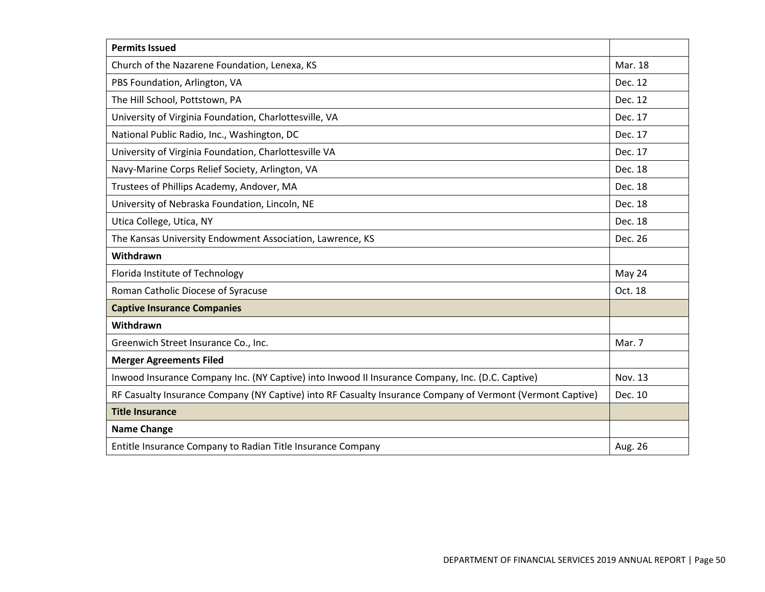| <b>Permits Issued</b>                                                                                      |         |
|------------------------------------------------------------------------------------------------------------|---------|
| Church of the Nazarene Foundation, Lenexa, KS                                                              | Mar. 18 |
| PBS Foundation, Arlington, VA                                                                              | Dec. 12 |
| The Hill School, Pottstown, PA                                                                             | Dec. 12 |
| University of Virginia Foundation, Charlottesville, VA                                                     | Dec. 17 |
| National Public Radio, Inc., Washington, DC                                                                | Dec. 17 |
| University of Virginia Foundation, Charlottesville VA                                                      | Dec. 17 |
| Navy-Marine Corps Relief Society, Arlington, VA                                                            | Dec. 18 |
| Trustees of Phillips Academy, Andover, MA                                                                  | Dec. 18 |
| University of Nebraska Foundation, Lincoln, NE                                                             | Dec. 18 |
| Utica College, Utica, NY                                                                                   | Dec. 18 |
| The Kansas University Endowment Association, Lawrence, KS                                                  | Dec. 26 |
| Withdrawn                                                                                                  |         |
| Florida Institute of Technology                                                                            | May 24  |
| Roman Catholic Diocese of Syracuse                                                                         | Oct. 18 |
| <b>Captive Insurance Companies</b>                                                                         |         |
| Withdrawn                                                                                                  |         |
| Greenwich Street Insurance Co., Inc.                                                                       | Mar. 7  |
| <b>Merger Agreements Filed</b>                                                                             |         |
| Inwood Insurance Company Inc. (NY Captive) into Inwood II Insurance Company, Inc. (D.C. Captive)           | Nov. 13 |
| RF Casualty Insurance Company (NY Captive) into RF Casualty Insurance Company of Vermont (Vermont Captive) | Dec. 10 |
| <b>Title Insurance</b>                                                                                     |         |
| <b>Name Change</b>                                                                                         |         |
| Entitle Insurance Company to Radian Title Insurance Company                                                | Aug. 26 |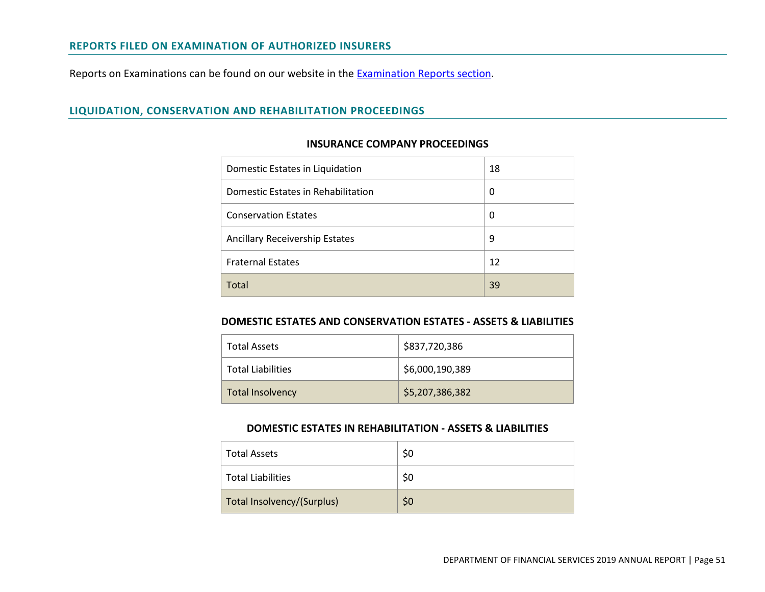#### **REPORTS FILED ON EXAMINATION OF AUTHORIZED INSURERS**

Reports on [Examination](https://www.dfs.ny.gov/reports_and_publications/exam_reports)s can be found on our website in the **Examination Reports section**.

# **LIQUIDATION, CONSERVATION AND REHABILITATION PROCEEDINGS**

#### **INSURANCE COMPANY PROCEEDINGS**

| Domestic Estates in Liquidation       | 18 |
|---------------------------------------|----|
| Domestic Estates in Rehabilitation    | 0  |
| <b>Conservation Estates</b>           | 0  |
| <b>Ancillary Receivership Estates</b> | 9  |
| <b>Fraternal Estates</b>              | 12 |
| Total                                 | 39 |

#### **DOMESTIC ESTATES AND CONSERVATION ESTATES - ASSETS & LIABILITIES**

| <b>Total Assets</b>      | \$837,720,386   |
|--------------------------|-----------------|
| <b>Total Liabilities</b> | \$6,000,190,389 |
| <b>Total Insolvency</b>  | \$5,207,386,382 |

### **DOMESTIC ESTATES IN REHABILITATION - ASSETS & LIABILITIES**

| <b>Total Assets</b>        | \$0 |
|----------------------------|-----|
| <b>Total Liabilities</b>   | \$0 |
| Total Insolvency/(Surplus) | \$0 |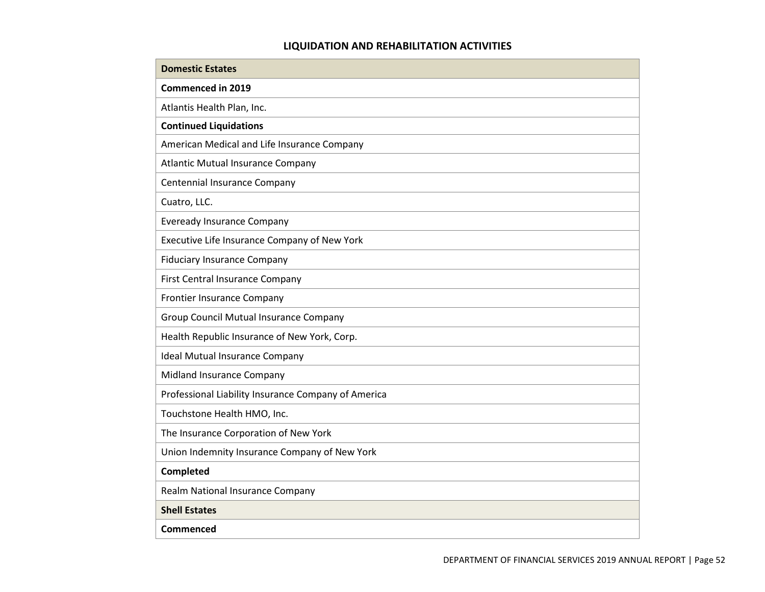# **LIQUIDATION AND REHABILITATION ACTIVITIES**

| <b>Domestic Estates</b>                             |
|-----------------------------------------------------|
| <b>Commenced in 2019</b>                            |
| Atlantis Health Plan, Inc.                          |
| <b>Continued Liquidations</b>                       |
| American Medical and Life Insurance Company         |
| <b>Atlantic Mutual Insurance Company</b>            |
| Centennial Insurance Company                        |
| Cuatro, LLC.                                        |
| <b>Eveready Insurance Company</b>                   |
| Executive Life Insurance Company of New York        |
| <b>Fiduciary Insurance Company</b>                  |
| First Central Insurance Company                     |
| Frontier Insurance Company                          |
| Group Council Mutual Insurance Company              |
| Health Republic Insurance of New York, Corp.        |
| <b>Ideal Mutual Insurance Company</b>               |
| Midland Insurance Company                           |
| Professional Liability Insurance Company of America |
| Touchstone Health HMO, Inc.                         |
| The Insurance Corporation of New York               |
| Union Indemnity Insurance Company of New York       |
| Completed                                           |
| Realm National Insurance Company                    |
| <b>Shell Estates</b>                                |
| <b>Commenced</b>                                    |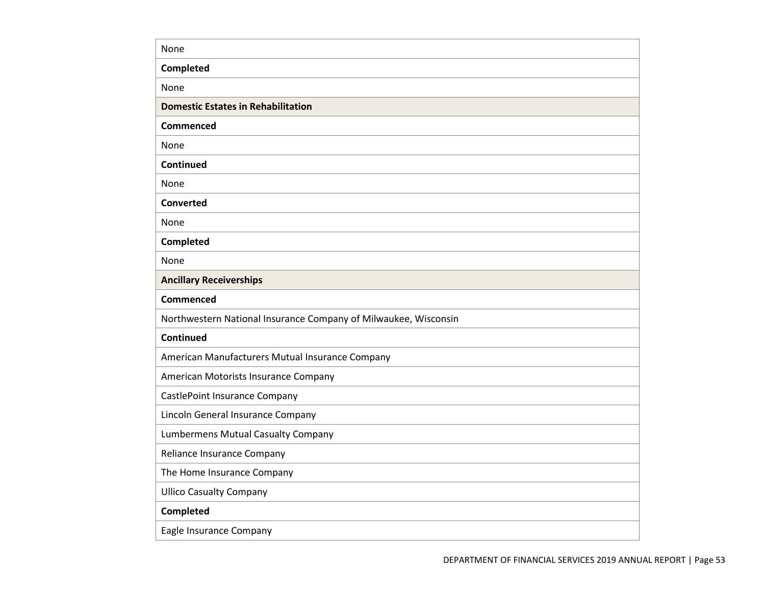| None                                                            |
|-----------------------------------------------------------------|
| Completed                                                       |
| None                                                            |
| <b>Domestic Estates in Rehabilitation</b>                       |
| Commenced                                                       |
| None                                                            |
| Continued                                                       |
| None                                                            |
| <b>Converted</b>                                                |
| None                                                            |
| Completed                                                       |
| None                                                            |
| <b>Ancillary Receiverships</b>                                  |
|                                                                 |
| <b>Commenced</b>                                                |
| Northwestern National Insurance Company of Milwaukee, Wisconsin |
| Continued                                                       |
| American Manufacturers Mutual Insurance Company                 |
| American Motorists Insurance Company                            |
| CastlePoint Insurance Company                                   |
| Lincoln General Insurance Company                               |
| <b>Lumbermens Mutual Casualty Company</b>                       |
| Reliance Insurance Company                                      |
| The Home Insurance Company                                      |
| <b>Ullico Casualty Company</b>                                  |
| Completed                                                       |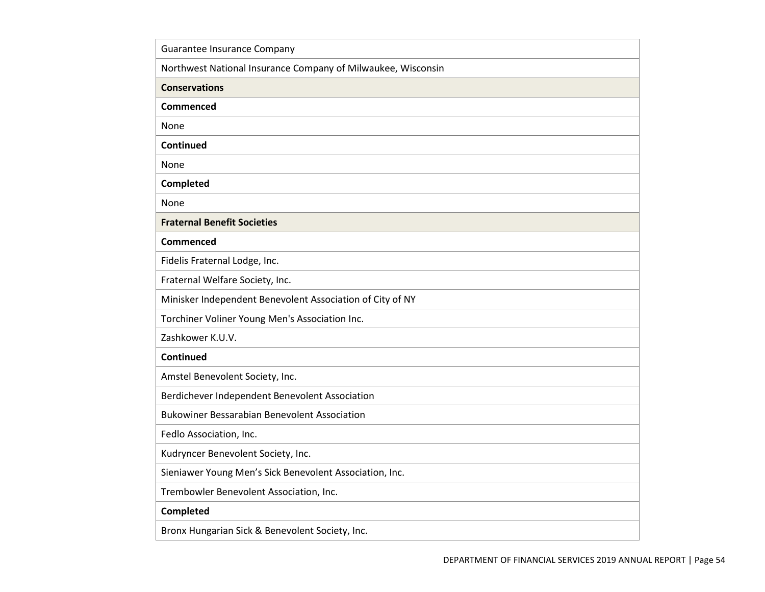| Guarantee Insurance Company                                  |  |
|--------------------------------------------------------------|--|
| Northwest National Insurance Company of Milwaukee, Wisconsin |  |
| <b>Conservations</b>                                         |  |
| Commenced                                                    |  |
| None                                                         |  |
| Continued                                                    |  |
| None                                                         |  |
| Completed                                                    |  |
| None                                                         |  |
| <b>Fraternal Benefit Societies</b>                           |  |
| <b>Commenced</b>                                             |  |
| Fidelis Fraternal Lodge, Inc.                                |  |
| Fraternal Welfare Society, Inc.                              |  |
| Minisker Independent Benevolent Association of City of NY    |  |
| Torchiner Voliner Young Men's Association Inc.               |  |
| Zashkower K.U.V.                                             |  |
| Continued                                                    |  |
| Amstel Benevolent Society, Inc.                              |  |
| Berdichever Independent Benevolent Association               |  |
| <b>Bukowiner Bessarabian Benevolent Association</b>          |  |
| Fedlo Association, Inc.                                      |  |
| Kudryncer Benevolent Society, Inc.                           |  |
| Sieniawer Young Men's Sick Benevolent Association, Inc.      |  |
| Trembowler Benevolent Association, Inc.                      |  |
| <b>Completed</b>                                             |  |
| Bronx Hungarian Sick & Benevolent Society, Inc.              |  |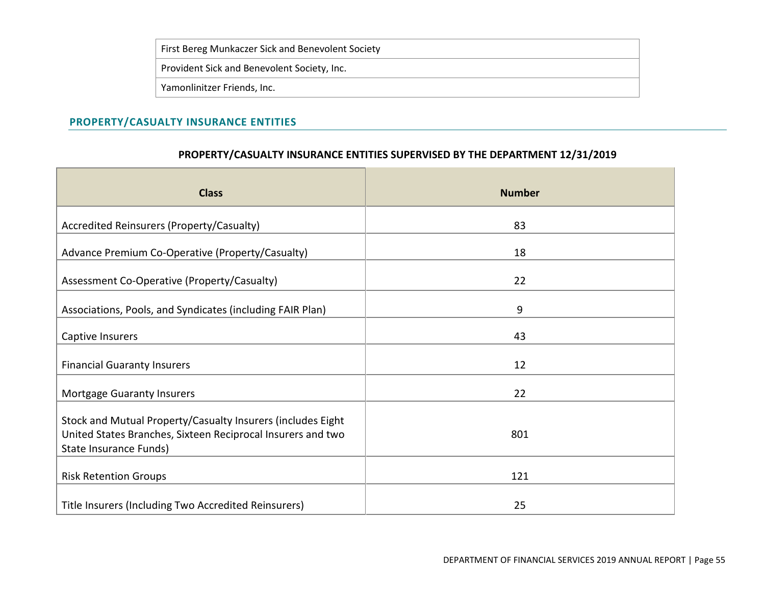|  | First Bereg Munkaczer Sick and Benevolent Society |
|--|---------------------------------------------------|
|  | Provident Sick and Benevolent Society, Inc.       |
|  | Yamonlinitzer Friends, Inc.                       |

# **PROPERTY/CASUALTY INSURANCE ENTITIES**

# **PROPERTY/CASUALTY INSURANCE ENTITIES SUPERVISED BY THE DEPARTMENT 12/31/2019**

| <b>Class</b>                                                                                                                                         | <b>Number</b> |
|------------------------------------------------------------------------------------------------------------------------------------------------------|---------------|
| Accredited Reinsurers (Property/Casualty)                                                                                                            | 83            |
| Advance Premium Co-Operative (Property/Casualty)                                                                                                     | 18            |
| Assessment Co-Operative (Property/Casualty)                                                                                                          | 22            |
| Associations, Pools, and Syndicates (including FAIR Plan)                                                                                            | 9             |
| Captive Insurers                                                                                                                                     | 43            |
| <b>Financial Guaranty Insurers</b>                                                                                                                   | 12            |
| <b>Mortgage Guaranty Insurers</b>                                                                                                                    | 22            |
| Stock and Mutual Property/Casualty Insurers (includes Eight<br>United States Branches, Sixteen Reciprocal Insurers and two<br>State Insurance Funds) | 801           |
| <b>Risk Retention Groups</b>                                                                                                                         | 121           |
| Title Insurers (Including Two Accredited Reinsurers)                                                                                                 | 25            |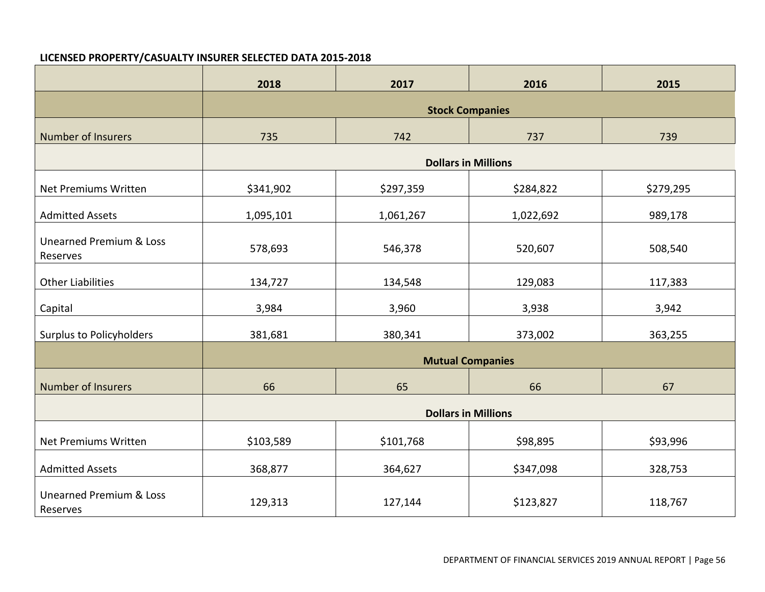# **LICENSED PROPERTY/CASUALTY INSURER SELECTED DATA 2015-2018**

|                                                | 2018                       | 2017      | 2016                       | 2015      |  |  |
|------------------------------------------------|----------------------------|-----------|----------------------------|-----------|--|--|
|                                                | <b>Stock Companies</b>     |           |                            |           |  |  |
| <b>Number of Insurers</b>                      | 735                        | 742       | 737                        | 739       |  |  |
|                                                |                            |           | <b>Dollars in Millions</b> |           |  |  |
| Net Premiums Written                           | \$341,902                  | \$297,359 | \$284,822                  | \$279,295 |  |  |
| <b>Admitted Assets</b>                         | 1,095,101                  | 1,061,267 | 1,022,692                  | 989,178   |  |  |
| <b>Unearned Premium &amp; Loss</b><br>Reserves | 578,693                    | 546,378   | 520,607                    | 508,540   |  |  |
| <b>Other Liabilities</b>                       | 134,727                    | 134,548   | 129,083                    | 117,383   |  |  |
| Capital                                        | 3,984                      | 3,960     | 3,938                      | 3,942     |  |  |
| <b>Surplus to Policyholders</b>                | 381,681                    | 380,341   | 373,002                    | 363,255   |  |  |
|                                                |                            |           | <b>Mutual Companies</b>    |           |  |  |
| <b>Number of Insurers</b>                      | 66                         | 65        | 66                         | 67        |  |  |
|                                                | <b>Dollars in Millions</b> |           |                            |           |  |  |
| Net Premiums Written                           | \$103,589                  | \$101,768 | \$98,895                   | \$93,996  |  |  |
| <b>Admitted Assets</b>                         | 368,877                    | 364,627   | \$347,098                  | 328,753   |  |  |
| <b>Unearned Premium &amp; Loss</b><br>Reserves | 129,313                    | 127,144   | \$123,827                  | 118,767   |  |  |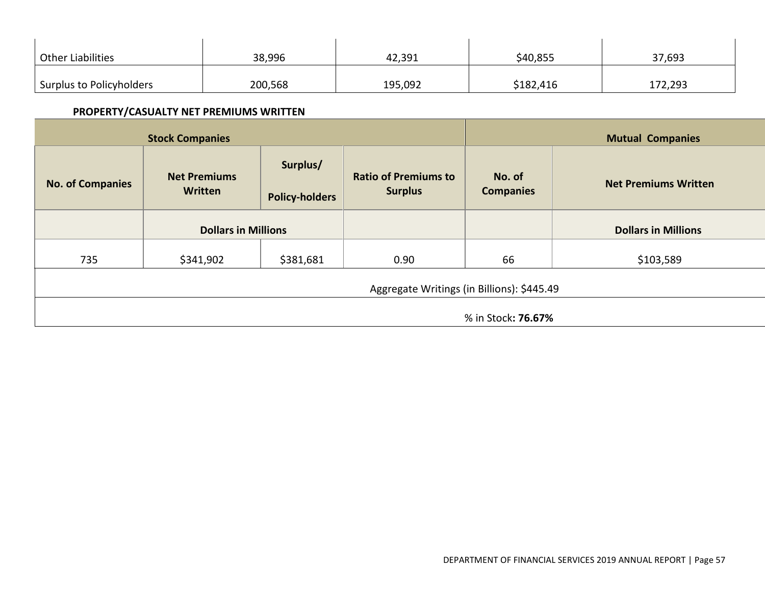| <b>Other Liabilities</b> | 38,996  | 42,391  | \$40,855  | 37,693  |
|--------------------------|---------|---------|-----------|---------|
| Surplus to Policyholders | 200,568 | 195,092 | \$182,416 | 172,293 |

# **PROPERTY/CASUALTY NET PREMIUMS WRITTEN**

| <b>Stock Companies</b>  |                                            |                                   |                                               |                            | <b>Mutual Companies</b>     |
|-------------------------|--------------------------------------------|-----------------------------------|-----------------------------------------------|----------------------------|-----------------------------|
| <b>No. of Companies</b> | <b>Net Premiums</b><br>Written             | Surplus/<br><b>Policy-holders</b> | <b>Ratio of Premiums to</b><br><b>Surplus</b> | No. of<br><b>Companies</b> | <b>Net Premiums Written</b> |
|                         | <b>Dollars in Millions</b>                 |                                   |                                               |                            | <b>Dollars in Millions</b>  |
| 735                     | \$341,902                                  | \$381,681                         | 0.90                                          | 66                         | \$103,589                   |
|                         | Aggregate Writings (in Billions): \$445.49 |                                   |                                               |                            |                             |
| % in Stock: 76.67%      |                                            |                                   |                                               |                            |                             |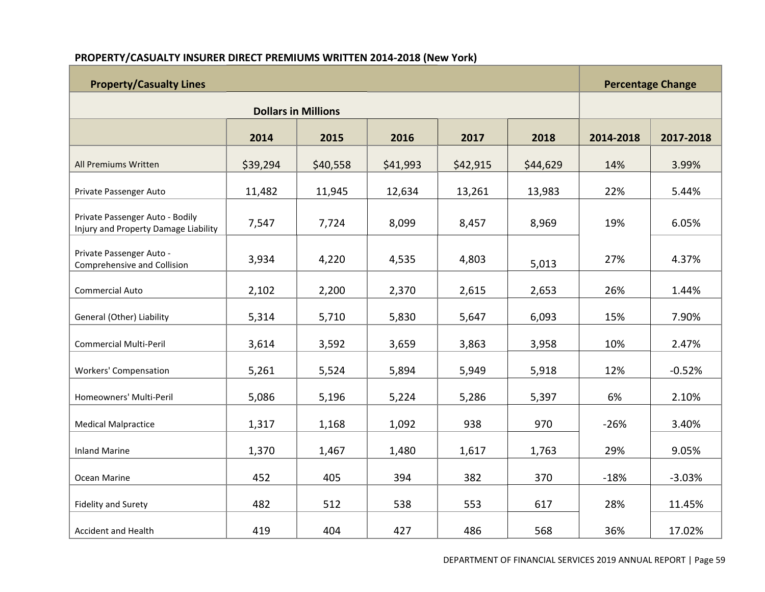# **PROPERTY/CASUALTY INSURER DIRECT PREMIUMS WRITTEN 2014-2018 (New York)**

| <b>Property/Casualty Lines</b>                                          |                            |          |          |          |          |           | <b>Percentage Change</b> |
|-------------------------------------------------------------------------|----------------------------|----------|----------|----------|----------|-----------|--------------------------|
|                                                                         | <b>Dollars in Millions</b> |          |          |          |          |           |                          |
|                                                                         | 2014                       | 2015     | 2016     | 2017     | 2018     | 2014-2018 | 2017-2018                |
| All Premiums Written                                                    | \$39,294                   | \$40,558 | \$41,993 | \$42,915 | \$44,629 | 14%       | 3.99%                    |
| Private Passenger Auto                                                  | 11,482                     | 11,945   | 12,634   | 13,261   | 13,983   | 22%       | 5.44%                    |
| Private Passenger Auto - Bodily<br>Injury and Property Damage Liability | 7,547                      | 7,724    | 8,099    | 8,457    | 8,969    | 19%       | 6.05%                    |
| Private Passenger Auto -<br>Comprehensive and Collision                 | 3,934                      | 4,220    | 4,535    | 4,803    | 5,013    | 27%       | 4.37%                    |
| <b>Commercial Auto</b>                                                  | 2,102                      | 2,200    | 2,370    | 2,615    | 2,653    | 26%       | 1.44%                    |
| General (Other) Liability                                               | 5,314                      | 5,710    | 5,830    | 5,647    | 6,093    | 15%       | 7.90%                    |
| <b>Commercial Multi-Peril</b>                                           | 3,614                      | 3,592    | 3,659    | 3,863    | 3,958    | 10%       | 2.47%                    |
| <b>Workers' Compensation</b>                                            | 5,261                      | 5,524    | 5,894    | 5,949    | 5,918    | 12%       | $-0.52%$                 |
| Homeowners' Multi-Peril                                                 | 5,086                      | 5,196    | 5,224    | 5,286    | 5,397    | 6%        | 2.10%                    |
| <b>Medical Malpractice</b>                                              | 1,317                      | 1,168    | 1,092    | 938      | 970      | $-26%$    | 3.40%                    |
| <b>Inland Marine</b>                                                    | 1,370                      | 1,467    | 1,480    | 1,617    | 1,763    | 29%       | 9.05%                    |
| Ocean Marine                                                            | 452                        | 405      | 394      | 382      | 370      | $-18%$    | $-3.03%$                 |
| <b>Fidelity and Surety</b>                                              | 482                        | 512      | 538      | 553      | 617      | 28%       | 11.45%                   |
| <b>Accident and Health</b>                                              | 419                        | 404      | 427      | 486      | 568      | 36%       | 17.02%                   |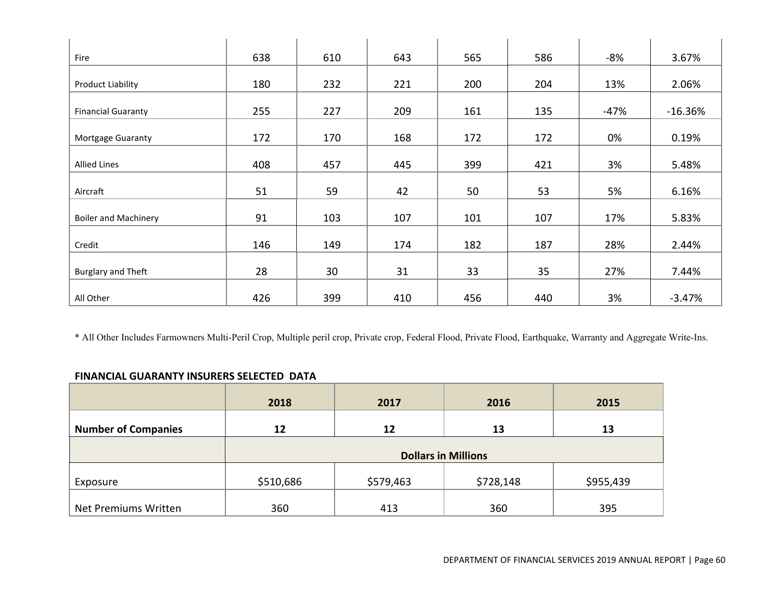| 638 | 610                                               | 643                                                | 565                                                | 586                                                | -8%                                                | 3.67%                                             |
|-----|---------------------------------------------------|----------------------------------------------------|----------------------------------------------------|----------------------------------------------------|----------------------------------------------------|---------------------------------------------------|
| 180 | 232                                               | 221                                                | 200                                                | 204                                                | 13%                                                | 2.06%                                             |
|     |                                                   |                                                    |                                                    |                                                    |                                                    | $-16.36%$                                         |
|     |                                                   |                                                    |                                                    |                                                    |                                                    | 0.19%                                             |
|     |                                                   |                                                    |                                                    |                                                    |                                                    | 5.48%                                             |
|     |                                                   |                                                    |                                                    |                                                    |                                                    | 6.16%                                             |
|     |                                                   |                                                    |                                                    |                                                    |                                                    | 5.83%                                             |
|     |                                                   |                                                    |                                                    |                                                    |                                                    | 2.44%                                             |
|     |                                                   |                                                    |                                                    |                                                    |                                                    | 7.44%                                             |
|     |                                                   |                                                    |                                                    |                                                    |                                                    | $-3.47%$                                          |
|     | 255<br>172<br>408<br>51<br>91<br>146<br>28<br>426 | 227<br>170<br>457<br>59<br>103<br>149<br>30<br>399 | 209<br>168<br>445<br>42<br>107<br>174<br>31<br>410 | 161<br>172<br>399<br>50<br>101<br>182<br>33<br>456 | 135<br>172<br>421<br>53<br>107<br>187<br>35<br>440 | -47%<br>0%<br>3%<br>5%<br>17%<br>28%<br>27%<br>3% |

\* All Other Includes Farmowners Multi-Peril Crop, Multiple peril crop, Private crop, Federal Flood, Private Flood, Earthquake, Warranty and Aggregate Write-Ins.

## **FINANCIAL GUARANTY INSURERS SELECTED DATA**

|                            | 2018                       | 2017      | 2016      | 2015      |  |
|----------------------------|----------------------------|-----------|-----------|-----------|--|
| <b>Number of Companies</b> | 12                         | 12        | 13        | 13        |  |
|                            | <b>Dollars in Millions</b> |           |           |           |  |
| Exposure                   | \$510,686                  | \$579,463 | \$728,148 | \$955,439 |  |
| Net Premiums Written       | 360                        | 413       | 360       | 395       |  |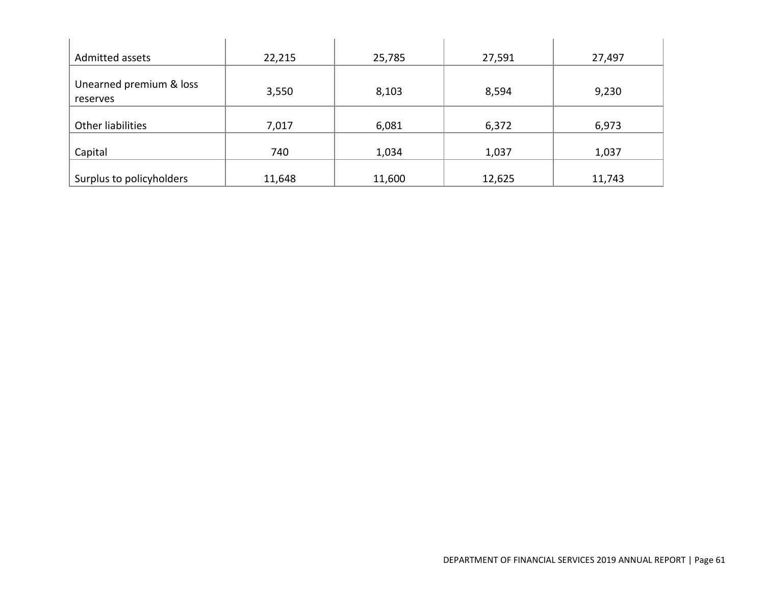| Admitted assets                     | 22,215 | 25,785 | 27,591 | 27,497 |
|-------------------------------------|--------|--------|--------|--------|
| Unearned premium & loss<br>reserves | 3,550  | 8,103  | 8,594  | 9,230  |
| Other liabilities                   | 7,017  | 6,081  | 6,372  | 6,973  |
| Capital                             | 740    | 1,034  | 1,037  | 1,037  |
| Surplus to policyholders            | 11,648 | 11,600 | 12,625 | 11,743 |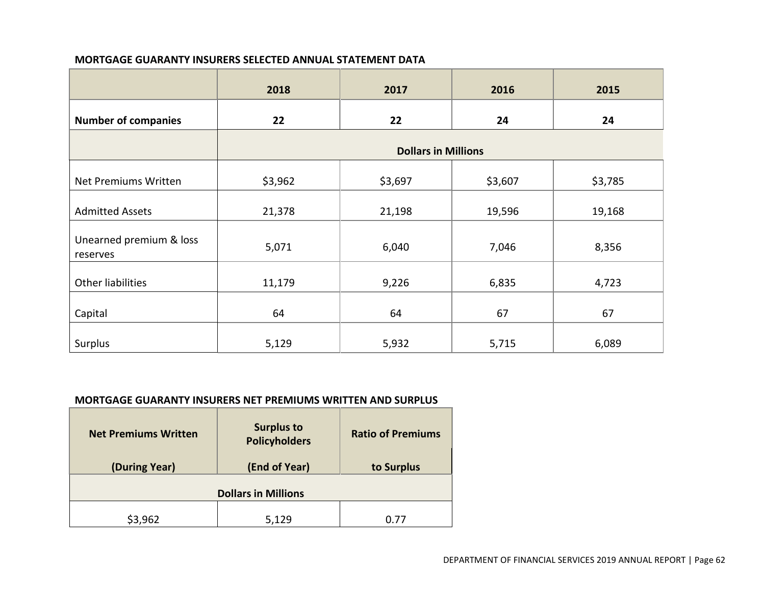### **MORTGAGE GUARANTY INSURERS SELECTED ANNUAL STATEMENT DATA**

|                                     | 2018    | 2017                       | 2016    | 2015    |
|-------------------------------------|---------|----------------------------|---------|---------|
| <b>Number of companies</b>          | 22      | 22                         | 24      | 24      |
|                                     |         | <b>Dollars in Millions</b> |         |         |
| Net Premiums Written                | \$3,962 | \$3,697                    | \$3,607 | \$3,785 |
| <b>Admitted Assets</b>              | 21,378  | 21,198                     | 19,596  | 19,168  |
| Unearned premium & loss<br>reserves | 5,071   | 6,040                      | 7,046   | 8,356   |
| <b>Other liabilities</b>            | 11,179  | 9,226                      | 6,835   | 4,723   |
| Capital                             | 64      | 64                         | 67      | 67      |
| Surplus                             | 5,129   | 5,932                      | 5,715   | 6,089   |

## **MORTGAGE GUARANTY INSURERS NET PREMIUMS WRITTEN AND SURPLUS**

| <b>Net Premiums Written</b><br>(During Year) | <b>Surplus to</b><br><b>Policyholders</b><br>(End of Year) | <b>Ratio of Premiums</b><br>to Surplus |
|----------------------------------------------|------------------------------------------------------------|----------------------------------------|
|                                              | <b>Dollars in Millions</b>                                 |                                        |
| \$3,962                                      | 5,129                                                      | በ 77                                   |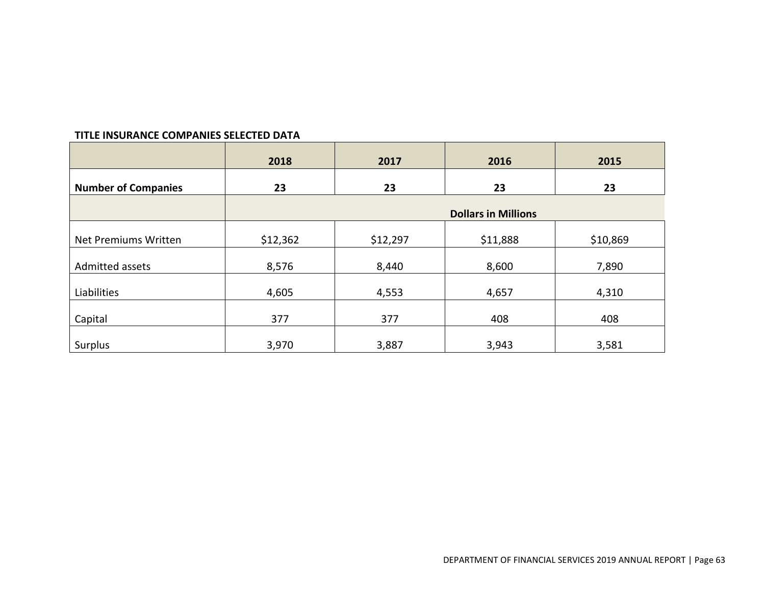### **TITLE INSURANCE COMPANIES SELECTED DATA**

|                            | 2018     | 2017     | 2016                       | 2015     |
|----------------------------|----------|----------|----------------------------|----------|
| <b>Number of Companies</b> | 23       | 23       | 23                         | 23       |
|                            |          |          | <b>Dollars in Millions</b> |          |
| Net Premiums Written       | \$12,362 | \$12,297 | \$11,888                   | \$10,869 |
| Admitted assets            | 8,576    | 8,440    | 8,600                      | 7,890    |
| Liabilities                | 4,605    | 4,553    | 4,657                      | 4,310    |
| Capital                    | 377      | 377      | 408                        | 408      |
| Surplus                    | 3,970    | 3,887    | 3,943                      | 3,581    |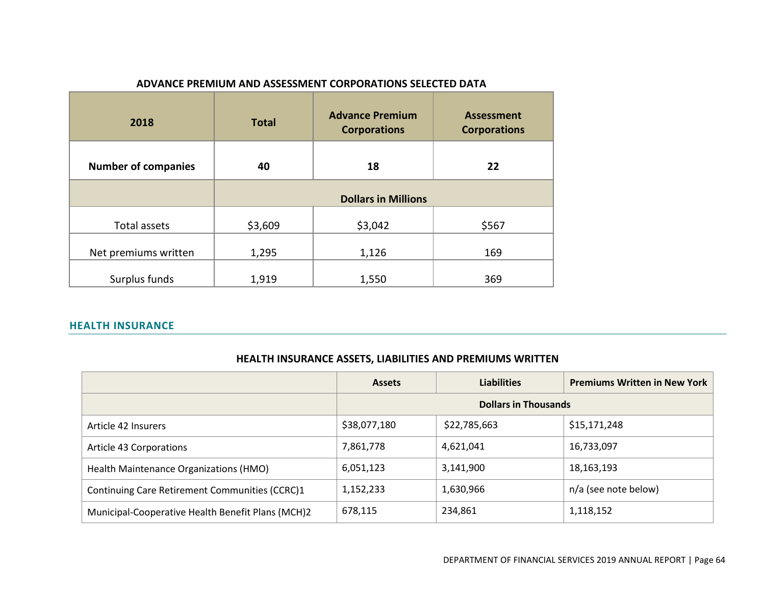| 2018                       | <b>Total</b>               | <b>Advance Premium</b><br><b>Corporations</b> | <b>Assessment</b><br><b>Corporations</b> |  |  |
|----------------------------|----------------------------|-----------------------------------------------|------------------------------------------|--|--|
| <b>Number of companies</b> | 40                         | 18                                            | 22                                       |  |  |
|                            | <b>Dollars in Millions</b> |                                               |                                          |  |  |
| Total assets               | \$3,609                    | \$3,042                                       | \$567                                    |  |  |
| Net premiums written       | 1,295                      | 1,126                                         | 169                                      |  |  |
| Surplus funds              | 1,919                      | 1,550                                         | 369                                      |  |  |

### **ADVANCE PREMIUM AND ASSESSMENT CORPORATIONS SELECTED DATA**

## **HEALTH INSURANCE**

|                                                   | <b>Assets</b> | <b>Liabilities</b>          | <b>Premiums Written in New York</b> |
|---------------------------------------------------|---------------|-----------------------------|-------------------------------------|
|                                                   |               | <b>Dollars in Thousands</b> |                                     |
| Article 42 Insurers                               | \$38,077,180  | \$22,785,663                | \$15,171,248                        |
| Article 43 Corporations                           | 7,861,778     | 4,621,041                   | 16,733,097                          |
| Health Maintenance Organizations (HMO)            | 6,051,123     | 3,141,900                   | 18,163,193                          |
| Continuing Care Retirement Communities (CCRC)1    | 1,152,233     | 1,630,966                   | n/a (see note below)                |
| Municipal-Cooperative Health Benefit Plans (MCH)2 | 678,115       | 234,861                     | 1,118,152                           |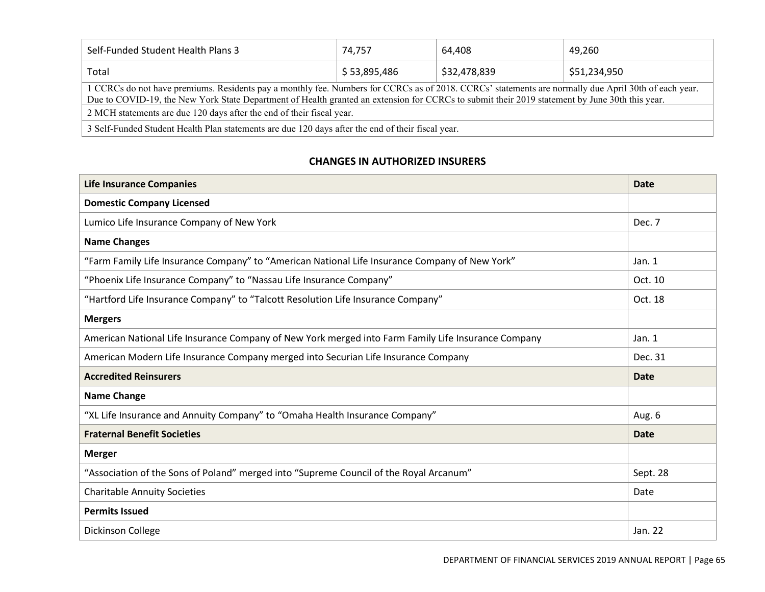| Self-Funded Student Health Plans 3                                                                                                                                                                                                                                                                     | 74.757       | 64.408       | 49.260       |  |  |  |
|--------------------------------------------------------------------------------------------------------------------------------------------------------------------------------------------------------------------------------------------------------------------------------------------------------|--------------|--------------|--------------|--|--|--|
| Total                                                                                                                                                                                                                                                                                                  | \$53,895,486 | \$32,478,839 | \$51,234,950 |  |  |  |
| 1 CCRCs do not have premiums. Residents pay a monthly fee. Numbers for CCRCs as of 2018. CCRCs' statements are normally due April 30th of each year.<br>Due to COVID-19, the New York State Department of Health granted an extension for CCRCs to submit their 2019 statement by June 30th this year. |              |              |              |  |  |  |
| 2 MCH statements are due 120 days after the end of their fiscal year.                                                                                                                                                                                                                                  |              |              |              |  |  |  |
| 3 Self-Funded Student Health Plan statements are due 120 days after the end of their fiscal year.                                                                                                                                                                                                      |              |              |              |  |  |  |

# **CHANGES IN AUTHORIZED INSURERS**

| <b>Life Insurance Companies</b>                                                                     | <b>Date</b> |
|-----------------------------------------------------------------------------------------------------|-------------|
| <b>Domestic Company Licensed</b>                                                                    |             |
| Lumico Life Insurance Company of New York                                                           | Dec. 7      |
| <b>Name Changes</b>                                                                                 |             |
| "Farm Family Life Insurance Company" to "American National Life Insurance Company of New York"      | Jan. 1      |
| "Phoenix Life Insurance Company" to "Nassau Life Insurance Company"                                 | Oct. 10     |
| "Hartford Life Insurance Company" to "Talcott Resolution Life Insurance Company"                    | Oct. 18     |
| <b>Mergers</b>                                                                                      |             |
| American National Life Insurance Company of New York merged into Farm Family Life Insurance Company | Jan. $1$    |
| American Modern Life Insurance Company merged into Securian Life Insurance Company                  | Dec. 31     |
| <b>Accredited Reinsurers</b>                                                                        | <b>Date</b> |
| <b>Name Change</b>                                                                                  |             |
| "XL Life Insurance and Annuity Company" to "Omaha Health Insurance Company"                         | Aug. 6      |
| <b>Fraternal Benefit Societies</b>                                                                  | <b>Date</b> |
| <b>Merger</b>                                                                                       |             |
| "Association of the Sons of Poland" merged into "Supreme Council of the Royal Arcanum"              | Sept. 28    |
| <b>Charitable Annuity Societies</b>                                                                 | Date        |
| <b>Permits Issued</b>                                                                               |             |
| Dickinson College                                                                                   | Jan. 22     |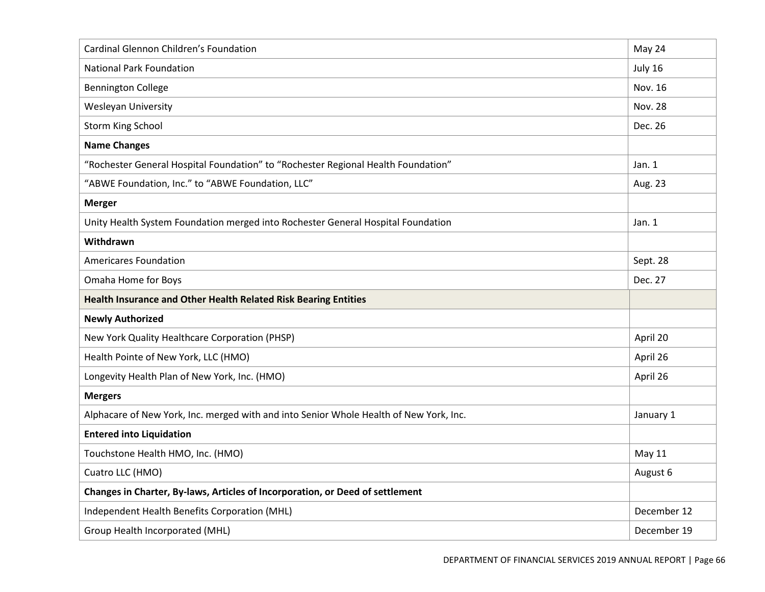| Cardinal Glennon Children's Foundation                                                 | May 24         |
|----------------------------------------------------------------------------------------|----------------|
| <b>National Park Foundation</b>                                                        | July 16        |
| <b>Bennington College</b>                                                              | Nov. 16        |
| Wesleyan University                                                                    | <b>Nov. 28</b> |
| <b>Storm King School</b>                                                               | Dec. 26        |
| <b>Name Changes</b>                                                                    |                |
| "Rochester General Hospital Foundation" to "Rochester Regional Health Foundation"      | Jan. 1         |
| "ABWE Foundation, Inc." to "ABWE Foundation, LLC"                                      | Aug. 23        |
| <b>Merger</b>                                                                          |                |
| Unity Health System Foundation merged into Rochester General Hospital Foundation       | Jan. $1$       |
| Withdrawn                                                                              |                |
| <b>Americares Foundation</b>                                                           | Sept. 28       |
| Omaha Home for Boys                                                                    | Dec. 27        |
|                                                                                        |                |
| Health Insurance and Other Health Related Risk Bearing Entities                        |                |
| <b>Newly Authorized</b>                                                                |                |
| New York Quality Healthcare Corporation (PHSP)                                         | April 20       |
| Health Pointe of New York, LLC (HMO)                                                   | April 26       |
| Longevity Health Plan of New York, Inc. (HMO)                                          | April 26       |
| <b>Mergers</b>                                                                         |                |
| Alphacare of New York, Inc. merged with and into Senior Whole Health of New York, Inc. | January 1      |
| <b>Entered into Liquidation</b>                                                        |                |
| Touchstone Health HMO, Inc. (HMO)                                                      | May 11         |
| Cuatro LLC (HMO)                                                                       | August 6       |
| Changes in Charter, By-laws, Articles of Incorporation, or Deed of settlement          |                |
| Independent Health Benefits Corporation (MHL)                                          | December 12    |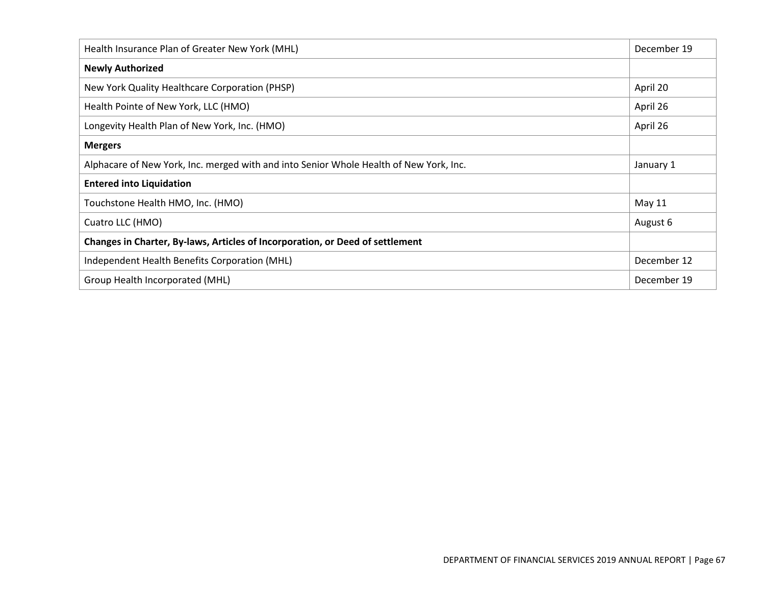| Health Insurance Plan of Greater New York (MHL)                                        | December 19   |
|----------------------------------------------------------------------------------------|---------------|
| <b>Newly Authorized</b>                                                                |               |
| New York Quality Healthcare Corporation (PHSP)                                         | April 20      |
| Health Pointe of New York, LLC (HMO)                                                   | April 26      |
| Longevity Health Plan of New York, Inc. (HMO)                                          | April 26      |
| <b>Mergers</b>                                                                         |               |
| Alphacare of New York, Inc. merged with and into Senior Whole Health of New York, Inc. | January 1     |
| <b>Entered into Liquidation</b>                                                        |               |
| Touchstone Health HMO, Inc. (HMO)                                                      | <b>May 11</b> |
| Cuatro LLC (HMO)                                                                       | August 6      |
| Changes in Charter, By-laws, Articles of Incorporation, or Deed of settlement          |               |
| Independent Health Benefits Corporation (MHL)                                          | December 12   |
| Group Health Incorporated (MHL)                                                        | December 19   |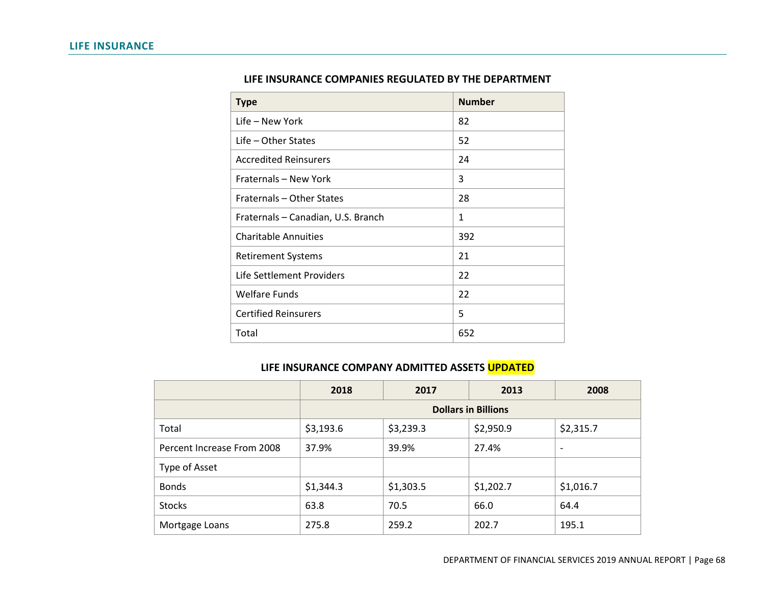| <b>Type</b>                        | <b>Number</b> |
|------------------------------------|---------------|
| Life – New York                    | 82            |
| Life – Other States                | 52            |
| <b>Accredited Reinsurers</b>       | 24            |
| Fraternals - New York              | 3             |
| Fraternals - Other States          | 28            |
| Fraternals - Canadian, U.S. Branch | 1             |
| <b>Charitable Annuities</b>        | 392           |
| <b>Retirement Systems</b>          | 21            |
| Life Settlement Providers          | 22            |
| <b>Welfare Funds</b>               | 22            |
| <b>Certified Reinsurers</b>        | 5             |
| Total                              | 652           |

# **LIFE INSURANCE COMPANIES REGULATED BY THE DEPARTMENT**

### **LIFE INSURANCE COMPANY ADMITTED ASSETS UPDATED**

|                            | 2018                       | 2017      | 2013      | 2008                     |
|----------------------------|----------------------------|-----------|-----------|--------------------------|
|                            | <b>Dollars in Billions</b> |           |           |                          |
| Total                      | \$3,193.6                  | \$3,239.3 | \$2,950.9 | \$2,315.7                |
| Percent Increase From 2008 | 37.9%                      | 39.9%     | 27.4%     | $\overline{\phantom{0}}$ |
| Type of Asset              |                            |           |           |                          |
| <b>Bonds</b>               | \$1,344.3                  | \$1,303.5 | \$1,202.7 | \$1,016.7                |
| <b>Stocks</b>              | 63.8                       | 70.5      | 66.0      | 64.4                     |
| Mortgage Loans             | 275.8                      | 259.2     | 202.7     | 195.1                    |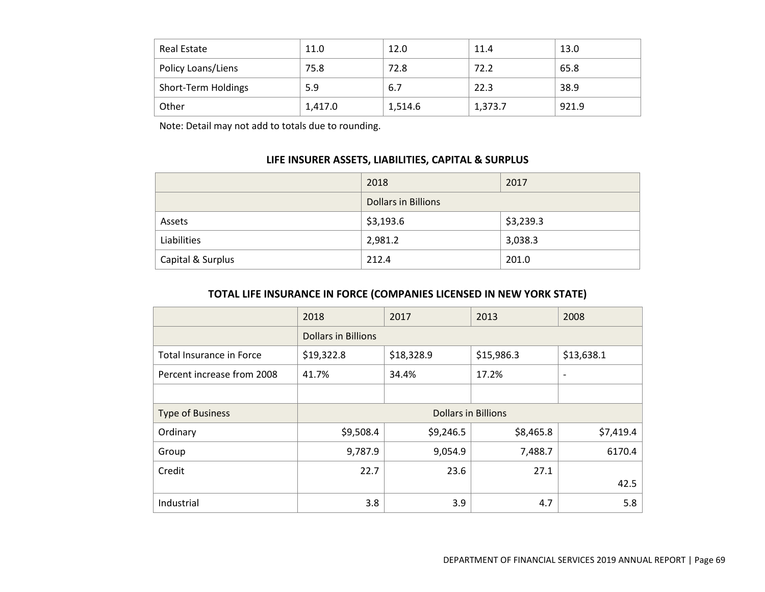| Real Estate         | 11.0    | 12.0    | 11.4    | 13.0  |
|---------------------|---------|---------|---------|-------|
| Policy Loans/Liens  | 75.8    | 72.8    | 72.2    | 65.8  |
| Short-Term Holdings | 5.9     | 6.7     | 22.3    | 38.9  |
| Other               | 1,417.0 | 1,514.6 | 1,373.7 | 921.9 |

Note: Detail may not add to totals due to rounding.

# **LIFE INSURER ASSETS, LIABILITIES, CAPITAL & SURPLUS**

|                   | 2018                       | 2017      |  |
|-------------------|----------------------------|-----------|--|
|                   | <b>Dollars in Billions</b> |           |  |
| Assets            | \$3,193.6                  | \$3,239.3 |  |
| Liabilities       | 2,981.2                    | 3,038.3   |  |
| Capital & Surplus | 212.4                      | 201.0     |  |

# **TOTAL LIFE INSURANCE IN FORCE (COMPANIES LICENSED IN NEW YORK STATE)**

|                            | 2018                       | 2017       | 2013       | 2008                     |
|----------------------------|----------------------------|------------|------------|--------------------------|
|                            | <b>Dollars in Billions</b> |            |            |                          |
| Total Insurance in Force   | \$19,322.8                 | \$18,328.9 | \$15,986.3 | \$13,638.1               |
| Percent increase from 2008 | 41.7%                      | 34.4%      | 17.2%      | $\overline{\phantom{0}}$ |
|                            |                            |            |            |                          |
| <b>Type of Business</b>    | <b>Dollars in Billions</b> |            |            |                          |
| Ordinary                   | \$9,508.4                  | \$9,246.5  | \$8,465.8  | \$7,419.4                |
| Group                      | 9,787.9                    | 9,054.9    | 7,488.7    | 6170.4                   |
| Credit                     | 22.7                       | 23.6       | 27.1       |                          |
|                            |                            |            |            | 42.5                     |
| Industrial                 | 3.8                        | 3.9        | 4.7        | 5.8                      |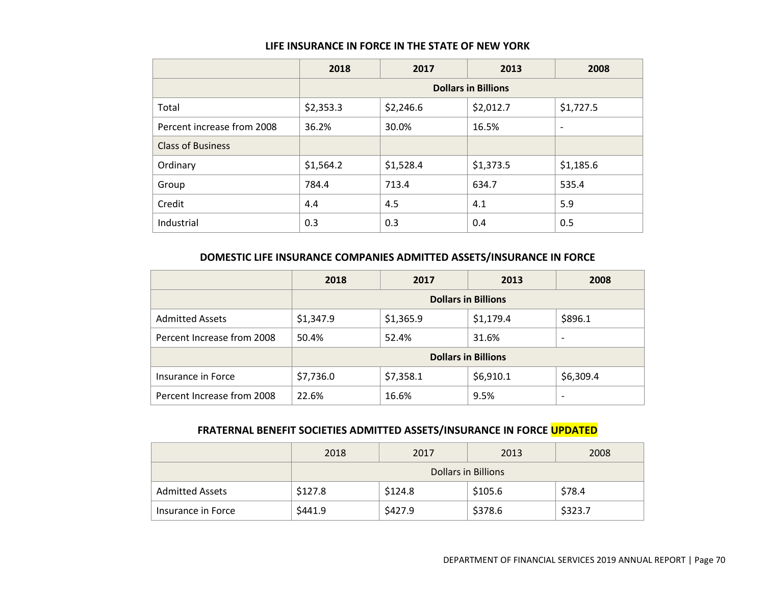#### **LIFE INSURANCE IN FORCE IN THE STATE OF NEW YORK**

|                            | 2018                       | 2017      | 2013      | 2008                     |
|----------------------------|----------------------------|-----------|-----------|--------------------------|
|                            | <b>Dollars in Billions</b> |           |           |                          |
| Total                      | \$2,353.3                  | \$2,246.6 | \$2,012.7 | \$1,727.5                |
| Percent increase from 2008 | 36.2%                      | 30.0%     | 16.5%     | $\overline{\phantom{a}}$ |
| <b>Class of Business</b>   |                            |           |           |                          |
| Ordinary                   | \$1,564.2                  | \$1,528.4 | \$1,373.5 | \$1,185.6                |
| Group                      | 784.4                      | 713.4     | 634.7     | 535.4                    |
| Credit                     | 4.4                        | 4.5       | 4.1       | 5.9                      |
| Industrial                 | 0.3                        | 0.3       | 0.4       | 0.5                      |

# **DOMESTIC LIFE INSURANCE COMPANIES ADMITTED ASSETS/INSURANCE IN FORCE**

|                            | 2018                       | 2017      | 2013      | 2008                     |
|----------------------------|----------------------------|-----------|-----------|--------------------------|
|                            | <b>Dollars in Billions</b> |           |           |                          |
| <b>Admitted Assets</b>     | \$1,347.9                  | \$1,365.9 | \$1,179.4 | \$896.1                  |
| Percent Increase from 2008 | 50.4%                      | 52.4%     | 31.6%     | $\overline{\phantom{0}}$ |
|                            | <b>Dollars in Billions</b> |           |           |                          |
| Insurance in Force         | \$7,736.0                  | \$7,358.1 | \$6,910.1 | \$6,309.4                |
| Percent Increase from 2008 | 22.6%                      | 16.6%     | 9.5%      | $\overline{\phantom{0}}$ |

# **FRATERNAL BENEFIT SOCIETIES ADMITTED ASSETS/INSURANCE IN FORCE UPDATED**

|                        | 2018                | 2017    | 2013    | 2008    |  |
|------------------------|---------------------|---------|---------|---------|--|
|                        | Dollars in Billions |         |         |         |  |
| <b>Admitted Assets</b> | \$127.8             | \$124.8 | \$105.6 | \$78.4  |  |
| Insurance in Force     | \$441.9             | \$427.9 | \$378.6 | \$323.7 |  |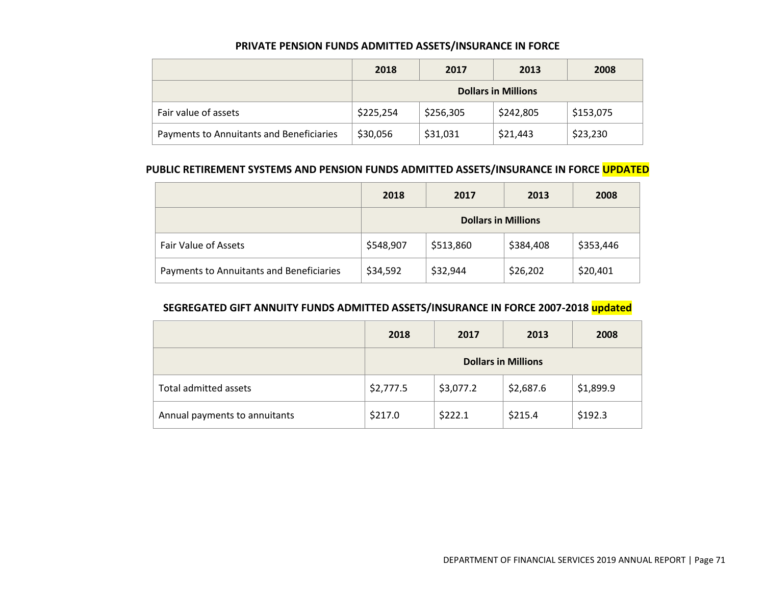### **PRIVATE PENSION FUNDS ADMITTED ASSETS/INSURANCE IN FORCE**

|                                          | 2018                       | 2017      | 2013      | 2008      |  |
|------------------------------------------|----------------------------|-----------|-----------|-----------|--|
|                                          | <b>Dollars in Millions</b> |           |           |           |  |
| Fair value of assets                     | \$225,254                  | \$256,305 | \$242,805 | \$153,075 |  |
| Payments to Annuitants and Beneficiaries | \$30,056                   | \$31,031  | \$21,443  | \$23,230  |  |

### **PUBLIC RETIREMENT SYSTEMS AND PENSION FUNDS ADMITTED ASSETS/INSURANCE IN FORCE UPDATED**

|                                          | 2018                       | 2017      | 2013      | 2008      |
|------------------------------------------|----------------------------|-----------|-----------|-----------|
|                                          | <b>Dollars in Millions</b> |           |           |           |
| <b>Fair Value of Assets</b>              | \$548,907                  | \$513,860 | \$384,408 | \$353,446 |
| Payments to Annuitants and Beneficiaries | \$34,592                   | \$32,944  | \$26,202  | \$20,401  |

# **SEGREGATED GIFT ANNUITY FUNDS ADMITTED ASSETS/INSURANCE IN FORCE 2007-2018 updated**

|                               | 2018                       | 2017      | 2013      | 2008      |
|-------------------------------|----------------------------|-----------|-----------|-----------|
|                               | <b>Dollars in Millions</b> |           |           |           |
| Total admitted assets         | \$2,777.5                  | \$3,077.2 | \$2,687.6 | \$1,899.9 |
| Annual payments to annuitants | \$217.0                    | \$222.1   | \$215.4   | \$192.3   |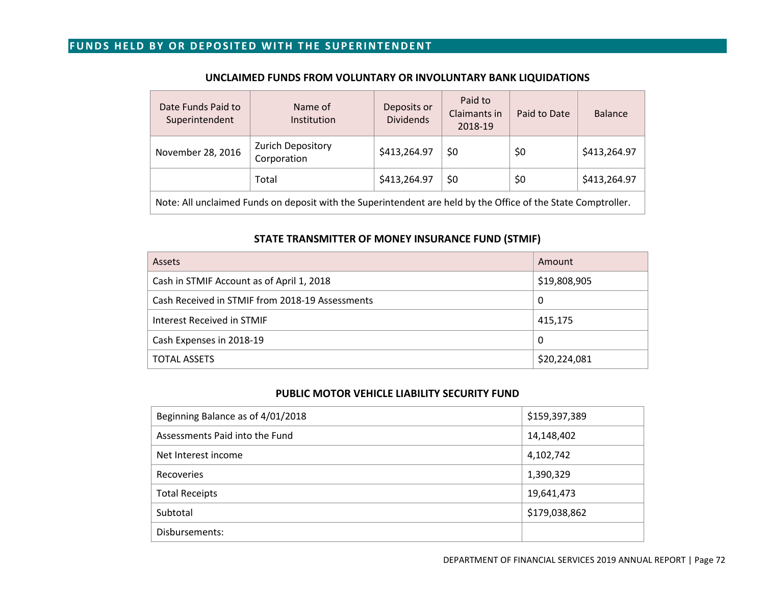# **FUNDS HELD BY OR DEPOSITED WITH THE SUPERINTENDENT**

| Date Funds Paid to<br>Superintendent                                                                          | Name of<br>Institution                  | Deposits or<br><b>Dividends</b> | Paid to<br>Claimants in<br>2018-19 | Paid to Date | <b>Balance</b> |
|---------------------------------------------------------------------------------------------------------------|-----------------------------------------|---------------------------------|------------------------------------|--------------|----------------|
| November 28, 2016                                                                                             | <b>Zurich Depository</b><br>Corporation | \$413,264.97                    | \$0                                | \$0          | \$413,264.97   |
|                                                                                                               | Total                                   | \$413,264.97                    | \$0                                | \$0          | \$413,264.97   |
| Note: All unclaimed Funds on deposit with the Superintendent are held by the Office of the State Comptroller. |                                         |                                 |                                    |              |                |

## **UNCLAIMED FUNDS FROM VOLUNTARY OR INVOLUNTARY BANK LIQUIDATIONS**

### **STATE TRANSMITTER OF MONEY INSURANCE FUND (STMIF)**

| Assets                                          | Amount       |
|-------------------------------------------------|--------------|
| Cash in STMIF Account as of April 1, 2018       | \$19,808,905 |
| Cash Received in STMIF from 2018-19 Assessments | 0            |
| Interest Received in STMIF                      | 415,175      |
| Cash Expenses in 2018-19                        | 0            |
| <b>TOTAL ASSETS</b>                             | \$20,224,081 |

### **PUBLIC MOTOR VEHICLE LIABILITY SECURITY FUND**

| \$159,397,389 |
|---------------|
| 14,148,402    |
| 4,102,742     |
| 1,390,329     |
| 19,641,473    |
| \$179,038,862 |
|               |
|               |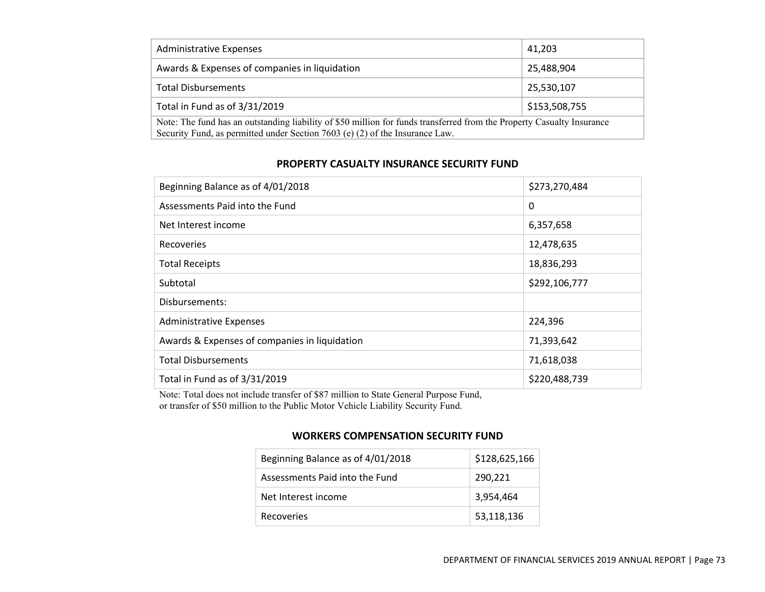| <b>Administrative Expenses</b>                                                                                         | 41,203        |
|------------------------------------------------------------------------------------------------------------------------|---------------|
| Awards & Expenses of companies in liquidation                                                                          | 25,488,904    |
| <b>Total Disbursements</b>                                                                                             | 25,530,107    |
| Total in Fund as of 3/31/2019                                                                                          | \$153,508,755 |
| Note: The fund has an outstanding liability of \$50 million for funds transferred from the Property Casualty Insurance |               |
| Security Fund, as permitted under Section 7603 (e) (2) of the Insurance Law.                                           |               |

## **PROPERTY CASUALTY INSURANCE SECURITY FUND**

| Beginning Balance as of 4/01/2018             | \$273,270,484 |
|-----------------------------------------------|---------------|
| Assessments Paid into the Fund                | 0             |
| Net Interest income                           | 6,357,658     |
| Recoveries                                    | 12,478,635    |
| <b>Total Receipts</b>                         | 18,836,293    |
| Subtotal                                      | \$292,106,777 |
| Disbursements:                                |               |
| <b>Administrative Expenses</b>                | 224,396       |
| Awards & Expenses of companies in liquidation | 71,393,642    |
| <b>Total Disbursements</b>                    | 71,618,038    |
| Total in Fund as of 3/31/2019                 | \$220,488,739 |

Note: Total does not include transfer of \$87 million to State General Purpose Fund, or transfer of \$50 million to the Public Motor Vehicle Liability Security Fund.

## **WORKERS COMPENSATION SECURITY FUND**

| Beginning Balance as of 4/01/2018 | \$128,625,166 |
|-----------------------------------|---------------|
| Assessments Paid into the Fund    | 290,221       |
| Net Interest income               | 3,954,464     |
| Recoveries                        | 53,118,136    |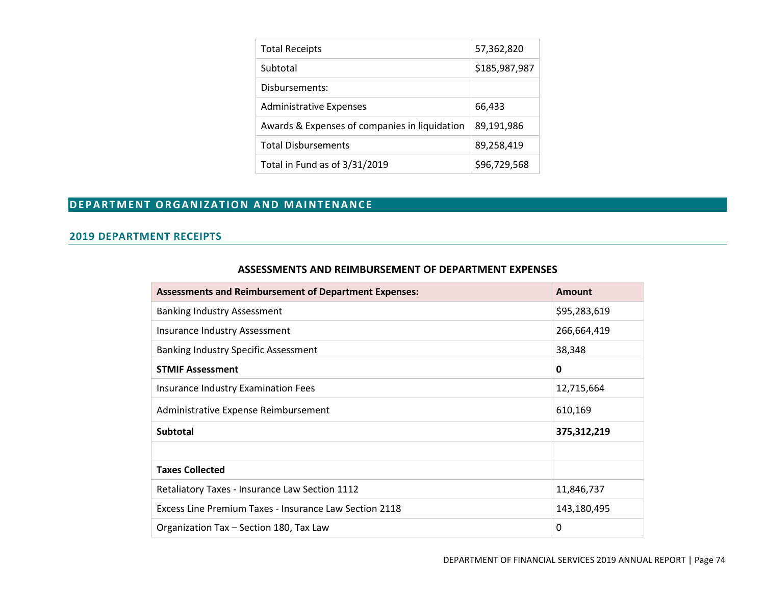| <b>Total Receipts</b>                         | 57,362,820    |
|-----------------------------------------------|---------------|
| Subtotal                                      | \$185,987,987 |
| Disbursements:                                |               |
| <b>Administrative Expenses</b>                | 66,433        |
| Awards & Expenses of companies in liquidation | 89,191,986    |
| <b>Total Disbursements</b>                    | 89,258,419    |
| Total in Fund as of 3/31/2019                 | \$96,729,568  |

# **DEPARTMENT ORGANIZATION AND MAINTENANCE**

### **2019 DEPARTMENT RECEIPTS**

| <b>Assessments and Reimbursement of Department Expenses:</b> | <b>Amount</b> |
|--------------------------------------------------------------|---------------|
| <b>Banking Industry Assessment</b>                           | \$95,283,619  |
| Insurance Industry Assessment                                | 266,664,419   |
| <b>Banking Industry Specific Assessment</b>                  | 38,348        |
| <b>STMIF Assessment</b>                                      | 0             |
| <b>Insurance Industry Examination Fees</b>                   | 12,715,664    |
| Administrative Expense Reimbursement                         | 610,169       |
| <b>Subtotal</b>                                              | 375,312,219   |
|                                                              |               |
| <b>Taxes Collected</b>                                       |               |
| Retaliatory Taxes - Insurance Law Section 1112               | 11,846,737    |
| Excess Line Premium Taxes - Insurance Law Section 2118       | 143,180,495   |
| Organization Tax - Section 180, Tax Law                      | 0             |

#### **ASSESSMENTS AND REIMBURSEMENT OF DEPARTMENT EXPENSES**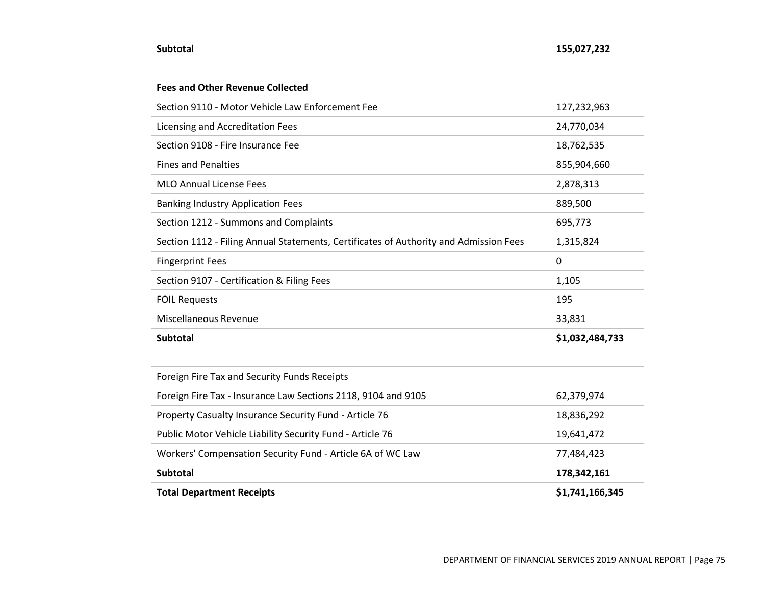| <b>Subtotal</b>                                                                       | 155,027,232     |
|---------------------------------------------------------------------------------------|-----------------|
|                                                                                       |                 |
| <b>Fees and Other Revenue Collected</b>                                               |                 |
| Section 9110 - Motor Vehicle Law Enforcement Fee                                      | 127,232,963     |
| Licensing and Accreditation Fees                                                      | 24,770,034      |
| Section 9108 - Fire Insurance Fee                                                     | 18,762,535      |
| <b>Fines and Penalties</b>                                                            | 855,904,660     |
| <b>MLO Annual License Fees</b>                                                        | 2,878,313       |
| <b>Banking Industry Application Fees</b>                                              | 889,500         |
| Section 1212 - Summons and Complaints                                                 | 695,773         |
| Section 1112 - Filing Annual Statements, Certificates of Authority and Admission Fees | 1,315,824       |
| <b>Fingerprint Fees</b>                                                               | $\mathbf 0$     |
| Section 9107 - Certification & Filing Fees                                            | 1,105           |
| <b>FOIL Requests</b>                                                                  | 195             |
| Miscellaneous Revenue                                                                 | 33,831          |
| <b>Subtotal</b>                                                                       | \$1,032,484,733 |
|                                                                                       |                 |
| Foreign Fire Tax and Security Funds Receipts                                          |                 |
| Foreign Fire Tax - Insurance Law Sections 2118, 9104 and 9105                         | 62,379,974      |
| Property Casualty Insurance Security Fund - Article 76                                | 18,836,292      |
| Public Motor Vehicle Liability Security Fund - Article 76                             | 19,641,472      |
| Workers' Compensation Security Fund - Article 6A of WC Law                            | 77,484,423      |
| <b>Subtotal</b>                                                                       | 178,342,161     |
| <b>Total Department Receipts</b>                                                      | \$1,741,166,345 |